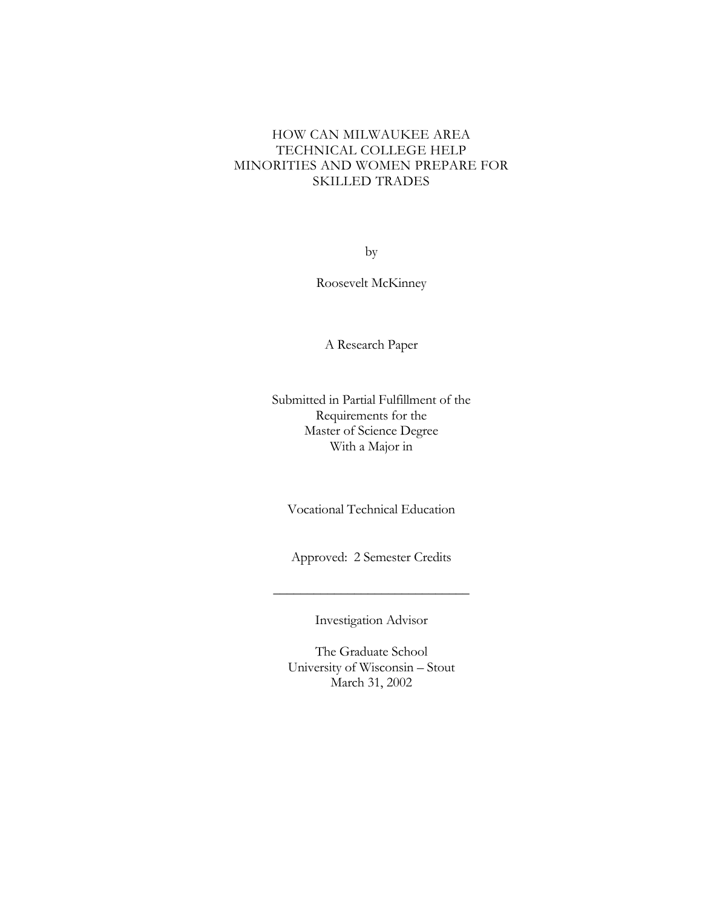# HOW CAN MILWAUKEE AREA TECHNICAL COLLEGE HELP MINORITIES AND WOMEN PREPARE FOR SKILLED TRADES

by

Roosevelt McKinney

A Research Paper

Submitted in Partial Fulfillment of the Requirements for the Master of Science Degree With a Major in

Vocational Technical Education

Approved: 2 Semester Credits

Investigation Advisor

\_\_\_\_\_\_\_\_\_\_\_\_\_\_\_\_\_\_\_\_\_\_\_\_\_\_\_\_\_

The Graduate School University of Wisconsin – Stout March 31, 2002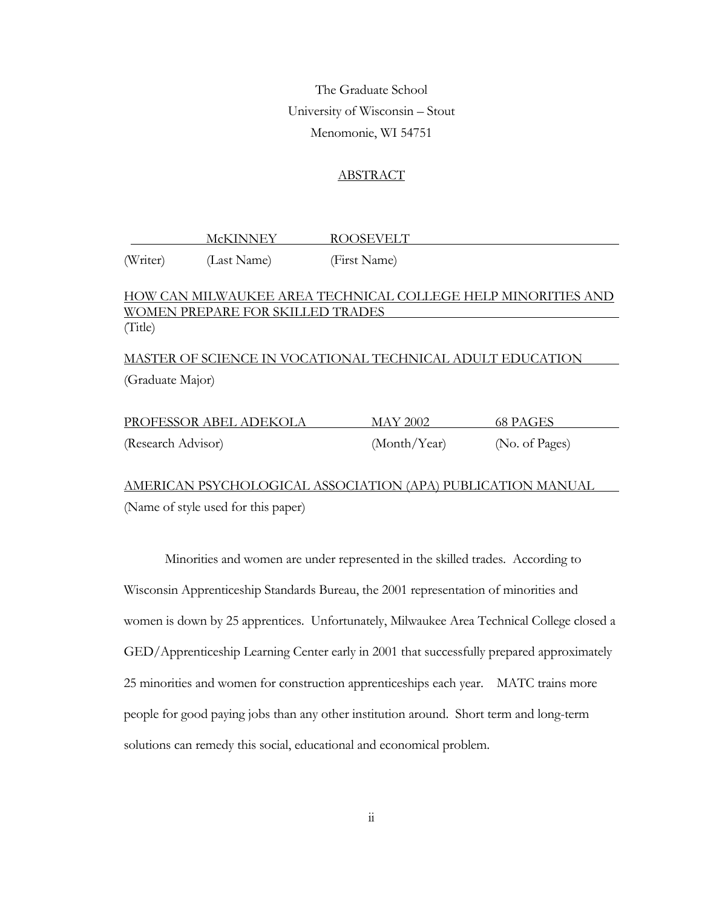The Graduate School University of Wisconsin – Stout Menomonie, WI 54751

## ABSTRACT

 McKINNEY ROOSEVELT (Writer) (Last Name) (First Name)

## HOW CAN MILWAUKEE AREA TECHNICAL COLLEGE HELP MINORITIES AND WOMEN PREPARE FOR SKILLED TRADES (Title)

MASTER OF SCIENCE IN VOCATIONAL TECHNICAL ADULT EDUCATION (Graduate Major)

| PROFESSOR ABEL ADEKOLA | MAY 2002     | 68 PAGES       |
|------------------------|--------------|----------------|
| (Research Advisor)     | (Month/Year) | (No. of Pages) |

AMERICAN PSYCHOLOGICAL ASSOCIATION (APA) PUBLICATION MANUAL (Name of style used for this paper)

Minorities and women are under represented in the skilled trades. According to Wisconsin Apprenticeship Standards Bureau, the 2001 representation of minorities and women is down by 25 apprentices. Unfortunately, Milwaukee Area Technical College closed a GED/Apprenticeship Learning Center early in 2001 that successfully prepared approximately 25 minorities and women for construction apprenticeships each year. MATC trains more people for good paying jobs than any other institution around. Short term and long-term solutions can remedy this social, educational and economical problem.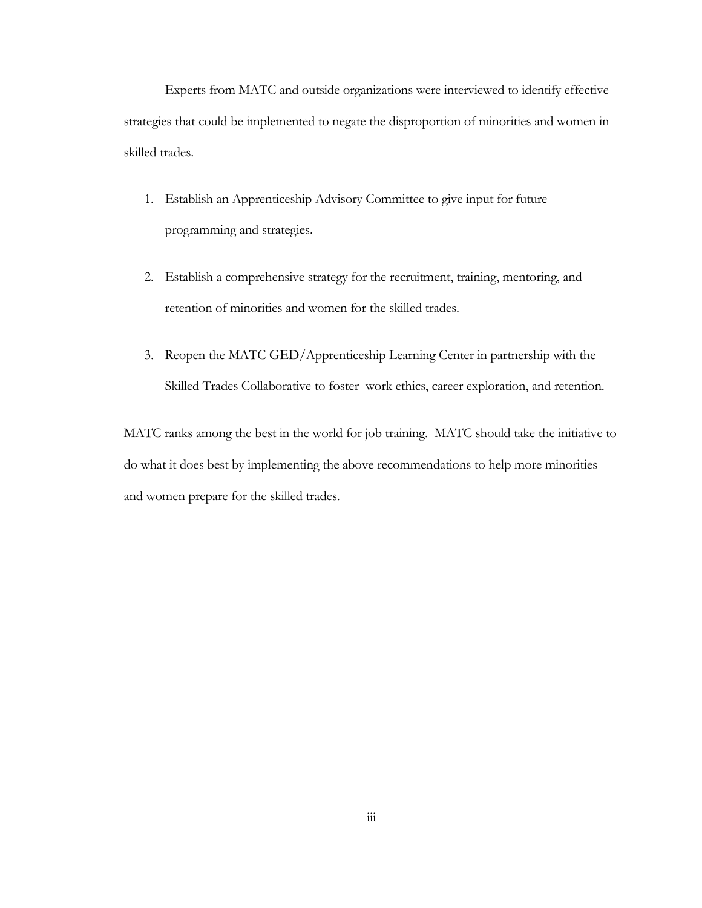Experts from MATC and outside organizations were interviewed to identify effective strategies that could be implemented to negate the disproportion of minorities and women in skilled trades.

- 1. Establish an Apprenticeship Advisory Committee to give input for future programming and strategies.
- 2. Establish a comprehensive strategy for the recruitment, training, mentoring, and retention of minorities and women for the skilled trades.
- 3. Reopen the MATC GED/Apprenticeship Learning Center in partnership with the Skilled Trades Collaborative to foster work ethics, career exploration, and retention.

MATC ranks among the best in the world for job training. MATC should take the initiative to do what it does best by implementing the above recommendations to help more minorities and women prepare for the skilled trades.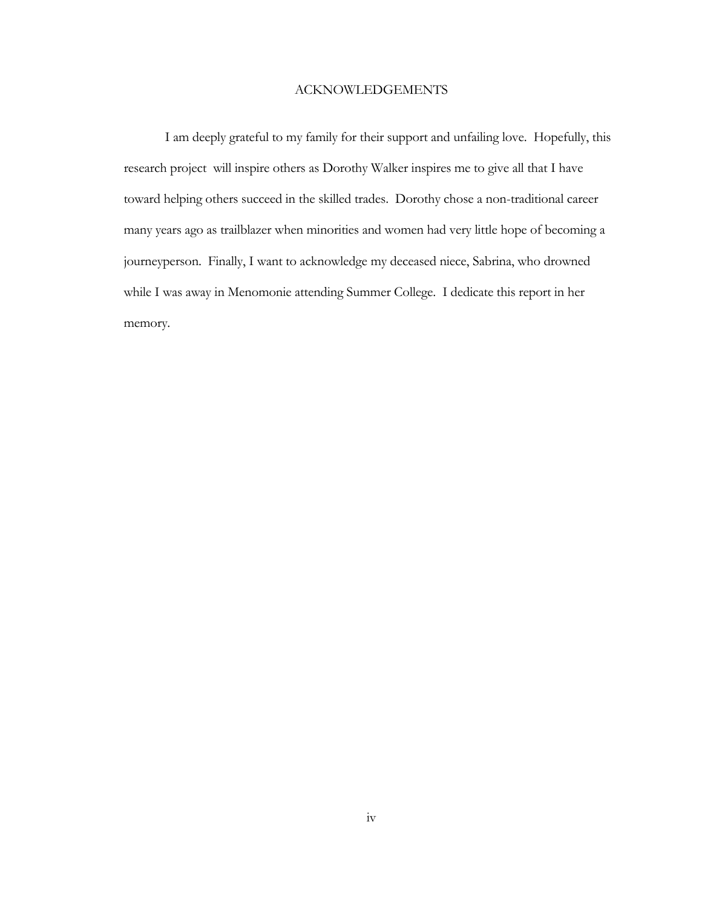## ACKNOWLEDGEMENTS

I am deeply grateful to my family for their support and unfailing love. Hopefully, this research project will inspire others as Dorothy Walker inspires me to give all that I have toward helping others succeed in the skilled trades. Dorothy chose a non-traditional career many years ago as trailblazer when minorities and women had very little hope of becoming a journeyperson. Finally, I want to acknowledge my deceased niece, Sabrina, who drowned while I was away in Menomonie attending Summer College. I dedicate this report in her memory.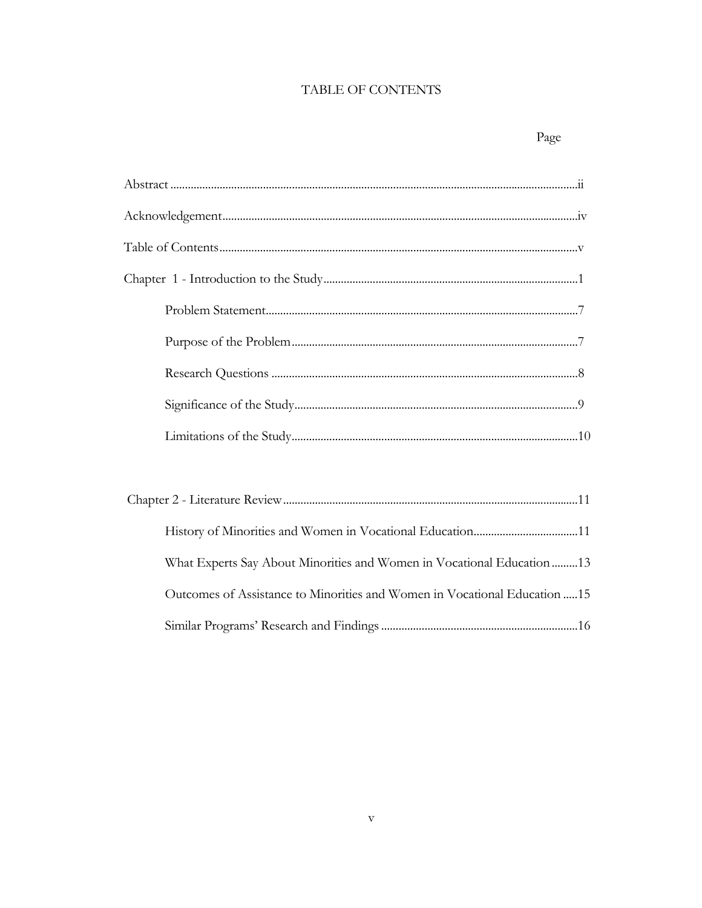# TABLE OF CONTENTS

# Page

| What Experts Say About Minorities and Women in Vocational Education 13     |
|----------------------------------------------------------------------------|
| Outcomes of Assistance to Minorities and Women in Vocational Education  15 |
|                                                                            |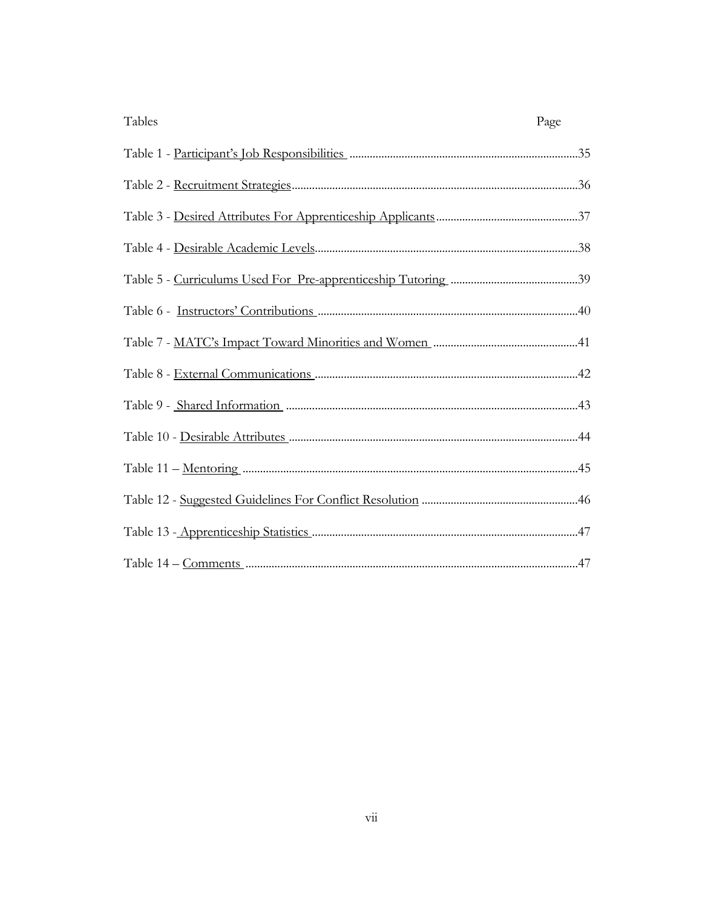| Tables | Page |
|--------|------|
|        |      |
|        |      |
|        |      |
|        |      |
|        |      |
|        |      |
|        |      |
|        |      |
|        |      |
|        |      |
|        |      |
|        |      |
|        |      |
|        |      |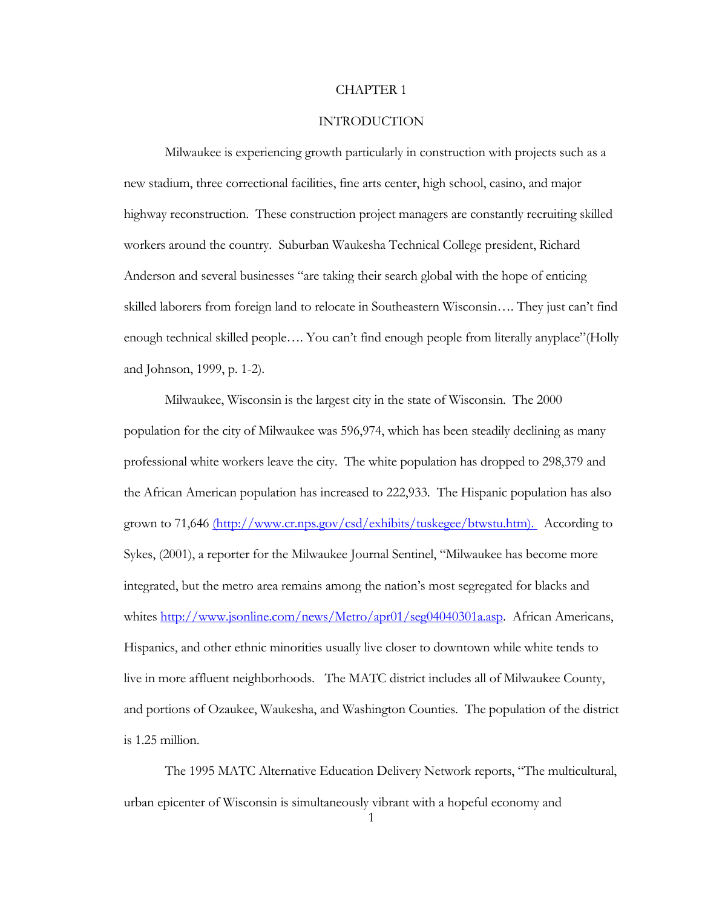#### CHAPTER 1

### INTRODUCTION

Milwaukee is experiencing growth particularly in construction with projects such as a new stadium, three correctional facilities, fine arts center, high school, casino, and major highway reconstruction. These construction project managers are constantly recruiting skilled workers around the country. Suburban Waukesha Technical College president, Richard Anderson and several businesses "are taking their search global with the hope of enticing skilled laborers from foreign land to relocate in Southeastern Wisconsin…. They just can't find enough technical skilled people…. You can't find enough people from literally anyplace"(Holly and Johnson, 1999, p. 1-2).

Milwaukee, Wisconsin is the largest city in the state of Wisconsin. The 2000 population for the city of Milwaukee was 596,974, which has been steadily declining as many professional white workers leave the city. The white population has dropped to 298,379 and the African American population has increased to 222,933. The Hispanic population has also grown to 71,646 (http://www.cr.nps.gov/csd/exhibits/tuskegee/btwstu.htm). According to Sykes, (2001), a reporter for the Milwaukee Journal Sentinel, "Milwaukee has become more integrated, but the metro area remains among the nation's most segregated for blacks and whites [http://www.jsonline.com/news/Metro/apr01/seg04040301a.asp.](http://www.jsonline.com/news/Metro/apr01/seg04040301a.asp) African Americans, Hispanics, and other ethnic minorities usually live closer to downtown while white tends to live in more affluent neighborhoods. The MATC district includes all of Milwaukee County, and portions of Ozaukee, Waukesha, and Washington Counties. The population of the district is 1.25 million.

The 1995 MATC Alternative Education Delivery Network reports, "The multicultural, urban epicenter of Wisconsin is simultaneously vibrant with a hopeful economy and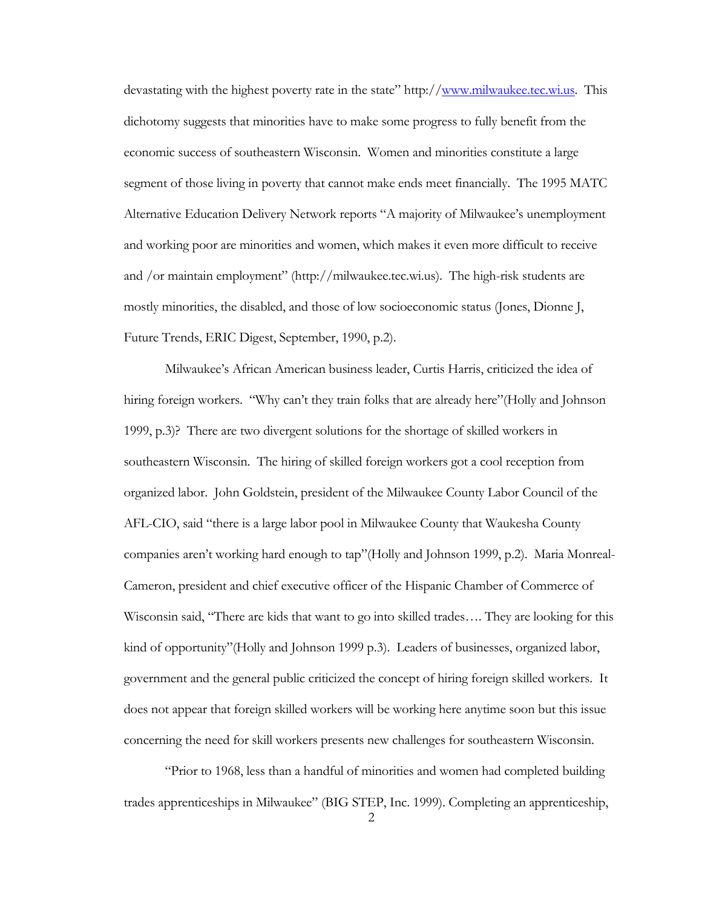devastating with the highest poverty rate in the state" http://[www.milwaukee.tec.wi.us](http://www.milwaukee.tec.wi.us/). This dichotomy suggests that minorities have to make some progress to fully benefit from the economic success of southeastern Wisconsin. Women and minorities constitute a large segment of those living in poverty that cannot make ends meet financially. The 1995 MATC Alternative Education Delivery Network reports "A majority of Milwaukee's unemployment and working poor are minorities and women, which makes it even more difficult to receive and /or maintain employment" (http://milwaukee.tec.wi.us). The high-risk students are mostly minorities, the disabled, and those of low socioeconomic status (Jones, Dionne J, Future Trends, ERIC Digest, September, 1990, p.2).

 Milwaukee's African American business leader, Curtis Harris, criticized the idea of hiring foreign workers. "Why can't they train folks that are already here"(Holly and Johnson 1999, p.3)? There are two divergent solutions for the shortage of skilled workers in southeastern Wisconsin. The hiring of skilled foreign workers got a cool reception from organized labor. John Goldstein, president of the Milwaukee County Labor Council of the AFL-CIO, said "there is a large labor pool in Milwaukee County that Waukesha County companies aren't working hard enough to tap"(Holly and Johnson 1999, p.2). Maria Monreal-Cameron, president and chief executive officer of the Hispanic Chamber of Commerce of Wisconsin said, "There are kids that want to go into skilled trades…. They are looking for this kind of opportunity"(Holly and Johnson 1999 p.3). Leaders of businesses, organized labor, government and the general public criticized the concept of hiring foreign skilled workers. It does not appear that foreign skilled workers will be working here anytime soon but this issue concerning the need for skill workers presents new challenges for southeastern Wisconsin.

"Prior to 1968, less than a handful of minorities and women had completed building trades apprenticeships in Milwaukee" (BIG STEP, Inc. 1999). Completing an apprenticeship,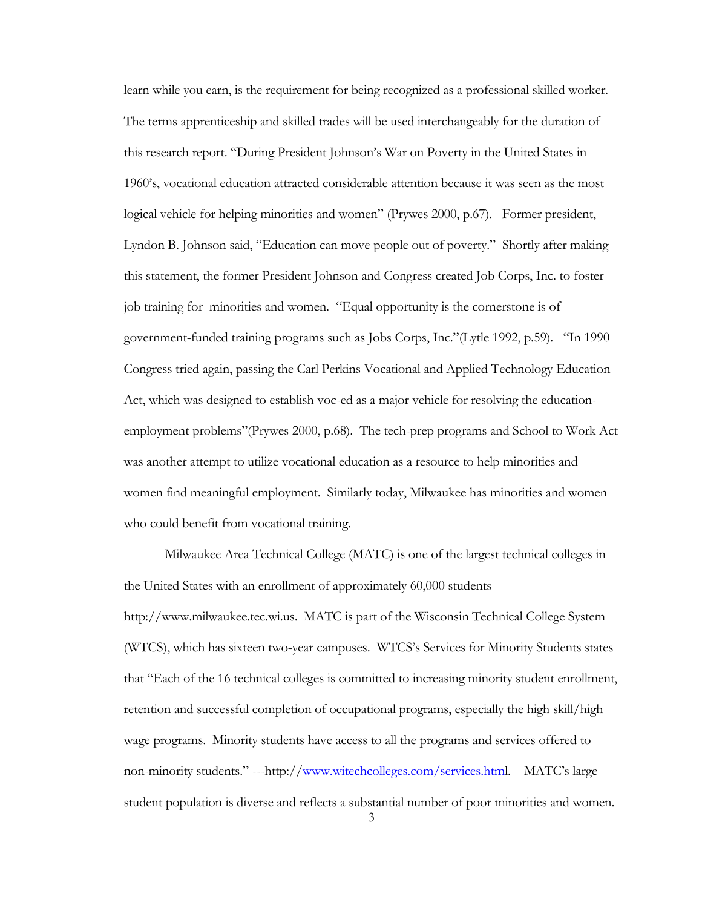learn while you earn, is the requirement for being recognized as a professional skilled worker. The terms apprenticeship and skilled trades will be used interchangeably for the duration of this research report. "During President Johnson's War on Poverty in the United States in 1960's, vocational education attracted considerable attention because it was seen as the most logical vehicle for helping minorities and women" (Prywes 2000, p.67). Former president, Lyndon B. Johnson said, "Education can move people out of poverty." Shortly after making this statement, the former President Johnson and Congress created Job Corps, Inc. to foster job training for minorities and women. "Equal opportunity is the cornerstone is of government-funded training programs such as Jobs Corps, Inc."(Lytle 1992, p.59). "In 1990 Congress tried again, passing the Carl Perkins Vocational and Applied Technology Education Act, which was designed to establish voc-ed as a major vehicle for resolving the educationemployment problems"(Prywes 2000, p.68). The tech-prep programs and School to Work Act was another attempt to utilize vocational education as a resource to help minorities and women find meaningful employment. Similarly today, Milwaukee has minorities and women who could benefit from vocational training.

 Milwaukee Area Technical College (MATC) is one of the largest technical colleges in the United States with an enrollment of approximately 60,000 students http://www.milwaukee.tec.wi.us. MATC is part of the Wisconsin Technical College System (WTCS), which has sixteen two-year campuses. WTCS's Services for Minority Students states that "Each of the 16 technical colleges is committed to increasing minority student enrollment, retention and successful completion of occupational programs, especially the high skill/high wage programs. Minority students have access to all the programs and services offered to non-minority students." ---http:/[/www.witechcolleges.com/services.htm](http://www.witechcolleges.com/services.htm)l. MATC's large student population is diverse and reflects a substantial number of poor minorities and women.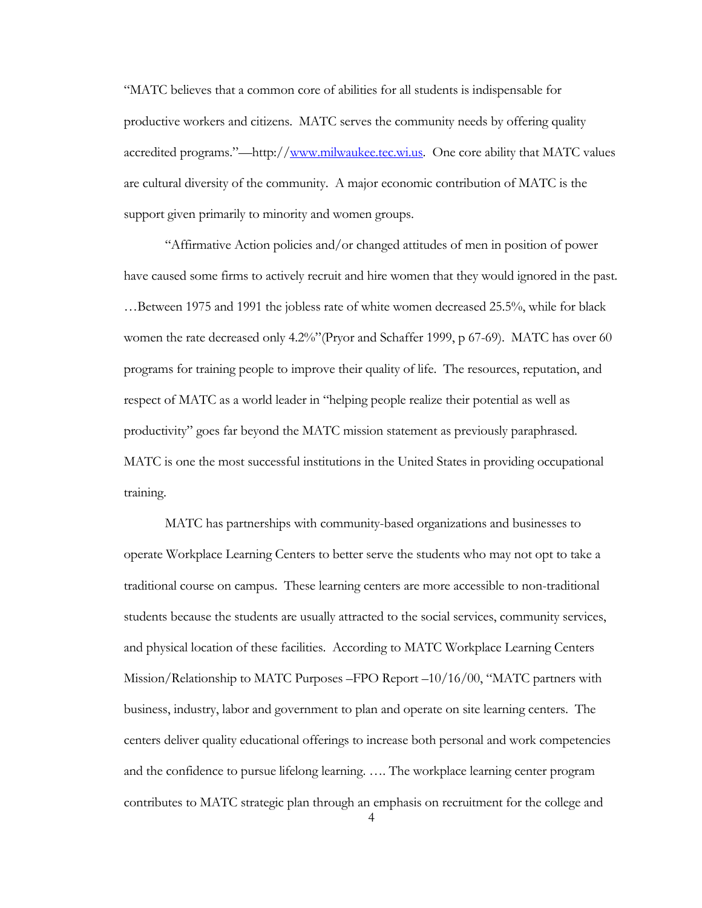"MATC believes that a common core of abilities for all students is indispensable for productive workers and citizens. MATC serves the community needs by offering quality accredited programs."—http:/[/www.milwaukee.tec.wi.us.](http://www.milwaukee.tec.wi.us/) One core ability that MATC values are cultural diversity of the community. A major economic contribution of MATC is the support given primarily to minority and women groups.

"Affirmative Action policies and/or changed attitudes of men in position of power have caused some firms to actively recruit and hire women that they would ignored in the past. …Between 1975 and 1991 the jobless rate of white women decreased 25.5%, while for black women the rate decreased only 4.2%"(Pryor and Schaffer 1999, p 67-69). MATC has over 60 programs for training people to improve their quality of life. The resources, reputation, and respect of MATC as a world leader in "helping people realize their potential as well as productivity" goes far beyond the MATC mission statement as previously paraphrased. MATC is one the most successful institutions in the United States in providing occupational training.

MATC has partnerships with community-based organizations and businesses to operate Workplace Learning Centers to better serve the students who may not opt to take a traditional course on campus. These learning centers are more accessible to non-traditional students because the students are usually attracted to the social services, community services, and physical location of these facilities. According to MATC Workplace Learning Centers Mission/Relationship to MATC Purposes –FPO Report –10/16/00, "MATC partners with business, industry, labor and government to plan and operate on site learning centers. The centers deliver quality educational offerings to increase both personal and work competencies and the confidence to pursue lifelong learning. …. The workplace learning center program contributes to MATC strategic plan through an emphasis on recruitment for the college and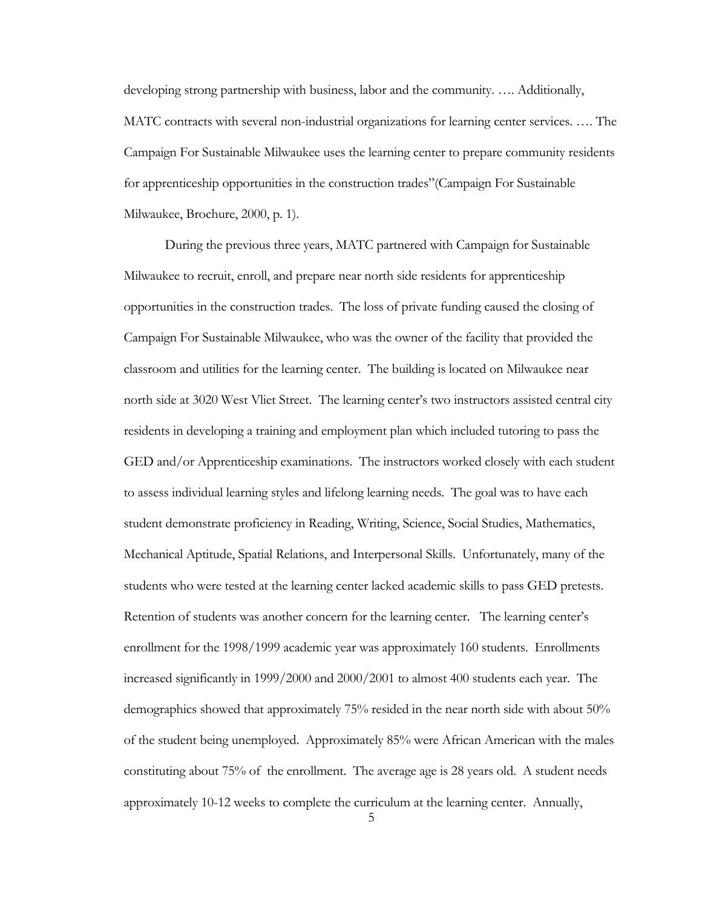developing strong partnership with business, labor and the community. …. Additionally, MATC contracts with several non-industrial organizations for learning center services. …. The Campaign For Sustainable Milwaukee uses the learning center to prepare community residents for apprenticeship opportunities in the construction trades"(Campaign For Sustainable Milwaukee, Brochure, 2000, p. 1).

During the previous three years, MATC partnered with Campaign for Sustainable Milwaukee to recruit, enroll, and prepare near north side residents for apprenticeship opportunities in the construction trades. The loss of private funding caused the closing of Campaign For Sustainable Milwaukee, who was the owner of the facility that provided the classroom and utilities for the learning center. The building is located on Milwaukee near north side at 3020 West Vliet Street. The learning center's two instructors assisted central city residents in developing a training and employment plan which included tutoring to pass the GED and/or Apprenticeship examinations. The instructors worked closely with each student to assess individual learning styles and lifelong learning needs. The goal was to have each student demonstrate proficiency in Reading, Writing, Science, Social Studies, Mathematics, Mechanical Aptitude, Spatial Relations, and Interpersonal Skills. Unfortunately, many of the students who were tested at the learning center lacked academic skills to pass GED pretests. Retention of students was another concern for the learning center. The learning center's enrollment for the 1998/1999 academic year was approximately 160 students. Enrollments increased significantly in 1999/2000 and 2000/2001 to almost 400 students each year. The demographics showed that approximately 75% resided in the near north side with about 50% of the student being unemployed. Approximately 85% were African American with the males constituting about 75% of the enrollment. The average age is 28 years old. A student needs approximately 10-12 weeks to complete the curriculum at the learning center. Annually,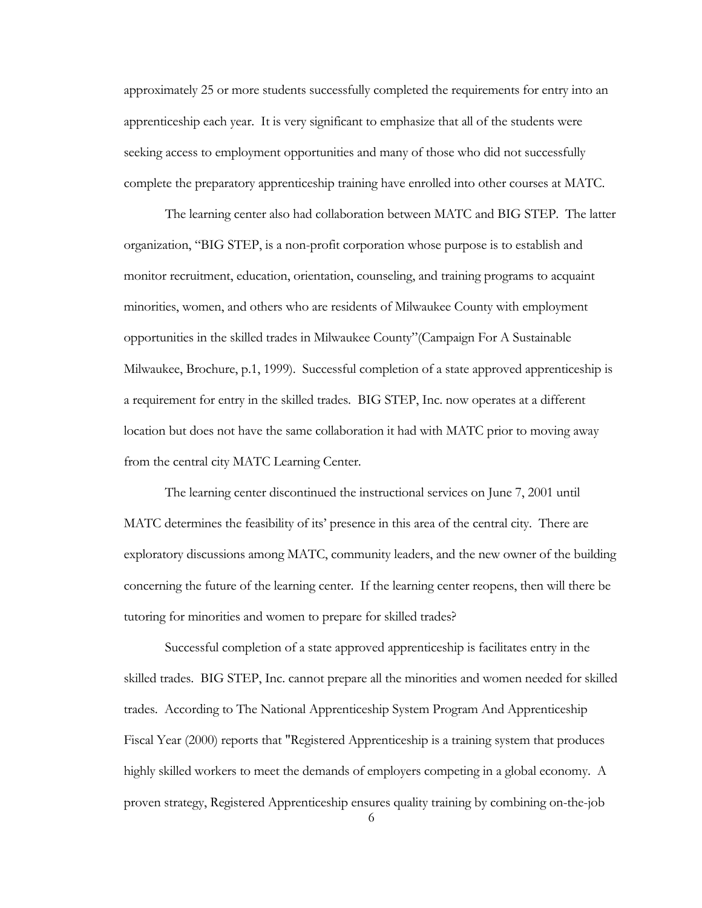approximately 25 or more students successfully completed the requirements for entry into an apprenticeship each year. It is very significant to emphasize that all of the students were seeking access to employment opportunities and many of those who did not successfully complete the preparatory apprenticeship training have enrolled into other courses at MATC.

 The learning center also had collaboration between MATC and BIG STEP. The latter organization, "BIG STEP, is a non-profit corporation whose purpose is to establish and monitor recruitment, education, orientation, counseling, and training programs to acquaint minorities, women, and others who are residents of Milwaukee County with employment opportunities in the skilled trades in Milwaukee County"(Campaign For A Sustainable Milwaukee, Brochure, p.1, 1999). Successful completion of a state approved apprenticeship is a requirement for entry in the skilled trades. BIG STEP, Inc. now operates at a different location but does not have the same collaboration it had with MATC prior to moving away from the central city MATC Learning Center.

The learning center discontinued the instructional services on June 7, 2001 until MATC determines the feasibility of its' presence in this area of the central city. There are exploratory discussions among MATC, community leaders, and the new owner of the building concerning the future of the learning center. If the learning center reopens, then will there be tutoring for minorities and women to prepare for skilled trades?

Successful completion of a state approved apprenticeship is facilitates entry in the skilled trades. BIG STEP, Inc. cannot prepare all the minorities and women needed for skilled trades. According to The National Apprenticeship System Program And Apprenticeship Fiscal Year (2000) reports that "Registered Apprenticeship is a training system that produces highly skilled workers to meet the demands of employers competing in a global economy. A proven strategy, Registered Apprenticeship ensures quality training by combining on-the-job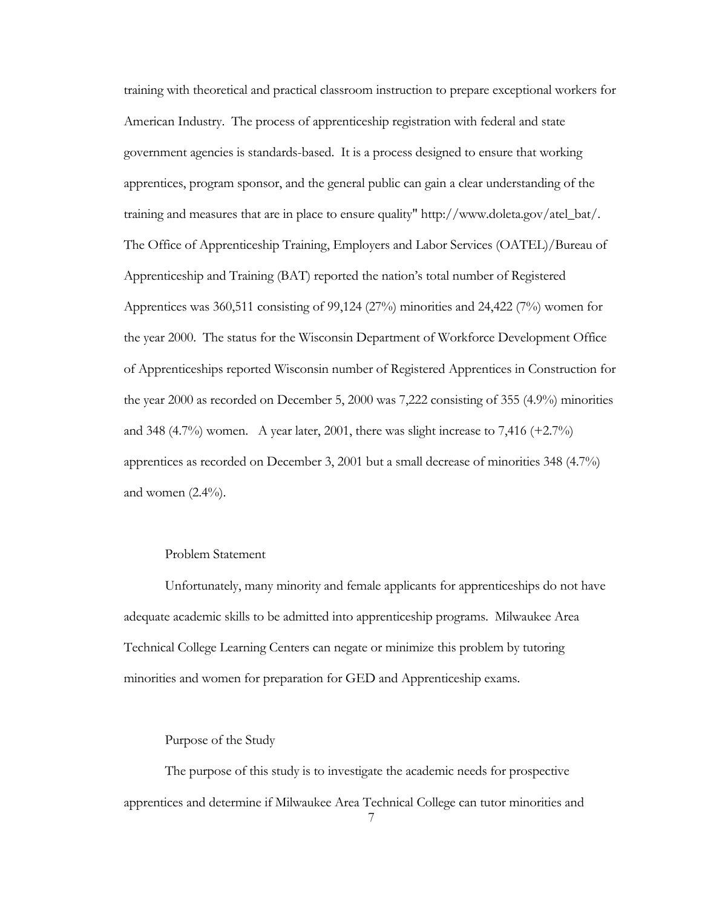training with theoretical and practical classroom instruction to prepare exceptional workers for American Industry. The process of apprenticeship registration with federal and state government agencies is standards-based. It is a process designed to ensure that working apprentices, program sponsor, and the general public can gain a clear understanding of the training and measures that are in place to ensure quality" http://www.doleta.gov/atel\_bat/. The Office of Apprenticeship Training, Employers and Labor Services (OATEL)/Bureau of Apprenticeship and Training (BAT) reported the nation's total number of Registered Apprentices was 360,511 consisting of 99,124 (27%) minorities and 24,422 (7%) women for the year 2000. The status for the Wisconsin Department of Workforce Development Office of Apprenticeships reported Wisconsin number of Registered Apprentices in Construction for the year 2000 as recorded on December 5, 2000 was 7,222 consisting of 355 (4.9%) minorities and 348  $(4.7%)$  women. A year later, 2001, there was slight increase to 7,416  $(+2.7%)$ apprentices as recorded on December 3, 2001 but a small decrease of minorities 348 (4.7%) and women  $(2.4\%)$ .

## Problem Statement

Unfortunately, many minority and female applicants for apprenticeships do not have adequate academic skills to be admitted into apprenticeship programs. Milwaukee Area Technical College Learning Centers can negate or minimize this problem by tutoring minorities and women for preparation for GED and Apprenticeship exams.

#### Purpose of the Study

The purpose of this study is to investigate the academic needs for prospective apprentices and determine if Milwaukee Area Technical College can tutor minorities and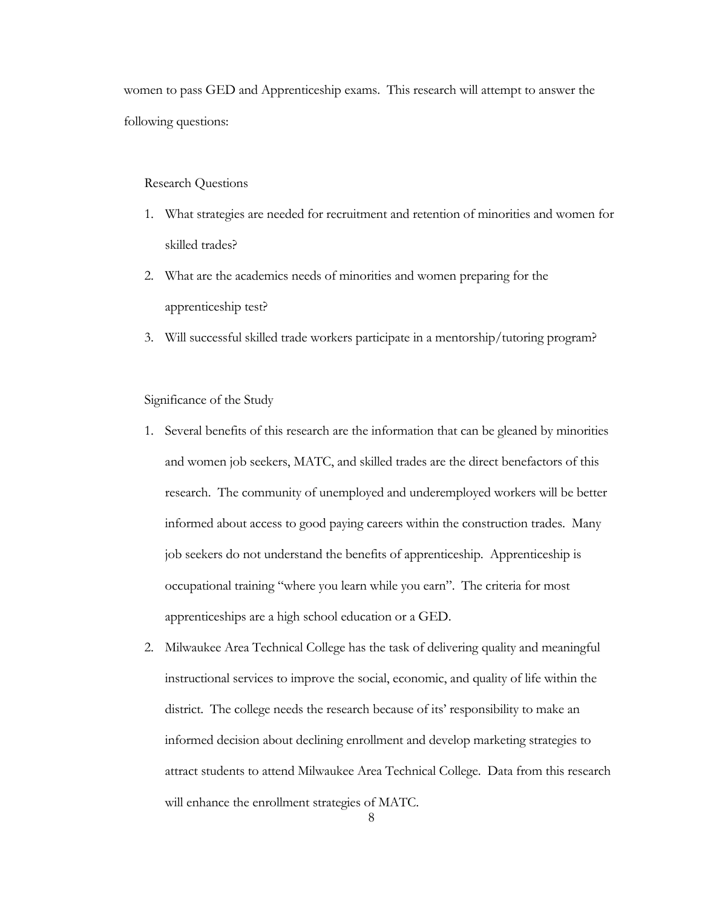women to pass GED and Apprenticeship exams. This research will attempt to answer the following questions:

#### Research Questions

- 1. What strategies are needed for recruitment and retention of minorities and women for skilled trades?
- 2. What are the academics needs of minorities and women preparing for the apprenticeship test?
- 3. Will successful skilled trade workers participate in a mentorship/tutoring program?

## Significance of the Study

- 1. Several benefits of this research are the information that can be gleaned by minorities and women job seekers, MATC, and skilled trades are the direct benefactors of this research. The community of unemployed and underemployed workers will be better informed about access to good paying careers within the construction trades. Many job seekers do not understand the benefits of apprenticeship. Apprenticeship is occupational training "where you learn while you earn". The criteria for most apprenticeships are a high school education or a GED.
- 2. Milwaukee Area Technical College has the task of delivering quality and meaningful instructional services to improve the social, economic, and quality of life within the district. The college needs the research because of its' responsibility to make an informed decision about declining enrollment and develop marketing strategies to attract students to attend Milwaukee Area Technical College. Data from this research will enhance the enrollment strategies of MATC.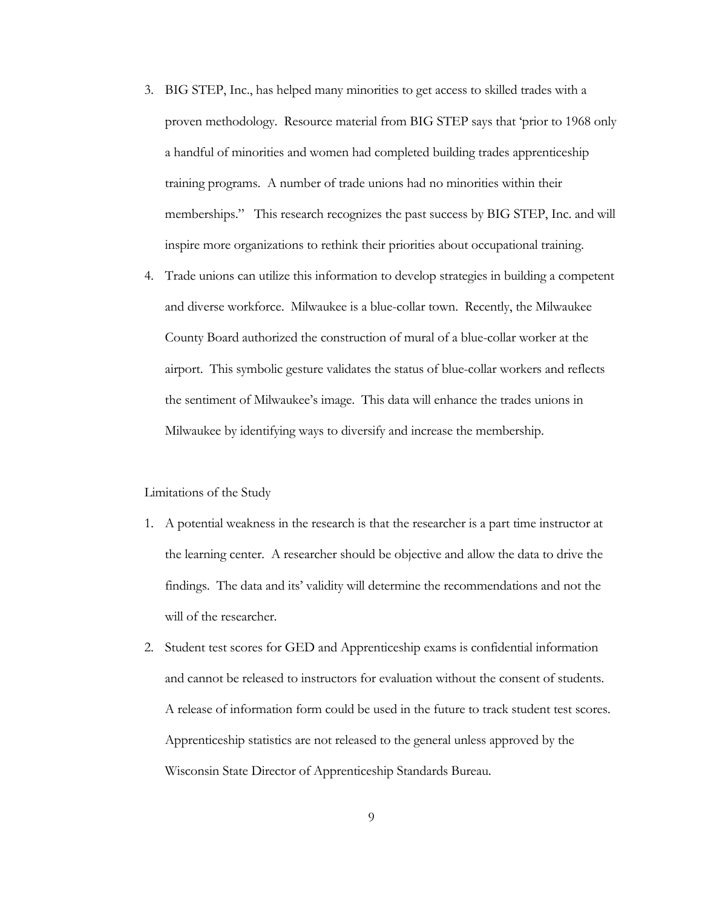- 3. BIG STEP, Inc., has helped many minorities to get access to skilled trades with a proven methodology. Resource material from BIG STEP says that 'prior to 1968 only a handful of minorities and women had completed building trades apprenticeship training programs. A number of trade unions had no minorities within their memberships." This research recognizes the past success by BIG STEP, Inc. and will inspire more organizations to rethink their priorities about occupational training.
- 4. Trade unions can utilize this information to develop strategies in building a competent and diverse workforce. Milwaukee is a blue-collar town. Recently, the Milwaukee County Board authorized the construction of mural of a blue-collar worker at the airport. This symbolic gesture validates the status of blue-collar workers and reflects the sentiment of Milwaukee's image. This data will enhance the trades unions in Milwaukee by identifying ways to diversify and increase the membership.

## Limitations of the Study

- 1. A potential weakness in the research is that the researcher is a part time instructor at the learning center. A researcher should be objective and allow the data to drive the findings. The data and its' validity will determine the recommendations and not the will of the researcher.
- 2. Student test scores for GED and Apprenticeship exams is confidential information and cannot be released to instructors for evaluation without the consent of students. A release of information form could be used in the future to track student test scores. Apprenticeship statistics are not released to the general unless approved by the Wisconsin State Director of Apprenticeship Standards Bureau.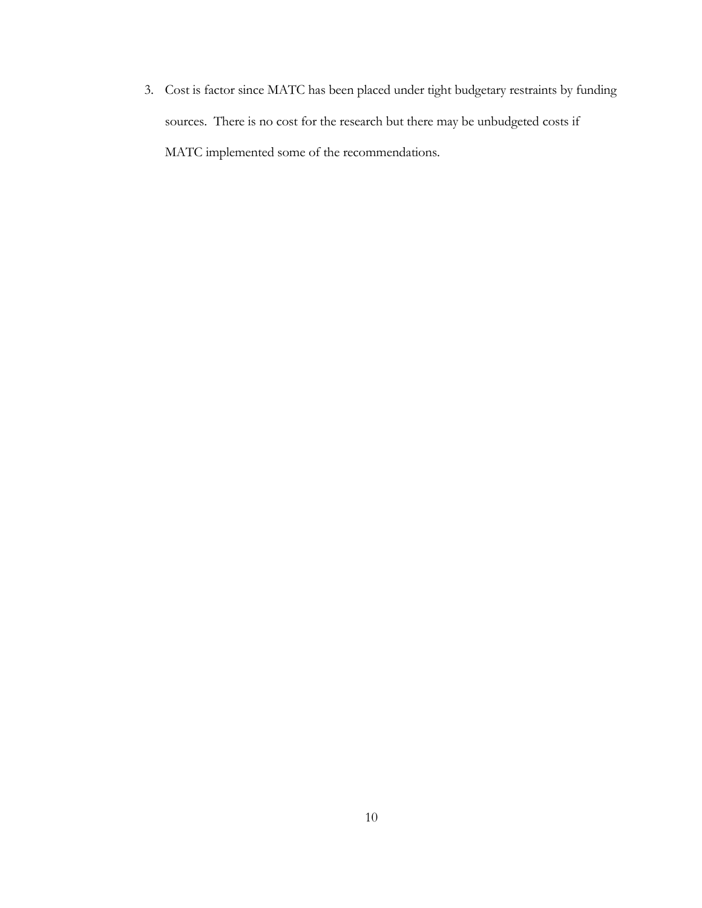3. Cost is factor since MATC has been placed under tight budgetary restraints by funding sources. There is no cost for the research but there may be unbudgeted costs if MATC implemented some of the recommendations.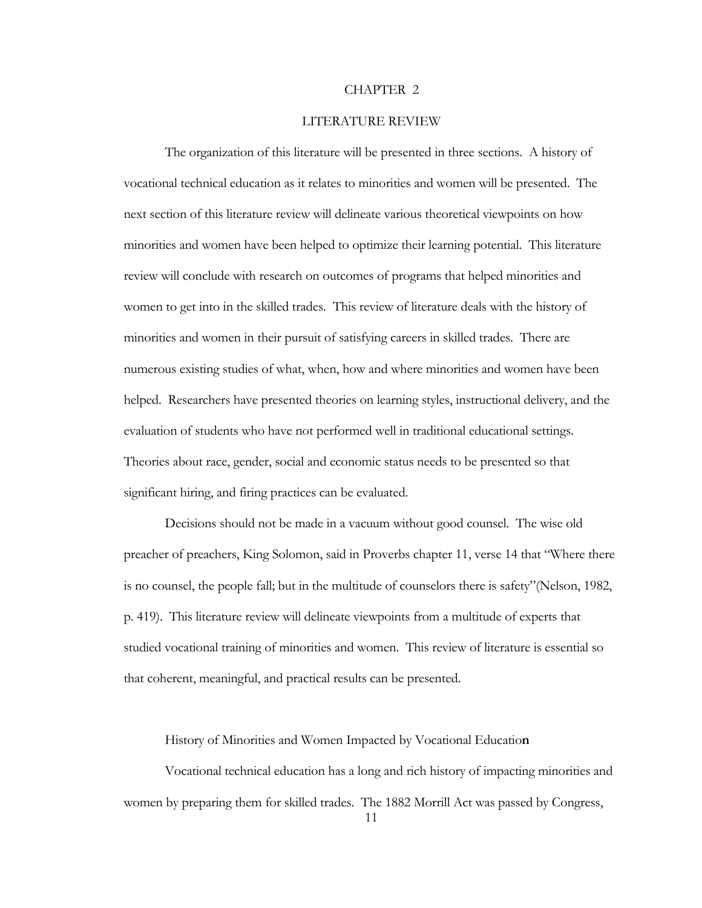#### CHAPTER 2

## LITERATURE REVIEW

The organization of this literature will be presented in three sections. A history of vocational technical education as it relates to minorities and women will be presented. The next section of this literature review will delineate various theoretical viewpoints on how minorities and women have been helped to optimize their learning potential. This literature review will conclude with research on outcomes of programs that helped minorities and women to get into in the skilled trades. This review of literature deals with the history of minorities and women in their pursuit of satisfying careers in skilled trades. There are numerous existing studies of what, when, how and where minorities and women have been helped. Researchers have presented theories on learning styles, instructional delivery, and the evaluation of students who have not performed well in traditional educational settings. Theories about race, gender, social and economic status needs to be presented so that significant hiring, and firing practices can be evaluated.

Decisions should not be made in a vacuum without good counsel. The wise old preacher of preachers, King Solomon, said in Proverbs chapter 11, verse 14 that "Where there is no counsel, the people fall; but in the multitude of counselors there is safety"(Nelson, 1982, p. 419). This literature review will delineate viewpoints from a multitude of experts that studied vocational training of minorities and women. This review of literature is essential so that coherent, meaningful, and practical results can be presented.

History of Minorities and Women Impacted by Vocational Educatio**n** 

Vocational technical education has a long and rich history of impacting minorities and women by preparing them for skilled trades. The 1882 Morrill Act was passed by Congress,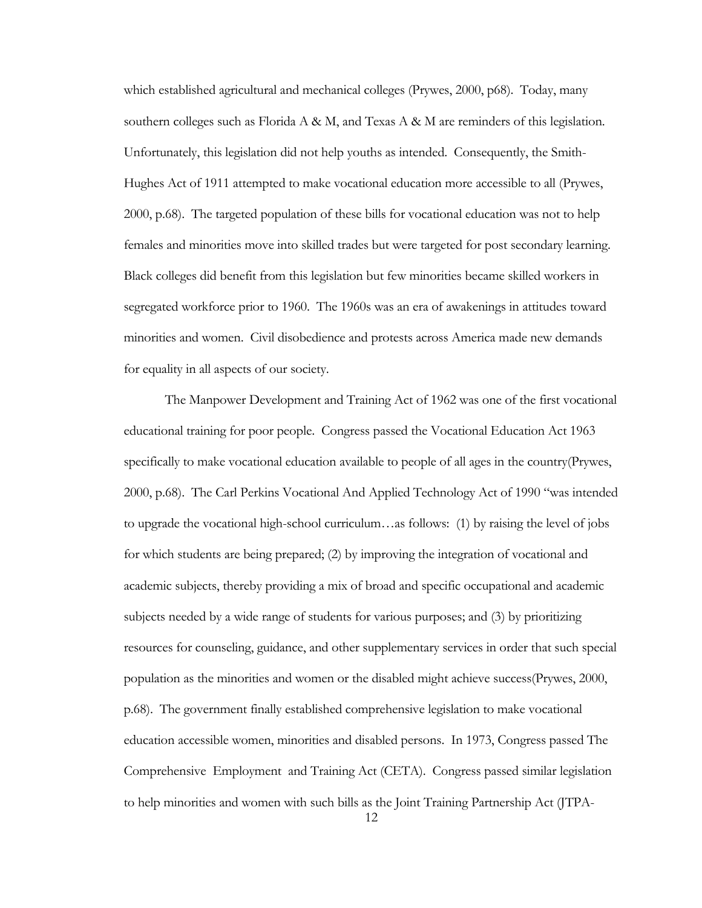which established agricultural and mechanical colleges (Prywes, 2000, p68). Today, many southern colleges such as Florida A & M, and Texas A & M are reminders of this legislation. Unfortunately, this legislation did not help youths as intended. Consequently, the Smith-Hughes Act of 1911 attempted to make vocational education more accessible to all (Prywes, 2000, p.68). The targeted population of these bills for vocational education was not to help females and minorities move into skilled trades but were targeted for post secondary learning. Black colleges did benefit from this legislation but few minorities became skilled workers in segregated workforce prior to 1960. The 1960s was an era of awakenings in attitudes toward minorities and women. Civil disobedience and protests across America made new demands for equality in all aspects of our society.

The Manpower Development and Training Act of 1962 was one of the first vocational educational training for poor people. Congress passed the Vocational Education Act 1963 specifically to make vocational education available to people of all ages in the country(Prywes, 2000, p.68). The Carl Perkins Vocational And Applied Technology Act of 1990 "was intended to upgrade the vocational high-school curriculum…as follows: (1) by raising the level of jobs for which students are being prepared; (2) by improving the integration of vocational and academic subjects, thereby providing a mix of broad and specific occupational and academic subjects needed by a wide range of students for various purposes; and (3) by prioritizing resources for counseling, guidance, and other supplementary services in order that such special population as the minorities and women or the disabled might achieve success(Prywes, 2000, p.68). The government finally established comprehensive legislation to make vocational education accessible women, minorities and disabled persons. In 1973, Congress passed The Comprehensive Employment and Training Act (CETA). Congress passed similar legislation to help minorities and women with such bills as the Joint Training Partnership Act (JTPA-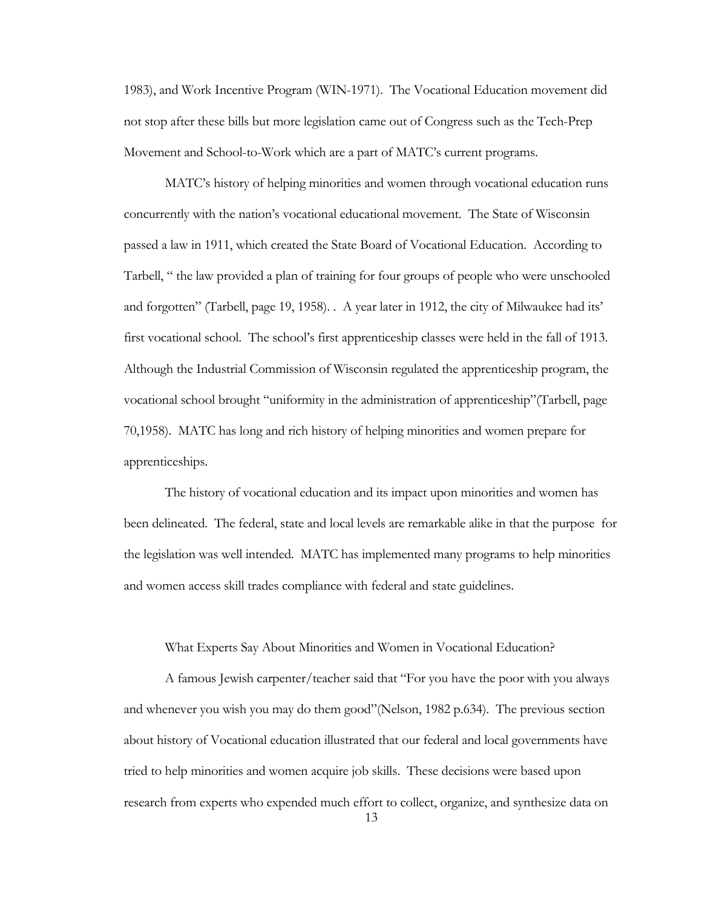1983), and Work Incentive Program (WIN-1971). The Vocational Education movement did not stop after these bills but more legislation came out of Congress such as the Tech-Prep Movement and School-to-Work which are a part of MATC's current programs.

MATC's history of helping minorities and women through vocational education runs concurrently with the nation's vocational educational movement. The State of Wisconsin passed a law in 1911, which created the State Board of Vocational Education. According to Tarbell, " the law provided a plan of training for four groups of people who were unschooled and forgotten" (Tarbell, page 19, 1958). . A year later in 1912, the city of Milwaukee had its' first vocational school. The school's first apprenticeship classes were held in the fall of 1913. Although the Industrial Commission of Wisconsin regulated the apprenticeship program, the vocational school brought "uniformity in the administration of apprenticeship"(Tarbell, page 70,1958). MATC has long and rich history of helping minorities and women prepare for apprenticeships.

The history of vocational education and its impact upon minorities and women has been delineated. The federal, state and local levels are remarkable alike in that the purpose for the legislation was well intended. MATC has implemented many programs to help minorities and women access skill trades compliance with federal and state guidelines.

#### What Experts Say About Minorities and Women in Vocational Education?

A famous Jewish carpenter/teacher said that "For you have the poor with you always and whenever you wish you may do them good"(Nelson, 1982 p.634). The previous section about history of Vocational education illustrated that our federal and local governments have tried to help minorities and women acquire job skills. These decisions were based upon research from experts who expended much effort to collect, organize, and synthesize data on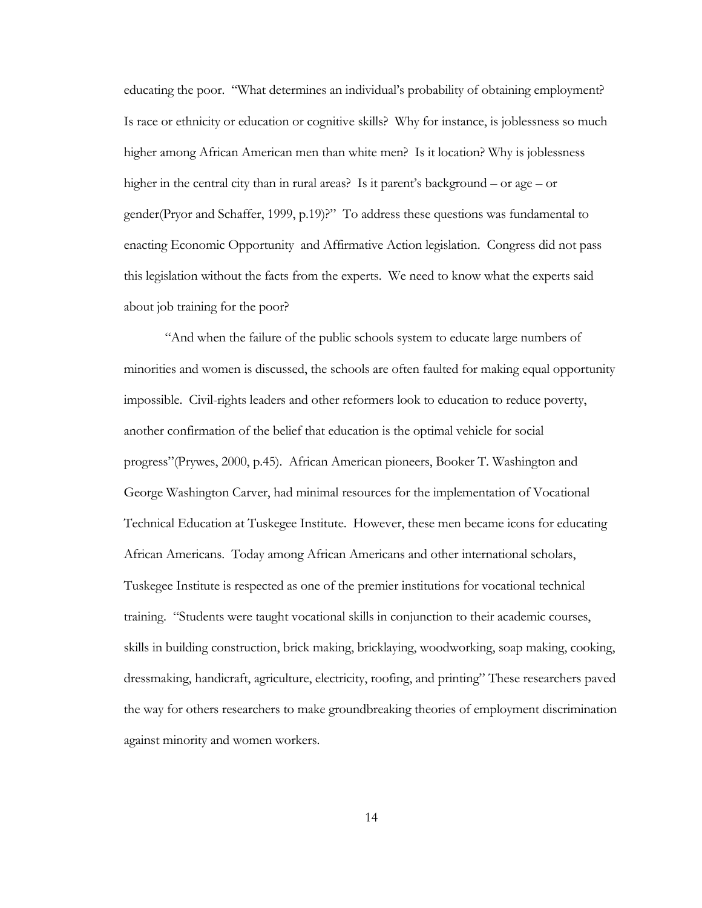educating the poor. "What determines an individual's probability of obtaining employment? Is race or ethnicity or education or cognitive skills? Why for instance, is joblessness so much higher among African American men than white men? Is it location? Why is joblessness higher in the central city than in rural areas? Is it parent's background – or age – or gender(Pryor and Schaffer, 1999, p.19)?" To address these questions was fundamental to enacting Economic Opportunity and Affirmative Action legislation. Congress did not pass this legislation without the facts from the experts. We need to know what the experts said about job training for the poor?

"And when the failure of the public schools system to educate large numbers of minorities and women is discussed, the schools are often faulted for making equal opportunity impossible. Civil-rights leaders and other reformers look to education to reduce poverty, another confirmation of the belief that education is the optimal vehicle for social progress"(Prywes, 2000, p.45). African American pioneers, Booker T. Washington and George Washington Carver, had minimal resources for the implementation of Vocational Technical Education at Tuskegee Institute. However, these men became icons for educating African Americans. Today among African Americans and other international scholars, Tuskegee Institute is respected as one of the premier institutions for vocational technical training. "Students were taught vocational skills in conjunction to their academic courses, skills in building construction, brick making, bricklaying, woodworking, soap making, cooking, dressmaking, handicraft, agriculture, electricity, roofing, and printing" These researchers paved the way for others researchers to make groundbreaking theories of employment discrimination against minority and women workers.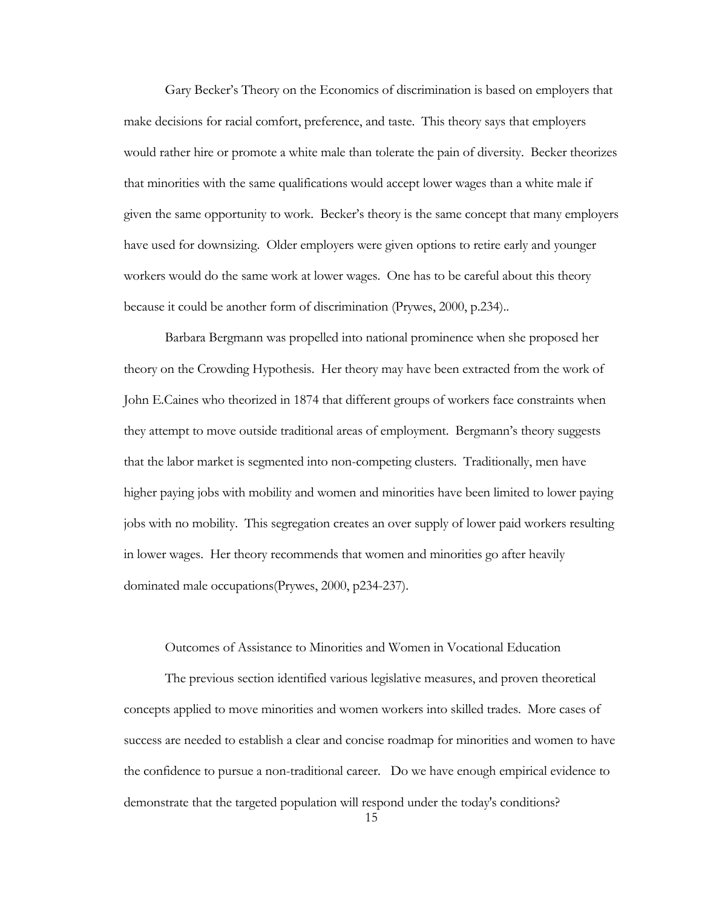Gary Becker's Theory on the Economics of discrimination is based on employers that make decisions for racial comfort, preference, and taste. This theory says that employers would rather hire or promote a white male than tolerate the pain of diversity. Becker theorizes that minorities with the same qualifications would accept lower wages than a white male if given the same opportunity to work. Becker's theory is the same concept that many employers have used for downsizing. Older employers were given options to retire early and younger workers would do the same work at lower wages. One has to be careful about this theory because it could be another form of discrimination (Prywes, 2000, p.234)..

Barbara Bergmann was propelled into national prominence when she proposed her theory on the Crowding Hypothesis. Her theory may have been extracted from the work of John E.Caines who theorized in 1874 that different groups of workers face constraints when they attempt to move outside traditional areas of employment. Bergmann's theory suggests that the labor market is segmented into non-competing clusters. Traditionally, men have higher paying jobs with mobility and women and minorities have been limited to lower paying jobs with no mobility. This segregation creates an over supply of lower paid workers resulting in lower wages. Her theory recommends that women and minorities go after heavily dominated male occupations(Prywes, 2000, p234-237).

#### Outcomes of Assistance to Minorities and Women in Vocational Education

The previous section identified various legislative measures, and proven theoretical concepts applied to move minorities and women workers into skilled trades. More cases of success are needed to establish a clear and concise roadmap for minorities and women to have the confidence to pursue a non-traditional career. Do we have enough empirical evidence to demonstrate that the targeted population will respond under the today's conditions?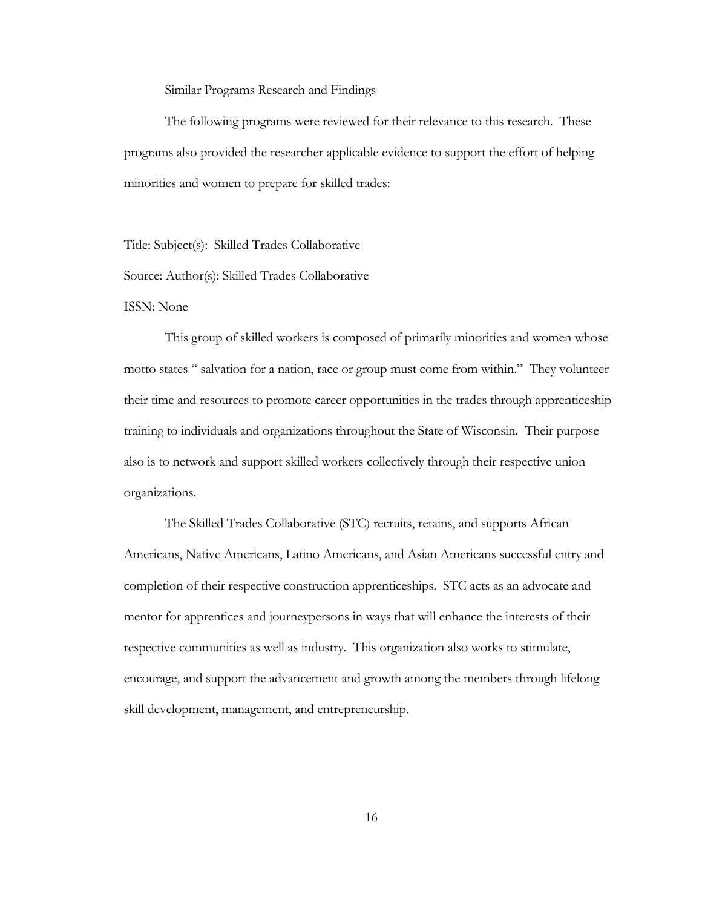Similar Programs Research and Findings

The following programs were reviewed for their relevance to this research. These programs also provided the researcher applicable evidence to support the effort of helping minorities and women to prepare for skilled trades:

Title: Subject(s):Skilled Trades Collaborative

Source: Author(s): Skilled Trades Collaborative

ISSN: None

This group of skilled workers is composed of primarily minorities and women whose motto states " salvation for a nation, race or group must come from within." They volunteer their time and resources to promote career opportunities in the trades through apprenticeship training to individuals and organizations throughout the State of Wisconsin. Their purpose also is to network and support skilled workers collectively through their respective union organizations.

The Skilled Trades Collaborative (STC) recruits, retains, and supports African Americans, Native Americans, Latino Americans, and Asian Americans successful entry and completion of their respective construction apprenticeships. STC acts as an advocate and mentor for apprentices and journeypersons in ways that will enhance the interests of their respective communities as well as industry. This organization also works to stimulate, encourage, and support the advancement and growth among the members through lifelong skill development, management, and entrepreneurship.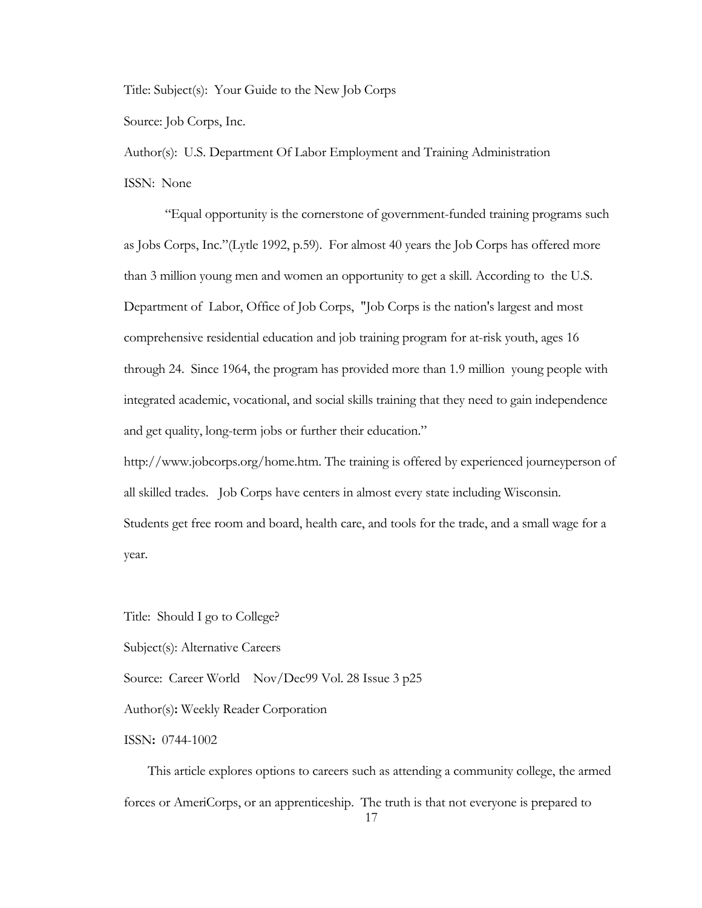Title: Subject(s):Your Guide to the New Job Corps

Source: Job Corps, Inc.

Author(s):U.S. Department Of Labor Employment and Training Administration

ISSN:None

"Equal opportunity is the cornerstone of government-funded training programs such as Jobs Corps, Inc."(Lytle 1992, p.59). For almost 40 years the Job Corps has offered more than 3 million young men and women an opportunity to get a skill. According to the U.S. Department of Labor, Office of Job Corps, "Job Corps is the nation's largest and most comprehensive residential education and job training program for at-risk youth, ages 16 through 24. Since 1964, the program has provided more than 1.9 million young people with integrated academic, vocational, and social skills training that they need to gain independence and get quality, long-term jobs or further their education."

http://www.jobcorps.org/home.htm. The training is offered by experienced journeyperson of all skilled trades. Job Corps have centers in almost every state including Wisconsin. Students get free room and board, health care, and tools for the trade, and a small wage for a year.

Title:Should I go to College?

Subject(s): Alternative Careers

Source:Career World Nov/Dec99 Vol. 28 Issue 3 p25

Author(s)**:** Weekly Reader Corporation

ISSN**:** 0744-1002

 This article explores options to careers such as attending a community college, the armed forces or AmeriCorps, or an apprenticeship. The truth is that not everyone is prepared to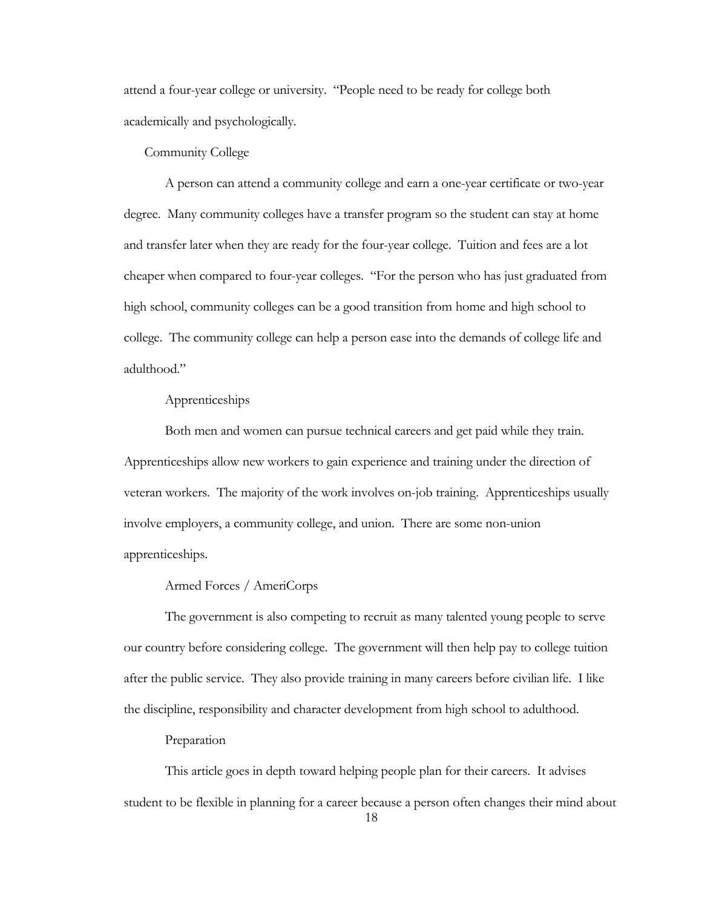attend a four-year college or university. "People need to be ready for college both academically and psychologically.

## Community College

 A person can attend a community college and earn a one-year certificate or two-year degree. Many community colleges have a transfer program so the student can stay at home and transfer later when they are ready for the four-year college. Tuition and fees are a lot cheaper when compared to four-year colleges. "For the person who has just graduated from high school, community colleges can be a good transition from home and high school to college. The community college can help a person ease into the demands of college life and adulthood."

## Apprenticeships

 Both men and women can pursue technical careers and get paid while they train. Apprenticeships allow new workers to gain experience and training under the direction of veteran workers. The majority of the work involves on-job training. Apprenticeships usually involve employers, a community college, and union. There are some non-union apprenticeships.

## Armed Forces / AmeriCorps

 The government is also competing to recruit as many talented young people to serve our country before considering college. The government will then help pay to college tuition after the public service. They also provide training in many careers before civilian life. I like the discipline, responsibility and character development from high school to adulthood.

#### Preparation

 This article goes in depth toward helping people plan for their careers. It advises student to be flexible in planning for a career because a person often changes their mind about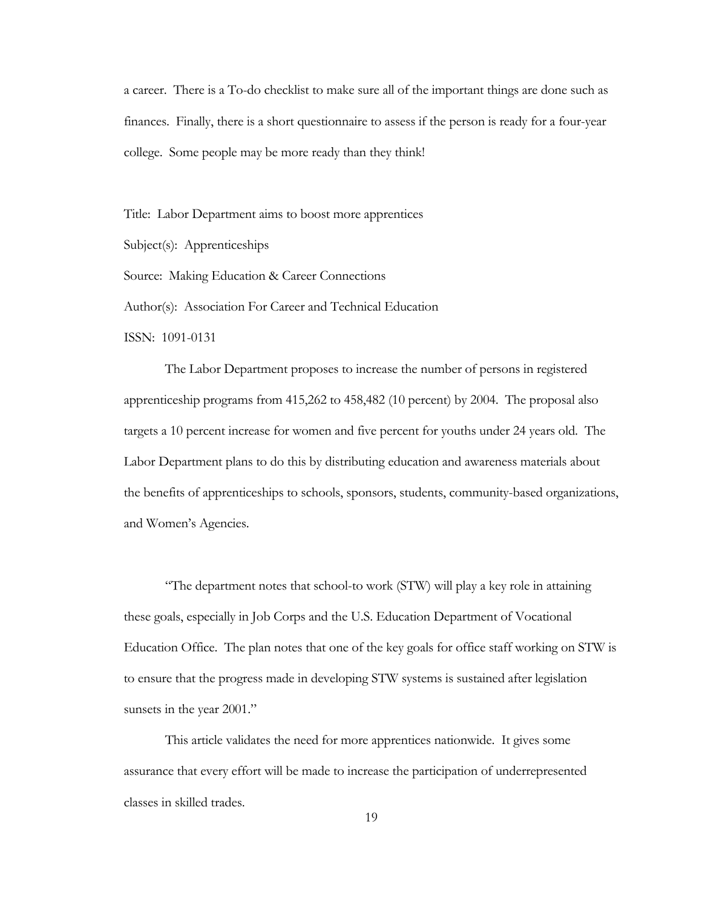a career. There is a To-do checklist to make sure all of the important things are done such as finances. Finally, there is a short questionnaire to assess if the person is ready for a four-year college. Some people may be more ready than they think!

Title:Labor Department aims to boost more apprentices

Subject(s):Apprenticeships

Source:Making Education & Career Connections

Author(s):Association For Career and Technical Education

ISSN: 1091-0131

 The Labor Department proposes to increase the number of persons in registered apprenticeship programs from 415,262 to 458,482 (10 percent) by 2004. The proposal also targets a 10 percent increase for women and five percent for youths under 24 years old. The Labor Department plans to do this by distributing education and awareness materials about the benefits of apprenticeships to schools, sponsors, students, community-based organizations, and Women's Agencies.

 "The department notes that school-to work (STW) will play a key role in attaining these goals, especially in Job Corps and the U.S. Education Department of Vocational Education Office. The plan notes that one of the key goals for office staff working on STW is to ensure that the progress made in developing STW systems is sustained after legislation sunsets in the year 2001."

 This article validates the need for more apprentices nationwide. It gives some assurance that every effort will be made to increase the participation of underrepresented classes in skilled trades.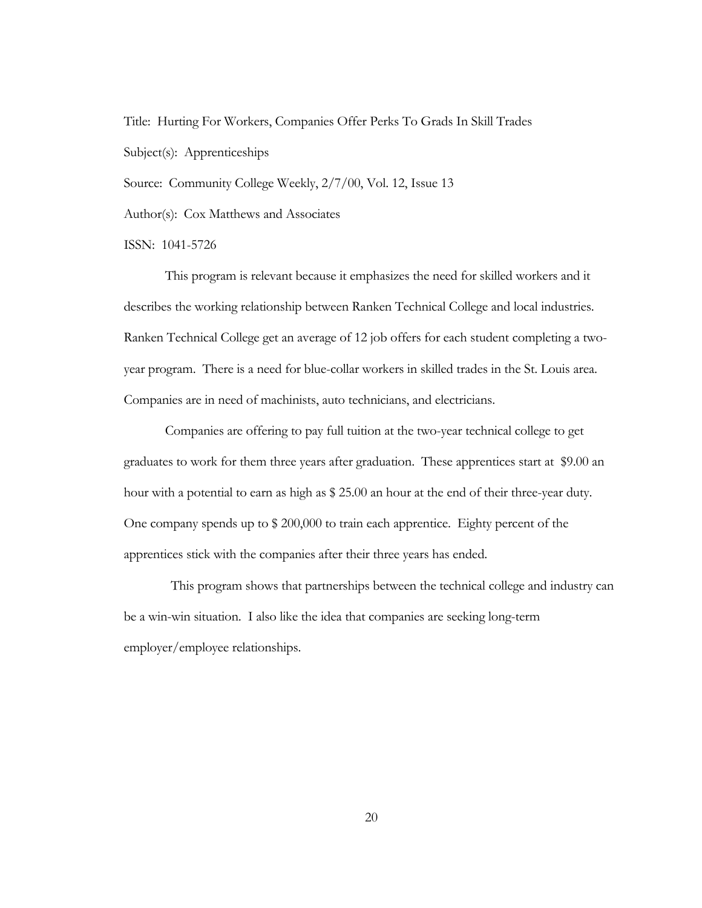Title:Hurting For Workers, Companies Offer Perks To Grads In Skill Trades Subject(s):Apprenticeships

Source: Community College Weekly,  $2/7/00$ , Vol. 12, Issue 13

Author(s):Cox Matthews and Associates

ISSN:1041-5726

 This program is relevant because it emphasizes the need for skilled workers and it describes the working relationship between Ranken Technical College and local industries. Ranken Technical College get an average of 12 job offers for each student completing a twoyear program. There is a need for blue-collar workers in skilled trades in the St. Louis area. Companies are in need of machinists, auto technicians, and electricians.

 Companies are offering to pay full tuition at the two-year technical college to get graduates to work for them three years after graduation. These apprentices start at \$9.00 an hour with a potential to earn as high as \$ 25.00 an hour at the end of their three-year duty. One company spends up to \$ 200,000 to train each apprentice. Eighty percent of the apprentices stick with the companies after their three years has ended.

 This program shows that partnerships between the technical college and industry can be a win-win situation. I also like the idea that companies are seeking long-term employer/employee relationships.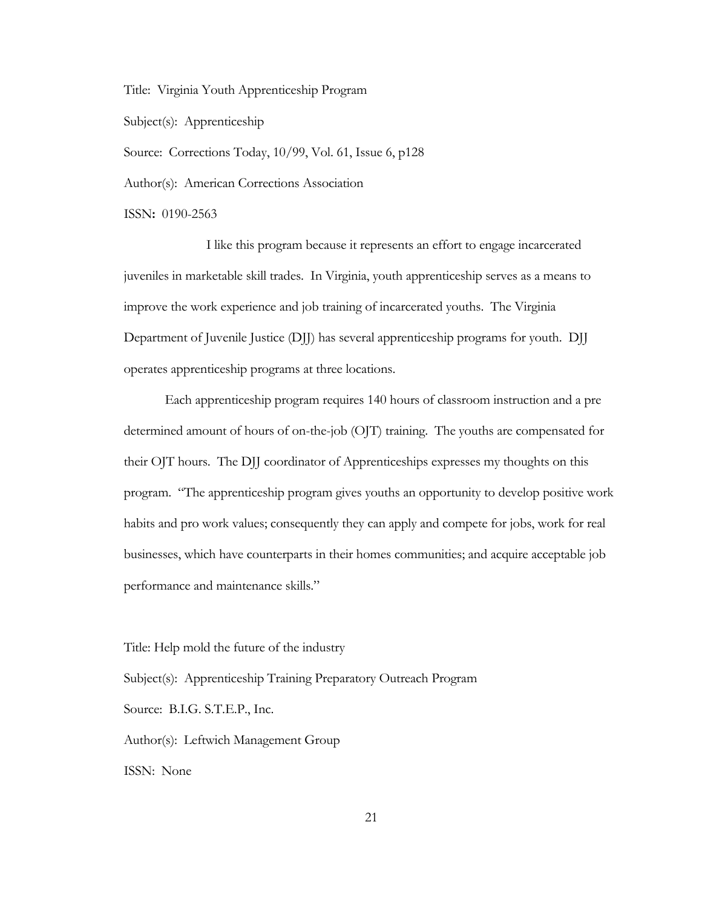Title:Virginia Youth Apprenticeship Program

Subject(s):Apprenticeship

Source:Corrections Today, 10/99, Vol. 61, Issue 6, p128

Author(s):American Corrections Association

ISSN**:** 0190-2563

I like this program because it represents an effort to engage incarcerated juveniles in marketable skill trades. In Virginia, youth apprenticeship serves as a means to improve the work experience and job training of incarcerated youths. The Virginia Department of Juvenile Justice (DJJ) has several apprenticeship programs for youth. DJJ operates apprenticeship programs at three locations.

Each apprenticeship program requires 140 hours of classroom instruction and a pre determined amount of hours of on-the-job (OJT) training. The youths are compensated for their OJT hours. The DJJ coordinator of Apprenticeships expresses my thoughts on this program. "The apprenticeship program gives youths an opportunity to develop positive work habits and pro work values; consequently they can apply and compete for jobs, work for real businesses, which have counterparts in their homes communities; and acquire acceptable job performance and maintenance skills."

Title: Help mold the future of the industry

Subject(s):Apprenticeship Training Preparatory Outreach Program

Source:B.I.G. S.T.E.P., Inc.

Author(s):Leftwich Management Group

ISSN:None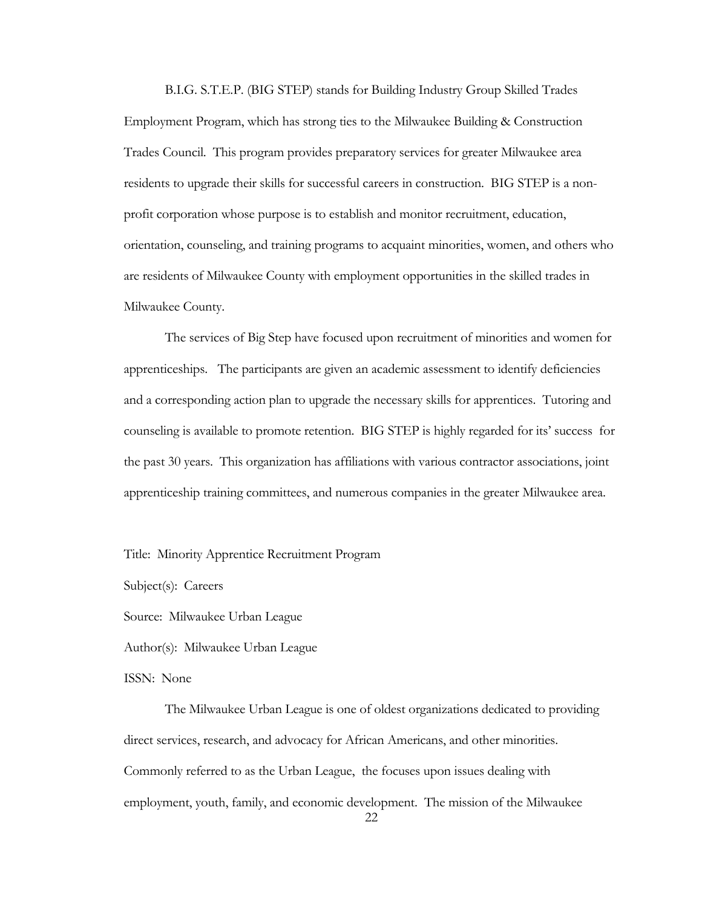B.I.G. S.T.E.P. (BIG STEP) stands for Building Industry Group Skilled Trades Employment Program, which has strong ties to the Milwaukee Building & Construction Trades Council. This program provides preparatory services for greater Milwaukee area residents to upgrade their skills for successful careers in construction. BIG STEP is a nonprofit corporation whose purpose is to establish and monitor recruitment, education, orientation, counseling, and training programs to acquaint minorities, women, and others who are residents of Milwaukee County with employment opportunities in the skilled trades in Milwaukee County.

The services of Big Step have focused upon recruitment of minorities and women for apprenticeships. The participants are given an academic assessment to identify deficiencies and a corresponding action plan to upgrade the necessary skills for apprentices. Tutoring and counseling is available to promote retention. BIG STEP is highly regarded for its' success for the past 30 years. This organization has affiliations with various contractor associations, joint apprenticeship training committees, and numerous companies in the greater Milwaukee area.

Title: Minority Apprentice Recruitment Program

Subject(s):Careers

Source:Milwaukee Urban League

Author(s):Milwaukee Urban League

ISSN:None

The Milwaukee Urban League is one of oldest organizations dedicated to providing direct services, research, and advocacy for African Americans, and other minorities. Commonly referred to as the Urban League, the focuses upon issues dealing with employment, youth, family, and economic development. The mission of the Milwaukee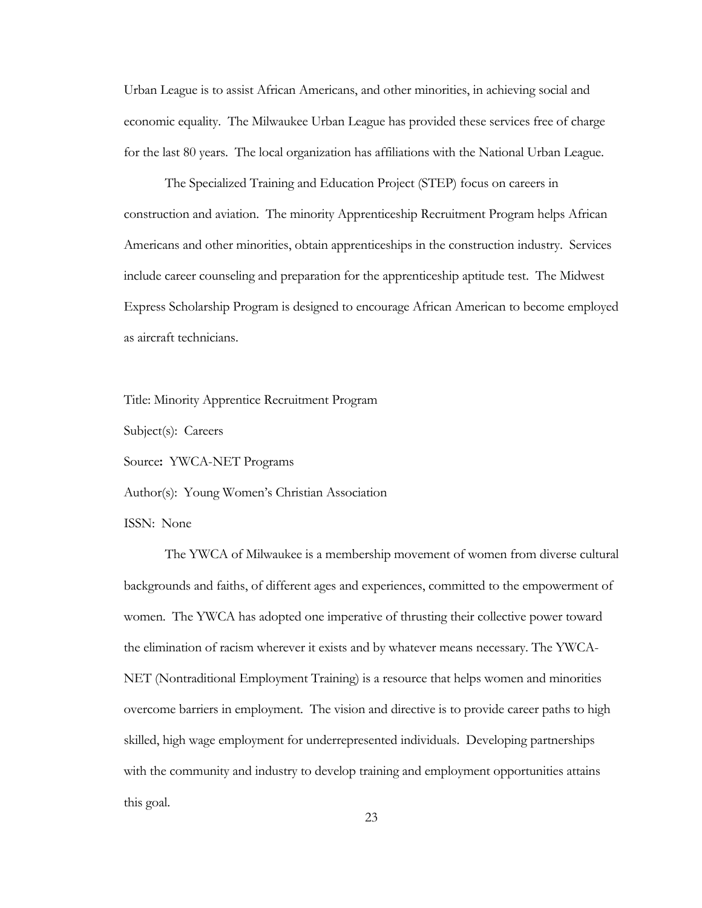Urban League is to assist African Americans, and other minorities, in achieving social and economic equality. The Milwaukee Urban League has provided these services free of charge for the last 80 years. The local organization has affiliations with the National Urban League.

 The Specialized Training and Education Project (STEP) focus on careers in construction and aviation. The minority Apprenticeship Recruitment Program helps African Americans and other minorities, obtain apprenticeships in the construction industry. Services include career counseling and preparation for the apprenticeship aptitude test. The Midwest Express Scholarship Program is designed to encourage African American to become employed as aircraft technicians.

Title: Minority Apprentice Recruitment Program

Subject(s): Careers

Source**:** YWCA-NET Programs

Author(s):Young Women's Christian Association

ISSN:None

The YWCA of Milwaukee is a membership movement of women from diverse cultural backgrounds and faiths, of different ages and experiences, committed to the empowerment of women. The YWCA has adopted one imperative of thrusting their collective power toward the elimination of racism wherever it exists and by whatever means necessary. The YWCA-NET (Nontraditional Employment Training) is a resource that helps women and minorities overcome barriers in employment. The vision and directive is to provide career paths to high skilled, high wage employment for underrepresented individuals. Developing partnerships with the community and industry to develop training and employment opportunities attains this goal.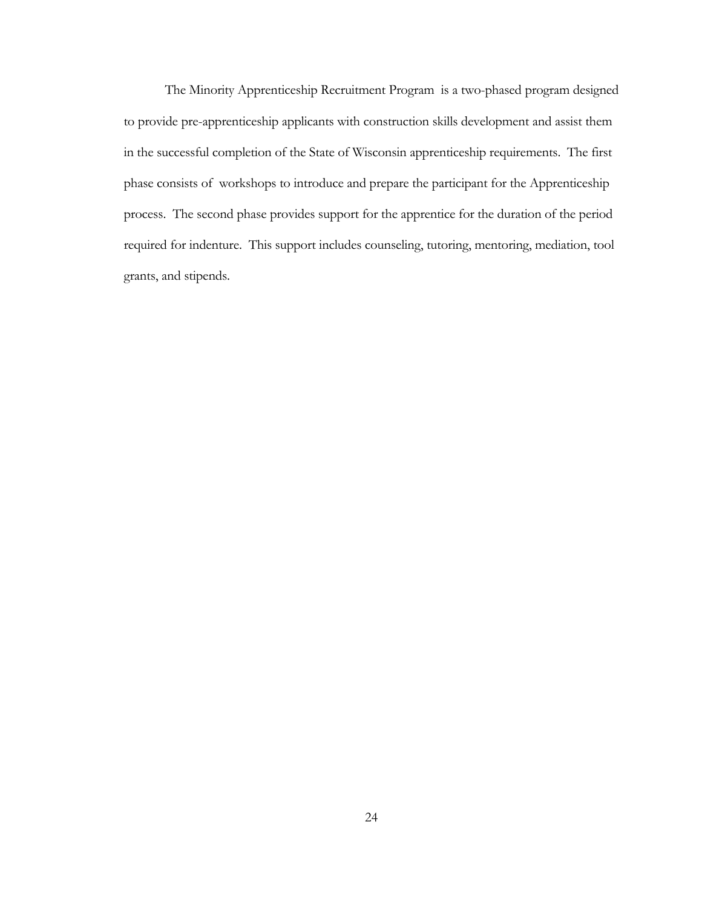The Minority Apprenticeship Recruitment Program is a two-phased program designed to provide pre-apprenticeship applicants with construction skills development and assist them in the successful completion of the State of Wisconsin apprenticeship requirements. The first phase consists of workshops to introduce and prepare the participant for the Apprenticeship process. The second phase provides support for the apprentice for the duration of the period required for indenture. This support includes counseling, tutoring, mentoring, mediation, tool grants, and stipends.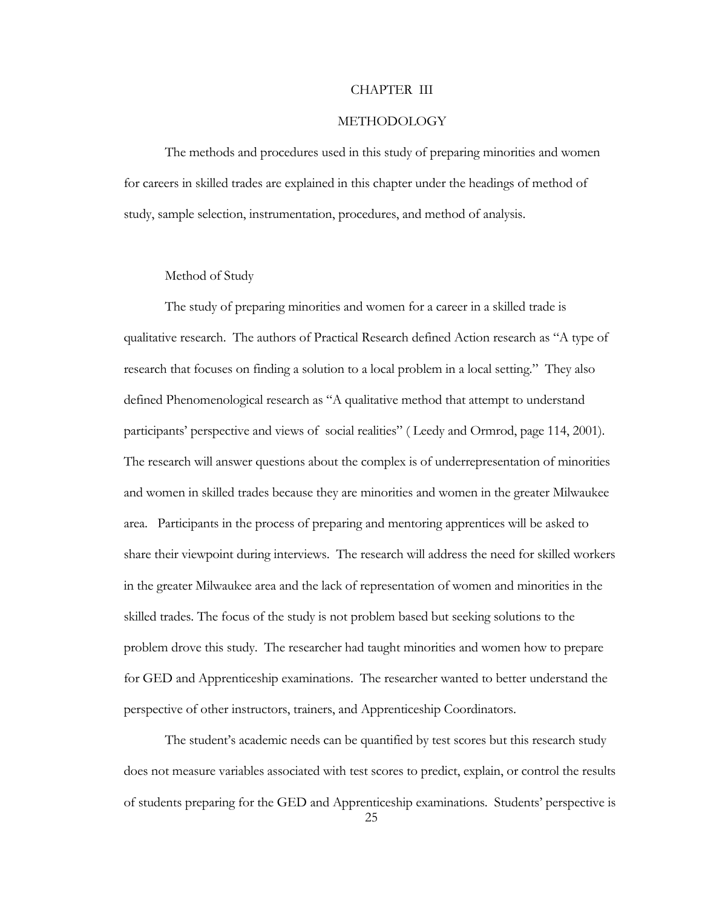#### CHAPTER III

#### METHODOLOGY

The methods and procedures used in this study of preparing minorities and women for careers in skilled trades are explained in this chapter under the headings of method of study, sample selection, instrumentation, procedures, and method of analysis.

### Method of Study

The study of preparing minorities and women for a career in a skilled trade is qualitative research. The authors of Practical Research defined Action research as "A type of research that focuses on finding a solution to a local problem in a local setting." They also defined Phenomenological research as "A qualitative method that attempt to understand participants' perspective and views of social realities" ( Leedy and Ormrod, page 114, 2001). The research will answer questions about the complex is of underrepresentation of minorities and women in skilled trades because they are minorities and women in the greater Milwaukee area. Participants in the process of preparing and mentoring apprentices will be asked to share their viewpoint during interviews. The research will address the need for skilled workers in the greater Milwaukee area and the lack of representation of women and minorities in the skilled trades. The focus of the study is not problem based but seeking solutions to the problem drove this study. The researcher had taught minorities and women how to prepare for GED and Apprenticeship examinations. The researcher wanted to better understand the perspective of other instructors, trainers, and Apprenticeship Coordinators.

The student's academic needs can be quantified by test scores but this research study does not measure variables associated with test scores to predict, explain, or control the results of students preparing for the GED and Apprenticeship examinations. Students' perspective is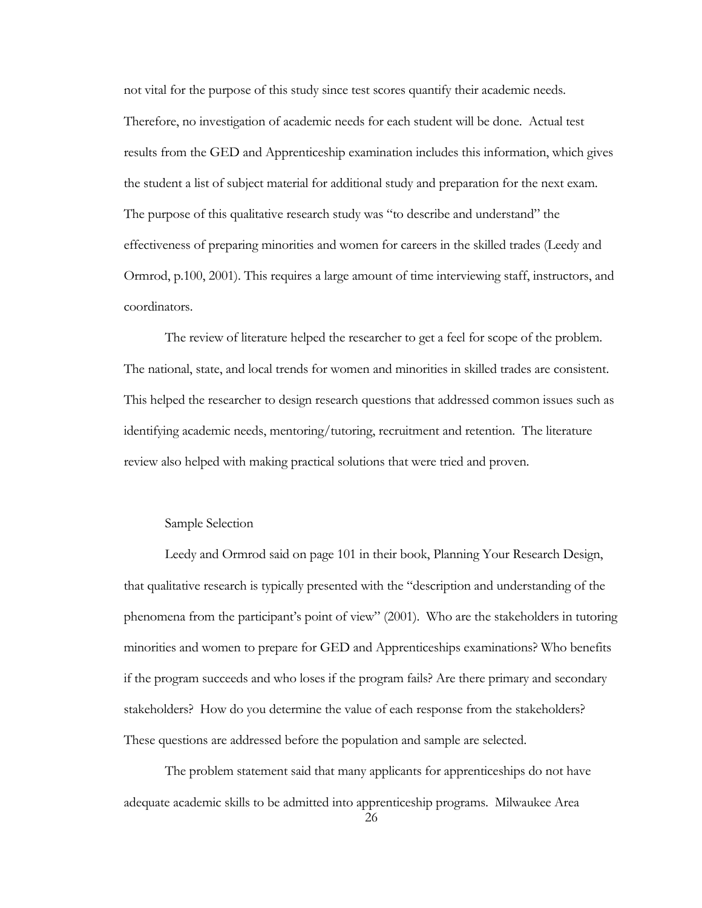not vital for the purpose of this study since test scores quantify their academic needs. Therefore, no investigation of academic needs for each student will be done. Actual test results from the GED and Apprenticeship examination includes this information, which gives the student a list of subject material for additional study and preparation for the next exam. The purpose of this qualitative research study was "to describe and understand" the effectiveness of preparing minorities and women for careers in the skilled trades (Leedy and Ormrod, p.100, 2001). This requires a large amount of time interviewing staff, instructors, and coordinators.

The review of literature helped the researcher to get a feel for scope of the problem. The national, state, and local trends for women and minorities in skilled trades are consistent. This helped the researcher to design research questions that addressed common issues such as identifying academic needs, mentoring/tutoring, recruitment and retention. The literature review also helped with making practical solutions that were tried and proven.

## Sample Selection

Leedy and Ormrod said on page 101 in their book, Planning Your Research Design, that qualitative research is typically presented with the "description and understanding of the phenomena from the participant's point of view" (2001). Who are the stakeholders in tutoring minorities and women to prepare for GED and Apprenticeships examinations? Who benefits if the program succeeds and who loses if the program fails? Are there primary and secondary stakeholders? How do you determine the value of each response from the stakeholders? These questions are addressed before the population and sample are selected.

The problem statement said that many applicants for apprenticeships do not have adequate academic skills to be admitted into apprenticeship programs. Milwaukee Area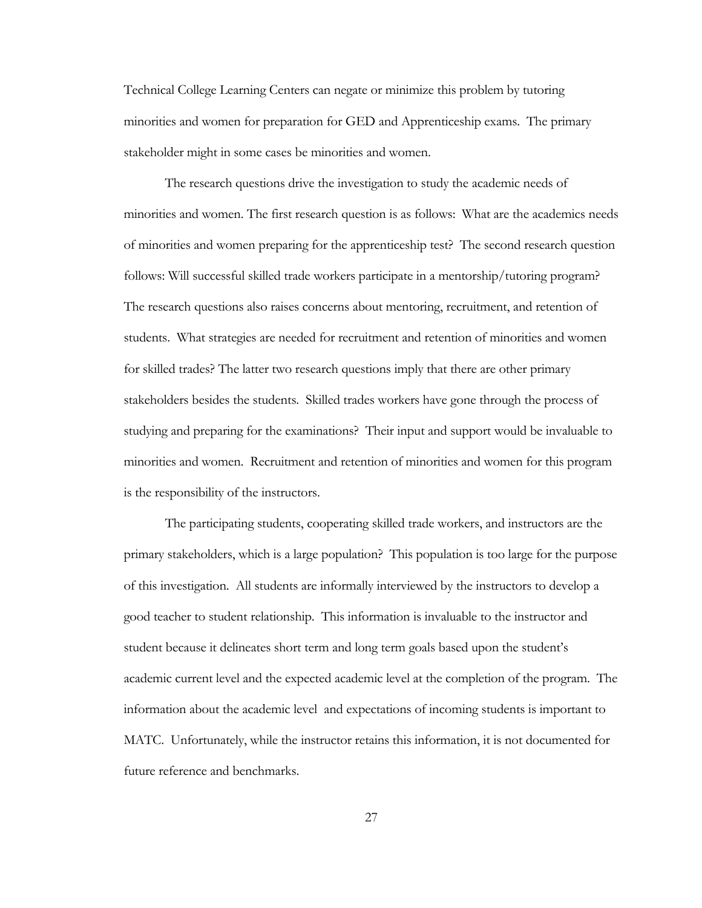Technical College Learning Centers can negate or minimize this problem by tutoring minorities and women for preparation for GED and Apprenticeship exams. The primary stakeholder might in some cases be minorities and women.

The research questions drive the investigation to study the academic needs of minorities and women. The first research question is as follows: What are the academics needs of minorities and women preparing for the apprenticeship test? The second research question follows: Will successful skilled trade workers participate in a mentorship/tutoring program? The research questions also raises concerns about mentoring, recruitment, and retention of students. What strategies are needed for recruitment and retention of minorities and women for skilled trades? The latter two research questions imply that there are other primary stakeholders besides the students. Skilled trades workers have gone through the process of studying and preparing for the examinations? Their input and support would be invaluable to minorities and women. Recruitment and retention of minorities and women for this program is the responsibility of the instructors.

 The participating students, cooperating skilled trade workers, and instructors are the primary stakeholders, which is a large population? This population is too large for the purpose of this investigation. All students are informally interviewed by the instructors to develop a good teacher to student relationship. This information is invaluable to the instructor and student because it delineates short term and long term goals based upon the student's academic current level and the expected academic level at the completion of the program. The information about the academic level and expectations of incoming students is important to MATC. Unfortunately, while the instructor retains this information, it is not documented for future reference and benchmarks.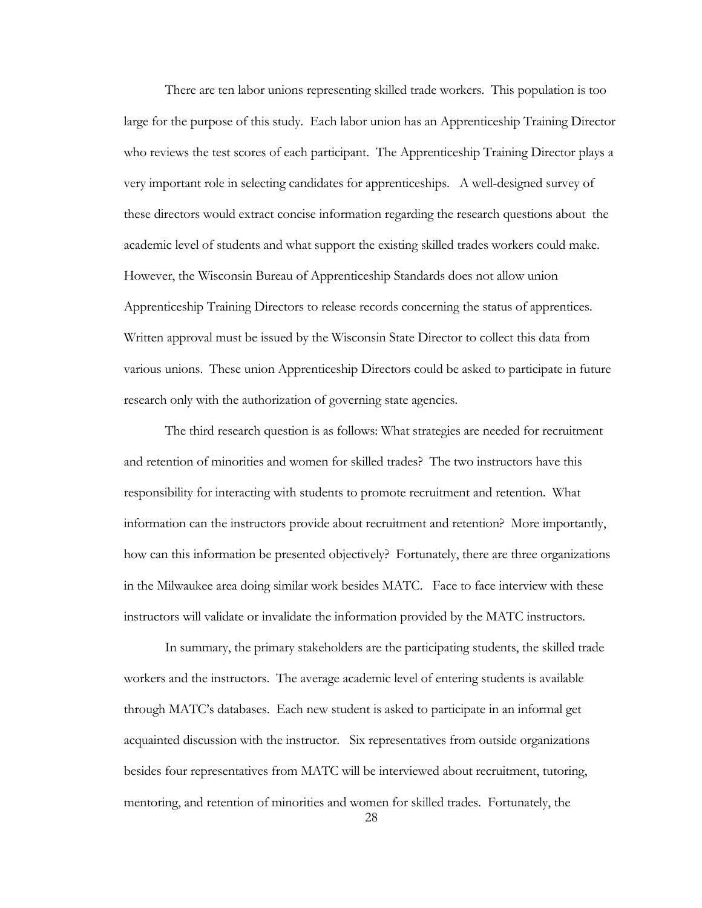There are ten labor unions representing skilled trade workers. This population is too large for the purpose of this study. Each labor union has an Apprenticeship Training Director who reviews the test scores of each participant. The Apprenticeship Training Director plays a very important role in selecting candidates for apprenticeships. A well-designed survey of these directors would extract concise information regarding the research questions about the academic level of students and what support the existing skilled trades workers could make. However, the Wisconsin Bureau of Apprenticeship Standards does not allow union Apprenticeship Training Directors to release records concerning the status of apprentices. Written approval must be issued by the Wisconsin State Director to collect this data from various unions. These union Apprenticeship Directors could be asked to participate in future research only with the authorization of governing state agencies.

The third research question is as follows: What strategies are needed for recruitment and retention of minorities and women for skilled trades? The two instructors have this responsibility for interacting with students to promote recruitment and retention. What information can the instructors provide about recruitment and retention? More importantly, how can this information be presented objectively? Fortunately, there are three organizations in the Milwaukee area doing similar work besides MATC. Face to face interview with these instructors will validate or invalidate the information provided by the MATC instructors.

In summary, the primary stakeholders are the participating students, the skilled trade workers and the instructors. The average academic level of entering students is available through MATC's databases. Each new student is asked to participate in an informal get acquainted discussion with the instructor. Six representatives from outside organizations besides four representatives from MATC will be interviewed about recruitment, tutoring, mentoring, and retention of minorities and women for skilled trades. Fortunately, the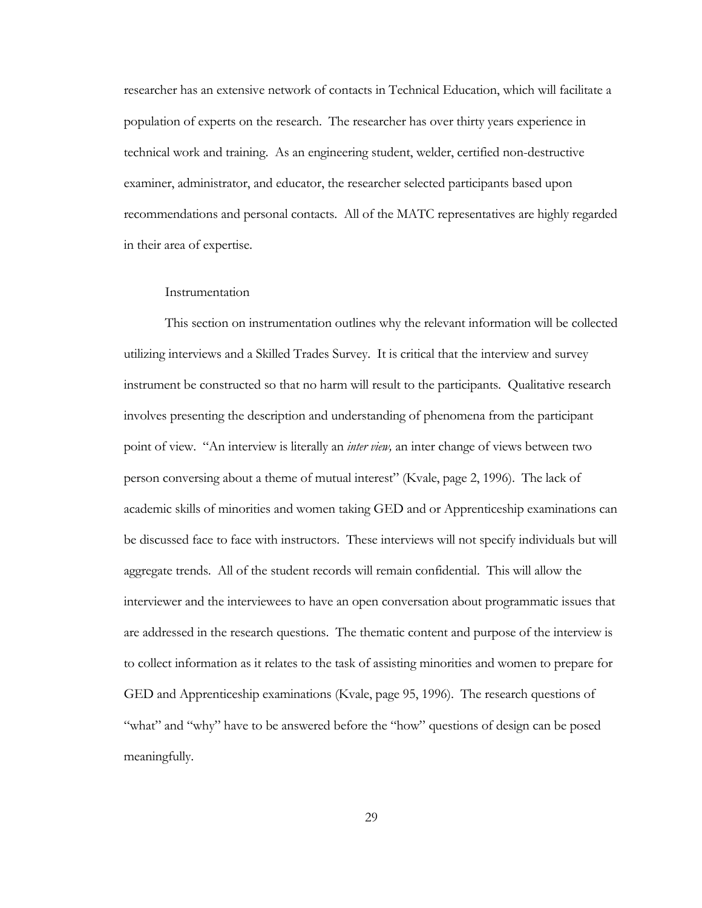researcher has an extensive network of contacts in Technical Education, which will facilitate a population of experts on the research. The researcher has over thirty years experience in technical work and training. As an engineering student, welder, certified non-destructive examiner, administrator, and educator, the researcher selected participants based upon recommendations and personal contacts. All of the MATC representatives are highly regarded in their area of expertise.

#### **Instrumentation**

This section on instrumentation outlines why the relevant information will be collected utilizing interviews and a Skilled Trades Survey. It is critical that the interview and survey instrument be constructed so that no harm will result to the participants. Qualitative research involves presenting the description and understanding of phenomena from the participant point of view. "An interview is literally an *inter view,* an inter change of views between two person conversing about a theme of mutual interest" (Kvale, page 2, 1996). The lack of academic skills of minorities and women taking GED and or Apprenticeship examinations can be discussed face to face with instructors. These interviews will not specify individuals but will aggregate trends. All of the student records will remain confidential. This will allow the interviewer and the interviewees to have an open conversation about programmatic issues that are addressed in the research questions. The thematic content and purpose of the interview is to collect information as it relates to the task of assisting minorities and women to prepare for GED and Apprenticeship examinations (Kvale, page 95, 1996). The research questions of "what" and "why" have to be answered before the "how" questions of design can be posed meaningfully.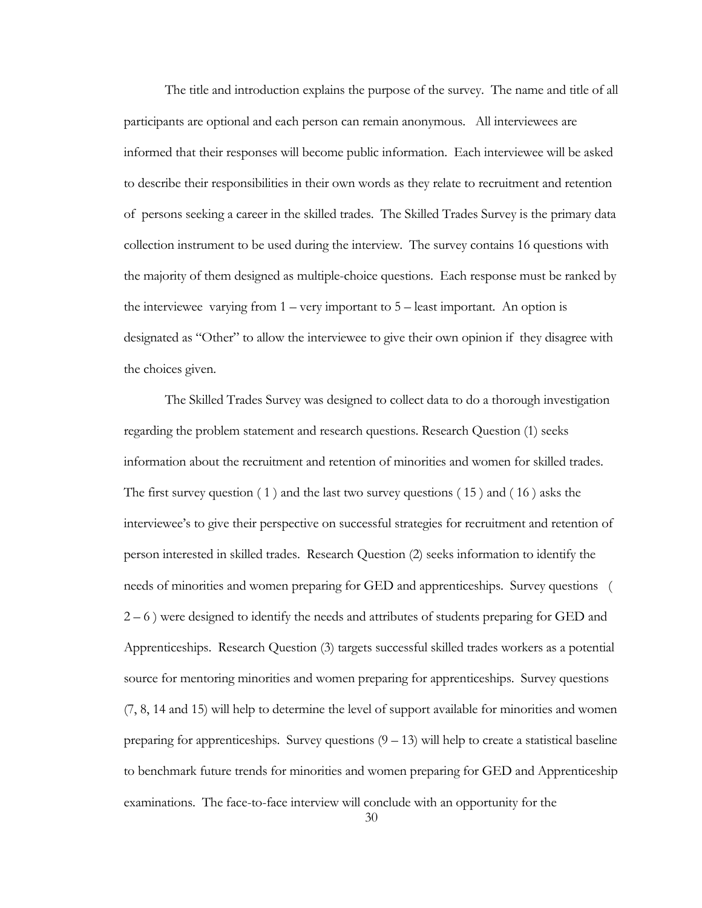The title and introduction explains the purpose of the survey. The name and title of all participants are optional and each person can remain anonymous. All interviewees are informed that their responses will become public information. Each interviewee will be asked to describe their responsibilities in their own words as they relate to recruitment and retention of persons seeking a career in the skilled trades. The Skilled Trades Survey is the primary data collection instrument to be used during the interview. The survey contains 16 questions with the majority of them designed as multiple-choice questions. Each response must be ranked by the interviewee varying from  $1 - \text{very important to } 5 - \text{least important}$ . An option is designated as "Other" to allow the interviewee to give their own opinion if they disagree with the choices given.

The Skilled Trades Survey was designed to collect data to do a thorough investigation regarding the problem statement and research questions. Research Question (1) seeks information about the recruitment and retention of minorities and women for skilled trades. The first survey question ( 1 ) and the last two survey questions ( 15 ) and ( 16 ) asks the interviewee's to give their perspective on successful strategies for recruitment and retention of person interested in skilled trades. Research Question (2) seeks information to identify the needs of minorities and women preparing for GED and apprenticeships. Survey questions ( 2 – 6 ) were designed to identify the needs and attributes of students preparing for GED and Apprenticeships. Research Question (3) targets successful skilled trades workers as a potential source for mentoring minorities and women preparing for apprenticeships. Survey questions (7, 8, 14 and 15) will help to determine the level of support available for minorities and women preparing for apprenticeships. Survey questions  $(9 - 13)$  will help to create a statistical baseline to benchmark future trends for minorities and women preparing for GED and Apprenticeship examinations. The face-to-face interview will conclude with an opportunity for the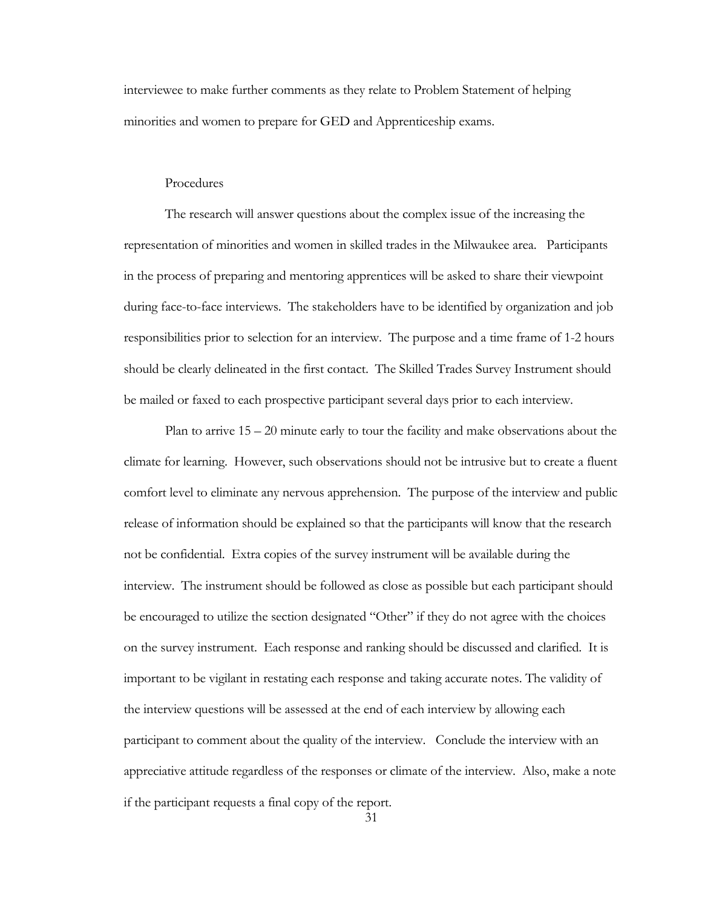interviewee to make further comments as they relate to Problem Statement of helping minorities and women to prepare for GED and Apprenticeship exams.

#### Procedures

The research will answer questions about the complex issue of the increasing the representation of minorities and women in skilled trades in the Milwaukee area. Participants in the process of preparing and mentoring apprentices will be asked to share their viewpoint during face-to-face interviews. The stakeholders have to be identified by organization and job responsibilities prior to selection for an interview. The purpose and a time frame of 1-2 hours should be clearly delineated in the first contact. The Skilled Trades Survey Instrument should be mailed or faxed to each prospective participant several days prior to each interview.

 Plan to arrive 15 – 20 minute early to tour the facility and make observations about the climate for learning. However, such observations should not be intrusive but to create a fluent comfort level to eliminate any nervous apprehension. The purpose of the interview and public release of information should be explained so that the participants will know that the research not be confidential. Extra copies of the survey instrument will be available during the interview. The instrument should be followed as close as possible but each participant should be encouraged to utilize the section designated "Other" if they do not agree with the choices on the survey instrument. Each response and ranking should be discussed and clarified. It is important to be vigilant in restating each response and taking accurate notes. The validity of the interview questions will be assessed at the end of each interview by allowing each participant to comment about the quality of the interview. Conclude the interview with an appreciative attitude regardless of the responses or climate of the interview. Also, make a note if the participant requests a final copy of the report.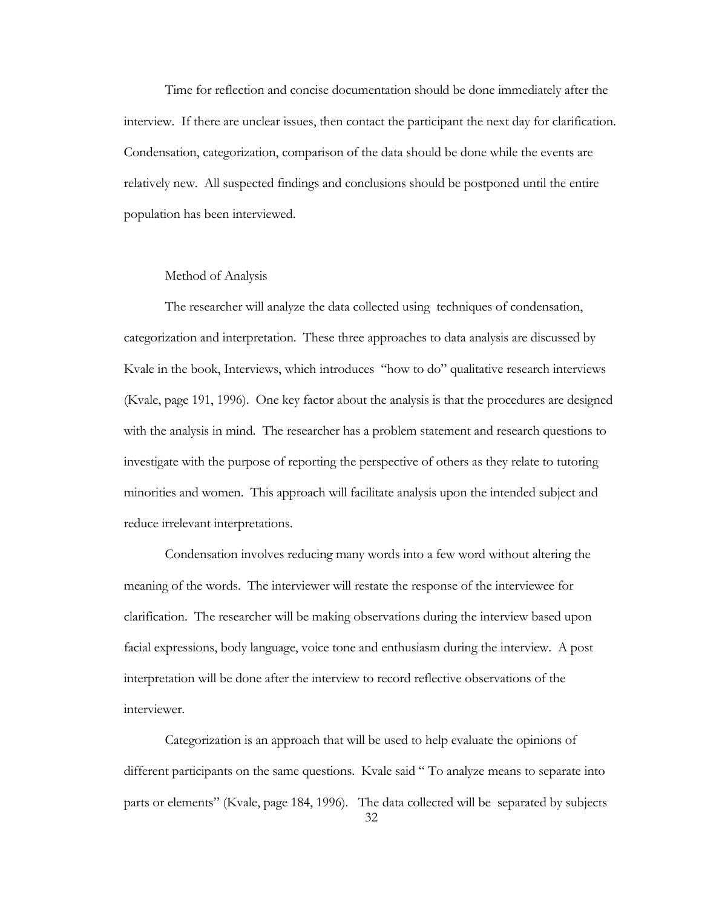Time for reflection and concise documentation should be done immediately after the interview. If there are unclear issues, then contact the participant the next day for clarification. Condensation, categorization, comparison of the data should be done while the events are relatively new. All suspected findings and conclusions should be postponed until the entire population has been interviewed.

#### Method of Analysis

The researcher will analyze the data collected using techniques of condensation, categorization and interpretation. These three approaches to data analysis are discussed by Kvale in the book, Interviews, which introduces "how to do" qualitative research interviews (Kvale, page 191, 1996). One key factor about the analysis is that the procedures are designed with the analysis in mind. The researcher has a problem statement and research questions to investigate with the purpose of reporting the perspective of others as they relate to tutoring minorities and women. This approach will facilitate analysis upon the intended subject and reduce irrelevant interpretations.

Condensation involves reducing many words into a few word without altering the meaning of the words. The interviewer will restate the response of the interviewee for clarification. The researcher will be making observations during the interview based upon facial expressions, body language, voice tone and enthusiasm during the interview. A post interpretation will be done after the interview to record reflective observations of the interviewer.

32 Categorization is an approach that will be used to help evaluate the opinions of different participants on the same questions. Kvale said " To analyze means to separate into parts or elements" (Kvale, page 184, 1996). The data collected will be separated by subjects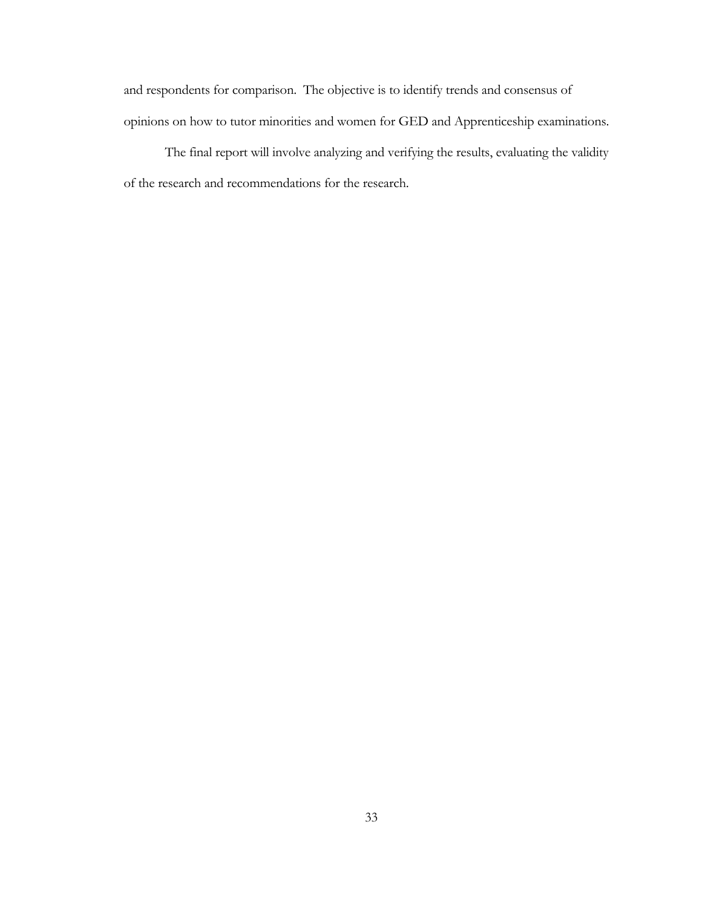and respondents for comparison. The objective is to identify trends and consensus of opinions on how to tutor minorities and women for GED and Apprenticeship examinations.

The final report will involve analyzing and verifying the results, evaluating the validity of the research and recommendations for the research.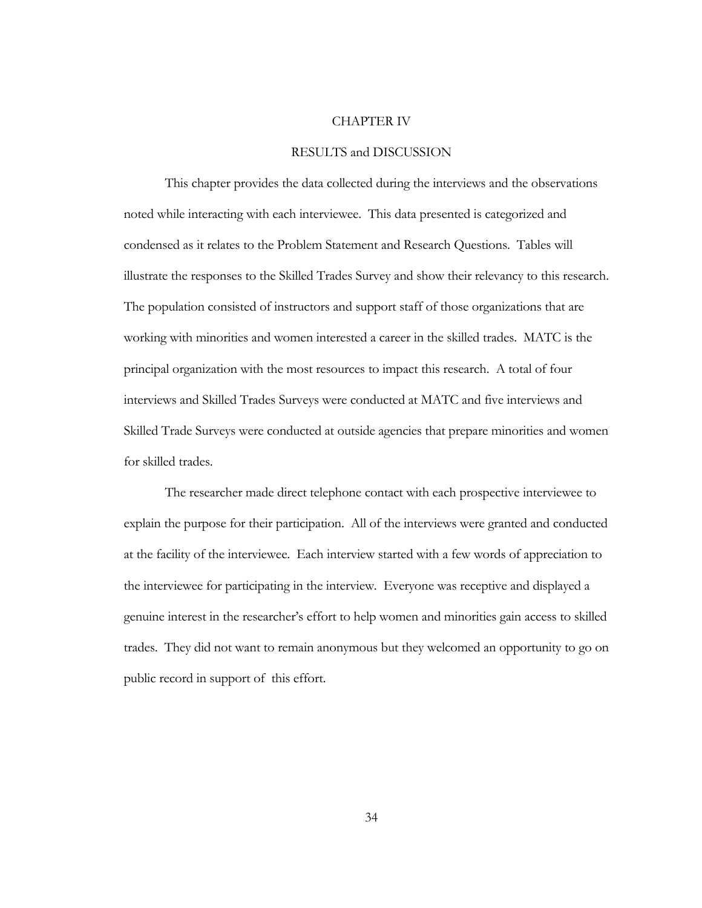#### CHAPTER IV

#### RESULTS and DISCUSSION

This chapter provides the data collected during the interviews and the observations noted while interacting with each interviewee. This data presented is categorized and condensed as it relates to the Problem Statement and Research Questions. Tables will illustrate the responses to the Skilled Trades Survey and show their relevancy to this research. The population consisted of instructors and support staff of those organizations that are working with minorities and women interested a career in the skilled trades. MATC is the principal organization with the most resources to impact this research. A total of four interviews and Skilled Trades Surveys were conducted at MATC and five interviews and Skilled Trade Surveys were conducted at outside agencies that prepare minorities and women for skilled trades.

The researcher made direct telephone contact with each prospective interviewee to explain the purpose for their participation. All of the interviews were granted and conducted at the facility of the interviewee. Each interview started with a few words of appreciation to the interviewee for participating in the interview. Everyone was receptive and displayed a genuine interest in the researcher's effort to help women and minorities gain access to skilled trades. They did not want to remain anonymous but they welcomed an opportunity to go on public record in support of this effort.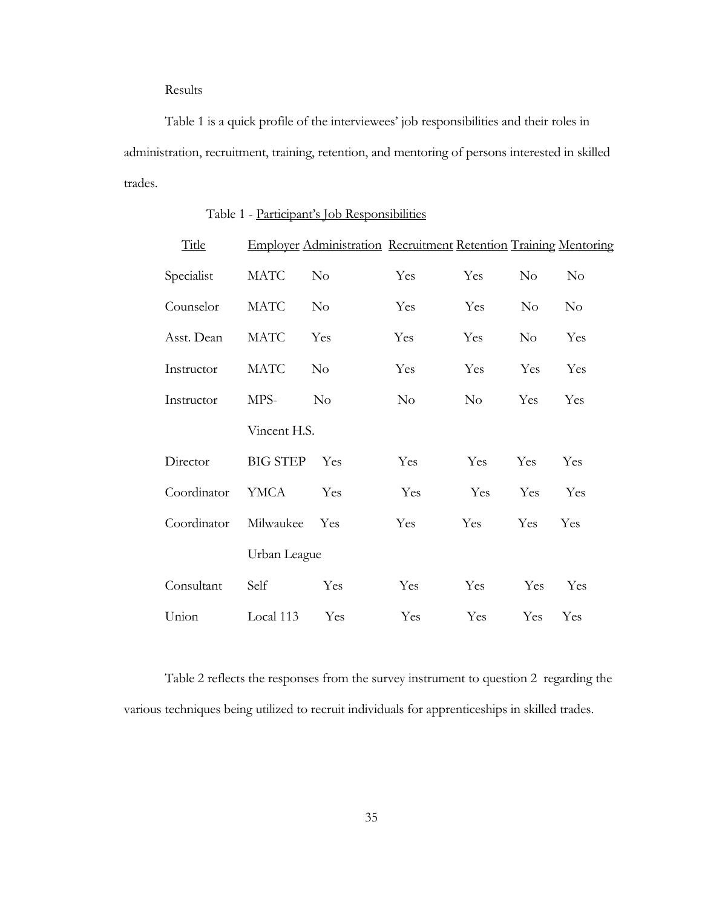Results

Table 1 is a quick profile of the interviewees' job responsibilities and their roles in administration, recruitment, training, retention, and mentoring of persons interested in skilled trades.

| Title       |                 | Employer Administration Recruitment Retention Training Mentoring |          |          |          |          |  |  |  |
|-------------|-----------------|------------------------------------------------------------------|----------|----------|----------|----------|--|--|--|
| Specialist  | <b>MATC</b>     | $\rm No$                                                         | Yes      | Yes      | $\rm No$ | $\rm No$ |  |  |  |
| Counselor   | <b>MATC</b>     | $\rm No$                                                         | Yes      | Yes      | $\rm No$ | $\rm No$ |  |  |  |
| Asst. Dean  | <b>MATC</b>     | Yes                                                              | Yes      | Yes      | $\rm No$ | Yes      |  |  |  |
| Instructor  | <b>MATC</b>     | $\rm No$                                                         | Yes      | Yes      | Yes      | Yes      |  |  |  |
| Instructor  | MPS-            | $\rm No$                                                         | $\rm No$ | $\rm No$ | Yes      | Yes      |  |  |  |
|             | Vincent H.S.    |                                                                  |          |          |          |          |  |  |  |
| Director    | <b>BIG STEP</b> | Yes                                                              | Yes      | Yes      | Yes      | Yes      |  |  |  |
| Coordinator | <b>YMCA</b>     | Yes                                                              | Yes      | Yes      | Yes      | Yes      |  |  |  |
| Coordinator | Milwaukee       | Yes                                                              | Yes      | Yes      | Yes      | Yes      |  |  |  |
|             | Urban League    |                                                                  |          |          |          |          |  |  |  |
| Consultant  | Self            | Yes                                                              | Yes      | Yes      | Yes      | Yes      |  |  |  |
| Union       | Local 113       | Yes                                                              | Yes      | Yes      | Yes      | Yes      |  |  |  |

### Table 1 - Participant's Job Responsibilities

Table 2 reflects the responses from the survey instrument to question 2 regarding the various techniques being utilized to recruit individuals for apprenticeships in skilled trades.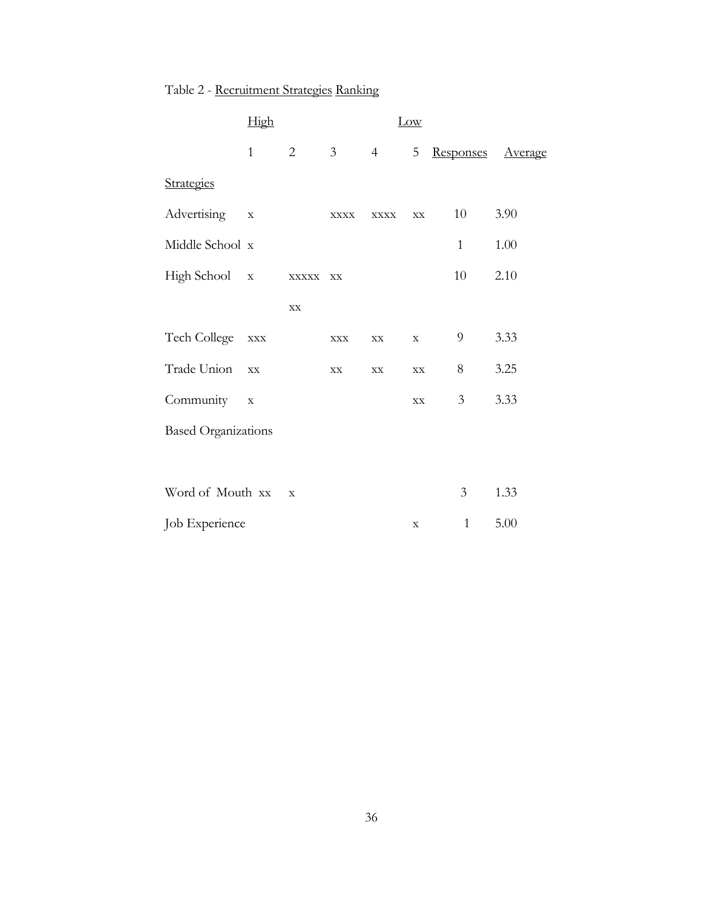|                            | High           |                |                |                | Low           |                |         |
|----------------------------|----------------|----------------|----------------|----------------|---------------|----------------|---------|
|                            | $\mathbf{1}$   | $\overline{2}$ | 3 <sup>7</sup> | $\overline{4}$ | 5             | Responses      | Average |
| Strategies                 |                |                |                |                |               |                |         |
| Advertising                | $\mathbf X$    |                | <b>XXXX</b>    | <b>XXXX</b>    | $\mathbf{XX}$ | 10             | 3.90    |
| Middle School x            |                |                |                |                |               | $\mathbf{1}$   | 1.00    |
| High School x              |                | $\bold{XXXXX}$ | $\mathbf{XX}$  |                |               | 10             | 2.10    |
|                            |                | $\mathbf{XX}$  |                |                |               |                |         |
| Tech College               | $\mathbf{XXX}$ |                | $\mathbf{XXX}$ | $\mathbf{XX}$  | $\mathbf X$   | 9              | 3.33    |
| Trade Union                | $\mathbf{XX}$  |                | $\mathbf{XX}$  | $\mathbf{XX}$  | $\mathbf{XX}$ | 8              | 3.25    |
| Community                  | $\mathbf X$    |                |                |                | $\mathbf{XX}$ | $\mathfrak{Z}$ | 3.33    |
| <b>Based Organizations</b> |                |                |                |                |               |                |         |
|                            |                |                |                |                |               |                |         |
| Word of Mouth xx           |                | $\mathbf X$    |                |                |               | 3              | 1.33    |
| Job Experience             |                |                |                |                | $\mathbf X$   | $\mathbf{1}$   | 5.00    |

# Table 2 - Recruitment Strategies Ranking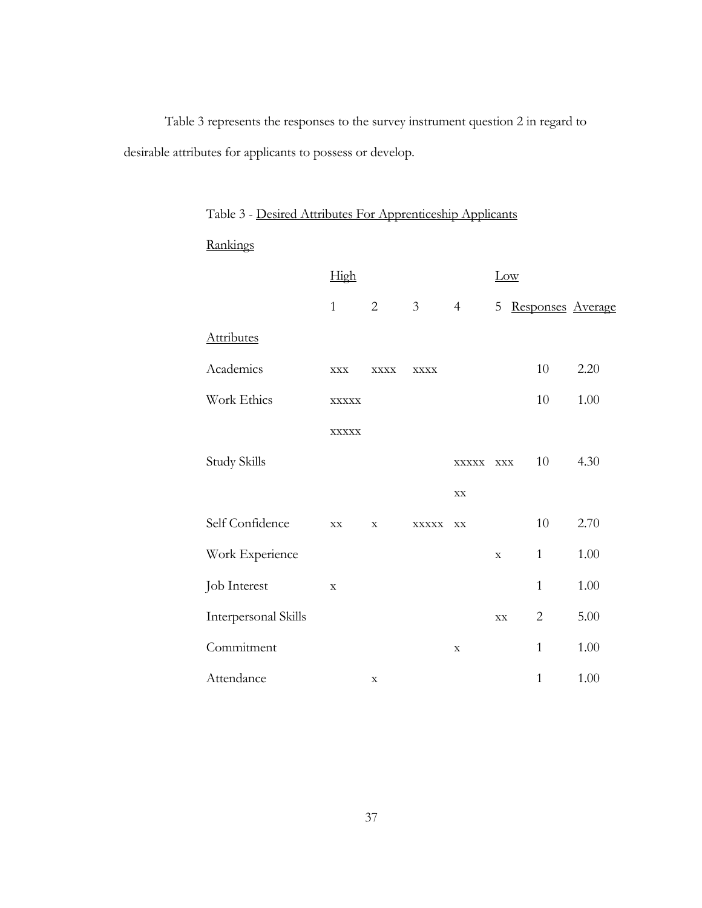Table 3 represents the responses to the survey instrument question 2 in regard to desirable attributes for applicants to possess or develop.

| Rankings             |               |                |                |                 |             |                |                   |
|----------------------|---------------|----------------|----------------|-----------------|-------------|----------------|-------------------|
|                      | High          |                |                |                 | Low         |                |                   |
|                      | $\mathbf{1}$  | $\overline{2}$ | $\mathfrak{Z}$ | $4\overline{ }$ | 5           |                | Responses Average |
| <b>Attributes</b>    |               |                |                |                 |             |                |                   |
| Academics            | $\bold{XXX}$  | <b>XXXX</b>    | <b>XXXX</b>    |                 |             | 10             | 2.20              |
| Work Ethics          | <b>XXXXX</b>  |                |                |                 |             | 10             | 1.00              |
|                      | <b>XXXXX</b>  |                |                |                 |             |                |                   |
| <b>Study Skills</b>  |               |                |                | XXXXX XXX       |             | $10\,$         | 4.30              |
|                      |               |                |                | $\mathbf{XX}$   |             |                |                   |
| Self Confidence      | $\mathbf{XX}$ | $\mathbf X$    | XXXXX XX       |                 |             | 10             | 2.70              |
| Work Experience      |               |                |                |                 | $\mathbf X$ | $\mathbf{1}$   | $1.00\,$          |
| Job Interest         | $\mathbf X$   |                |                |                 |             | $\mathbf{1}$   | $1.00\,$          |
| Interpersonal Skills |               |                |                |                 | XX          | $\overline{2}$ | $5.00\,$          |
| Commitment           |               |                |                | $\mathbf X$     |             | $\mathbf{1}$   | 1.00              |
| Attendance           |               | $\mathbf X$    |                |                 |             | $\mathbf{1}$   | 1.00              |

Table 3 - Desired Attributes For Apprenticeship Applicants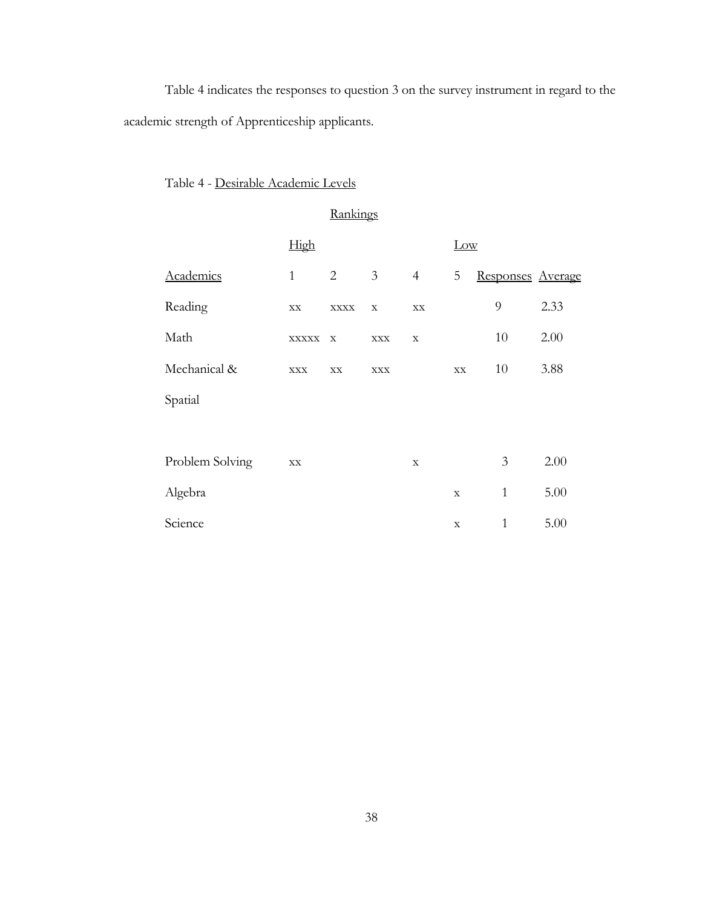Table 4 indicates the responses to question 3 on the survey instrument in regard to the academic strength of Apprenticeship applicants.

### Table 4 - Desirable Academic Levels

**Rankings**  High Low Academics 1 2 3 4 5 Responses Average Reading xx xxxx x xx 9 2.33 Math  $\begin{array}{ccc}\n\text{Maxx} & x & x \\
\text{MAX} & x & x\n\end{array}$  10 2.00 Mechanical & xxx xx xx xx xx 10 3.88 Spatial Problem Solving xx x 3 2.00 Algebra  $x = 1$  5.00 Science  $x = 1$  5.00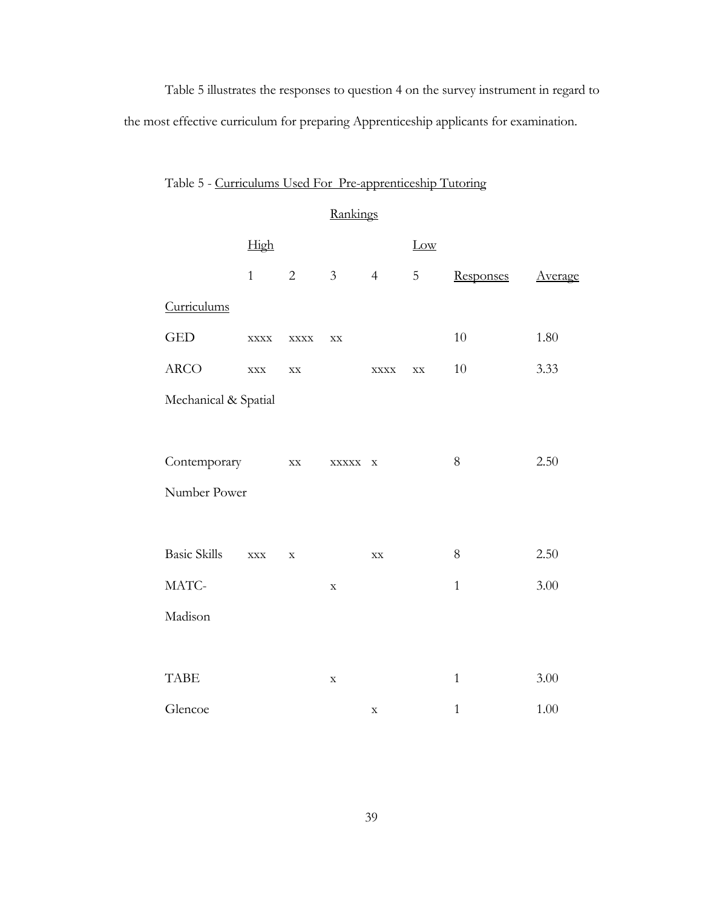Table 5 illustrates the responses to question 4 on the survey instrument in regard to the most effective curriculum for preparing Apprenticeship applicants for examination.

| Table 5 - Curriculums Used For Pre-apprenticeship Tutoring |  |  |
|------------------------------------------------------------|--|--|
|                                                            |  |  |

## Rankings

|                      | High                  |                        |                                                           |                       | Low           |              |                |
|----------------------|-----------------------|------------------------|-----------------------------------------------------------|-----------------------|---------------|--------------|----------------|
|                      | $\mathbf{1}$          | $\overline{2}$         | 3 <sup>7</sup>                                            | $\overline{4}$        | 5             | Responses    | <b>Average</b> |
| Curriculums          |                       |                        |                                                           |                       |               |              |                |
| <b>GED</b>           | $\bold{XXX} \bold{X}$ | $\bold{XXX} \bold{X}$  | $\mathbf{XX}$                                             |                       |               | 10           | 1.80           |
| ARCO                 | $\mathbf{XXX}$        | $\mathbf{X}\mathbf{X}$ |                                                           | $\bold{XXX} \bold{X}$ | $\mathbf{XX}$ | 10           | 3.33           |
| Mechanical & Spatial |                       |                        |                                                           |                       |               |              |                |
|                      |                       |                        |                                                           |                       |               |              |                |
| Contemporary         |                       | $\mathbf{X}\mathbf{X}$ | $\begin{minipage}{.4\linewidth} XXXXX & X \end{minipage}$ |                       |               | $8\,$        | 2.50           |
| Number Power         |                       |                        |                                                           |                       |               |              |                |
|                      |                       |                        |                                                           |                       |               |              |                |
| <b>Basic Skills</b>  | $\mathbf{XXX}$        | $\mathbf X$            |                                                           | $\mathbf{XX}$         |               | $8\,$        | 2.50           |
| MATC-                |                       |                        | $\mathbf X$                                               |                       |               | $\mathbf{1}$ | 3.00           |
| Madison              |                       |                        |                                                           |                       |               |              |                |
|                      |                       |                        |                                                           |                       |               |              |                |
| <b>TABE</b>          |                       |                        | $\mathbf X$                                               |                       |               | $\mathbf{1}$ | 3.00           |
| Glencoe              |                       |                        |                                                           | $\mathbf X$           |               | $\mathbf{1}$ | 1.00           |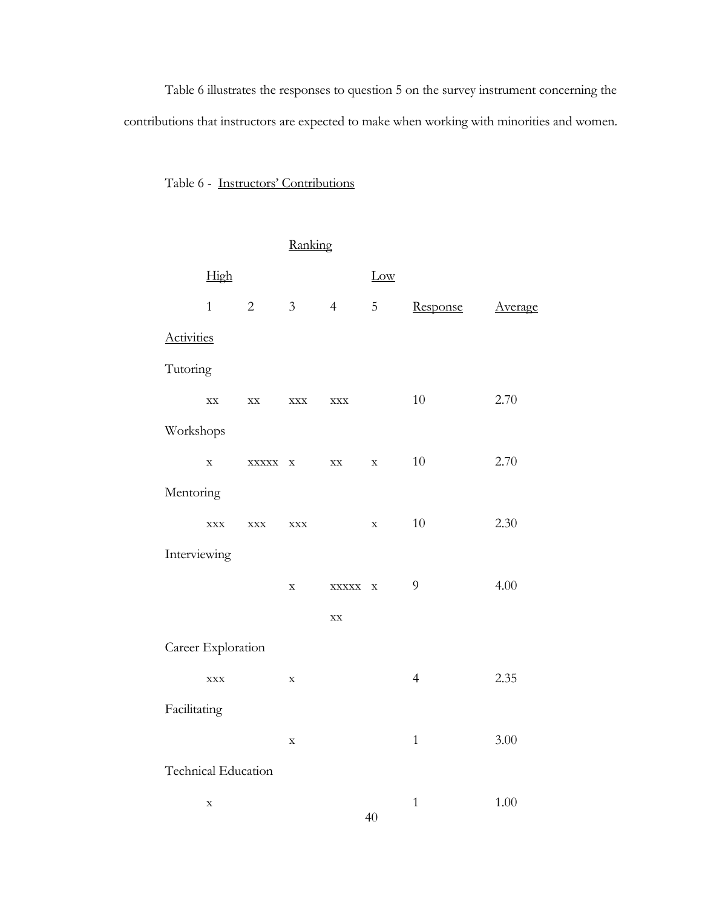Table 6 illustrates the responses to question 5 on the survey instrument concerning the contributions that instructors are expected to make when working with minorities and women.

# Table 6 - Instructors' Contributions

|                   |                        |                                               | Ranking        |                        |             |                |                |  |
|-------------------|------------------------|-----------------------------------------------|----------------|------------------------|-------------|----------------|----------------|--|
|                   | High                   |                                               |                |                        | Low         |                |                |  |
|                   | $\mathbf{1}$           | 2                                             | $\mathfrak{Z}$ | $\overline{4}$         | 5           | Response       | <b>Average</b> |  |
| <b>Activities</b> |                        |                                               |                |                        |             |                |                |  |
| Tutoring          |                        |                                               |                |                        |             |                |                |  |
|                   | $\mathbf{X}\mathbf{X}$ | $\mathbf{XX}$                                 | <b>XXX</b>     | $\mathbf{XXX}$         |             | $10\,$         | 2.70           |  |
| Workshops         |                        |                                               |                |                        |             |                |                |  |
|                   | $\mathbf X$            | $\begin{tabular}{cc} XXXXX & X \end{tabular}$ |                | XX                     | $\mathbf X$ | $10\,$         | 2.70           |  |
| Mentoring         |                        |                                               |                |                        |             |                |                |  |
|                   | <b>XXX</b>             | <b>XXX</b>                                    | $\bold{XXX}$   |                        | $\mathbf X$ | $10\,$         | 2.30           |  |
| Interviewing      |                        |                                               |                |                        |             |                |                |  |
|                   |                        |                                               | $\mathbf X$    | XXXXX X                |             | 9              | 4.00           |  |
|                   |                        |                                               |                | $\mathbf{X}\mathbf{X}$ |             |                |                |  |
|                   | Career Exploration     |                                               |                |                        |             |                |                |  |
|                   | $\mathbf{XXX}$         |                                               | $\mathbf X$    |                        |             | $\overline{4}$ | 2.35           |  |
| Facilitating      |                        |                                               |                |                        |             |                |                |  |
|                   |                        |                                               | $\mathbf X$    |                        |             | $\mathbf{1}$   | 3.00           |  |
|                   | Technical Education    |                                               |                |                        |             |                |                |  |
|                   | $\mathbf X$            |                                               |                |                        | 40          | $\mathbf{1}$   | 1.00           |  |
|                   |                        |                                               |                |                        |             |                |                |  |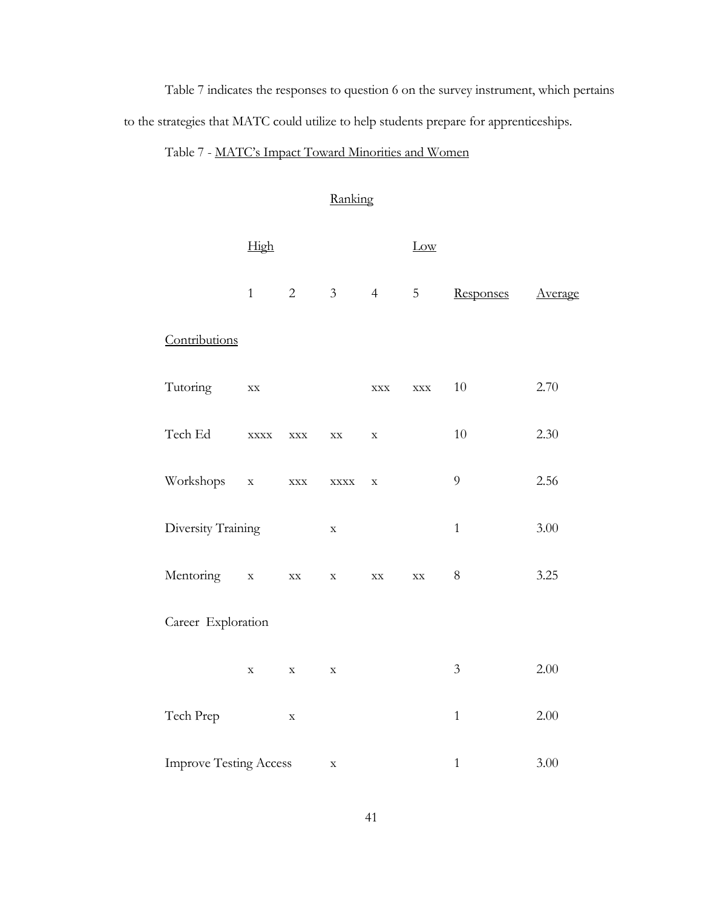Table 7 indicates the responses to question 6 on the survey instrument, which pertains to the strategies that MATC could utilize to help students prepare for apprenticeships.

# Table 7 - MATC's Impact Toward Minorities and Women

### Ranking

|                               | High                   |                        |                       |                        | Low                    |                |         |
|-------------------------------|------------------------|------------------------|-----------------------|------------------------|------------------------|----------------|---------|
|                               | $\mathbf{1}$           | $\overline{2}$         | 3 <sup>7</sup>        | 4                      | 5                      | Responses      | Average |
| Contributions                 |                        |                        |                       |                        |                        |                |         |
| Tutoring                      | $\mathbf{X}\mathbf{X}$ |                        |                       | $\mathbf{XXX}$         | $\mathbf{XXX}$         | $10\,$         | 2.70    |
| Tech Ed                       | $\mathbf{XXX}$         | $\mathbf{XXX}$         | $\mathbf{XX}$         | $\mathbf X$            |                        | $10\,$         | 2.30    |
| Workshops                     | $\mathbf X$            | $\bold{XXX}$           | $\bold{XXX} \bold{X}$ | $\mathbf X$            |                        | $\overline{9}$ | 2.56    |
| Diversity Training            |                        |                        | $\mathbf X$           |                        |                        | $\mathbf{1}$   | 3.00    |
| Mentoring                     | $\mathbf X$            | $\mathbf{X}\mathbf{X}$ | $\mathbf X$           | $\mathbf{X}\mathbf{X}$ | $\mathbf{X}\mathbf{X}$ | $8\,$          | 3.25    |
| Career Exploration            |                        |                        |                       |                        |                        |                |         |
|                               | $\mathbf X$            | $\mathbf X$            | $\mathbf X$           |                        |                        | $\mathfrak{Z}$ | 2.00    |
| Tech Prep                     |                        | $\mathbf X$            |                       |                        |                        | $\mathbf{1}$   | 2.00    |
| <b>Improve Testing Access</b> |                        |                        | $\mathbf X$           |                        |                        | $\mathbf{1}$   | 3.00    |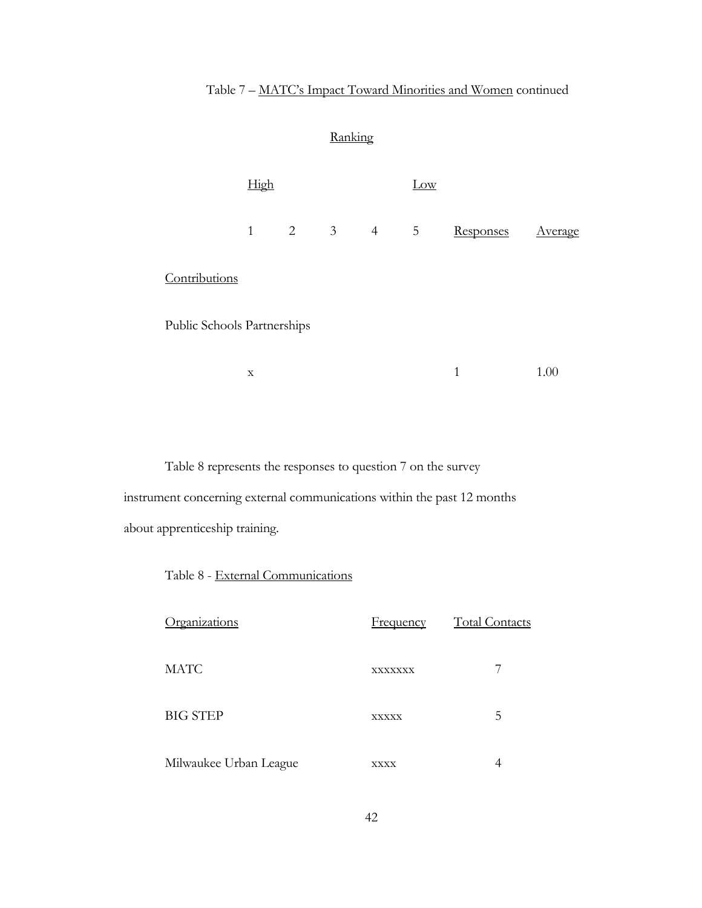# Table 7 – MATC's Impact Toward Minorities and Women continued

Ranking

|                             |              |  | $\tilde{}$            |                |              |                |
|-----------------------------|--------------|--|-----------------------|----------------|--------------|----------------|
|                             | High         |  |                       | Low            |              |                |
|                             | $\mathbf{1}$ |  | $2 \qquad 3 \qquad 4$ | $\overline{5}$ | Responses    | <u>Average</u> |
| Contributions               |              |  |                       |                |              |                |
| Public Schools Partnerships |              |  |                       |                |              |                |
|                             | $\mathbf X$  |  |                       |                | $\mathbf{1}$ | 1.00           |
|                             |              |  |                       |                |              |                |

Table 8 represents the responses to question 7 on the survey instrument concerning external communications within the past 12 months about apprenticeship training.

Table 8 - External Communications

| Organizations          | <b>Frequency</b> | <b>Total Contacts</b> |
|------------------------|------------------|-----------------------|
| <b>MATC</b>            | XXXXXXX          |                       |
| <b>BIG STEP</b>        | <b>XXXXX</b>     | 5                     |
| Milwaukee Urban League | <b>XXXX</b>      |                       |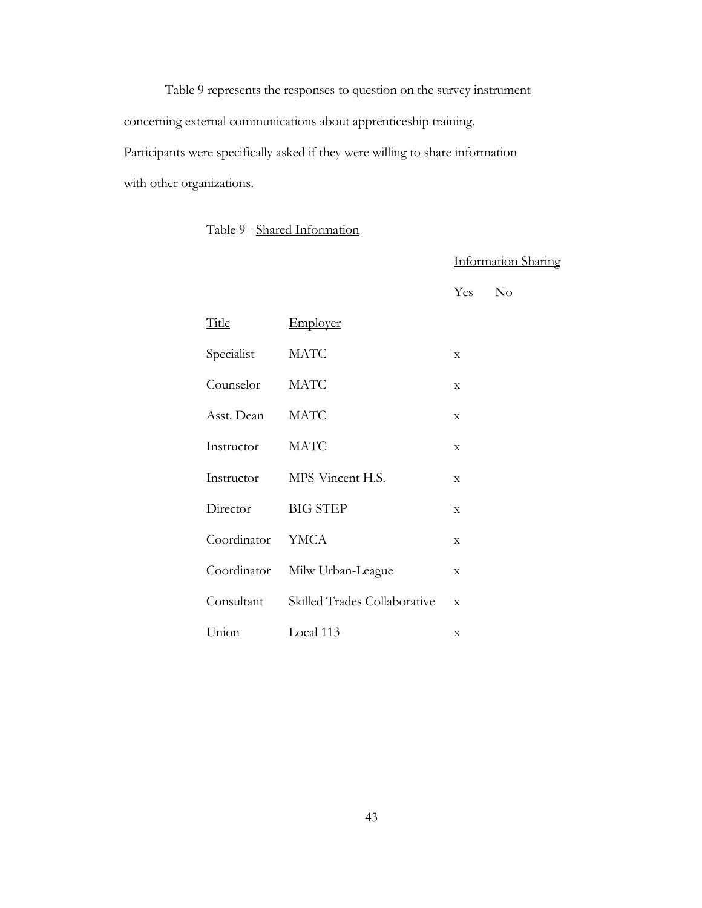Table 9 represents the responses to question on the survey instrument concerning external communications about apprenticeship training. Participants were specifically asked if they were willing to share information with other organizations.

# Table 9 - Shared Information

Information Sharing

Yes No

| <b>Title</b> | Employer                     |             |
|--------------|------------------------------|-------------|
| Specialist   | <b>MATC</b>                  | X           |
| Counselor    | <b>MATC</b>                  | X           |
| Asst. Dean   | <b>MATC</b>                  | X           |
| Instructor   | <b>MATC</b>                  | X           |
| Instructor   | MPS-Vincent H.S.             | X           |
| Director     | <b>BIG STEP</b>              | X           |
| Coordinator  | <b>YMCA</b>                  | X           |
| Coordinator  | Milw Urban-League            | X           |
| Consultant   | Skilled Trades Collaborative | $\mathbf x$ |
| Union        | Local 113                    | X           |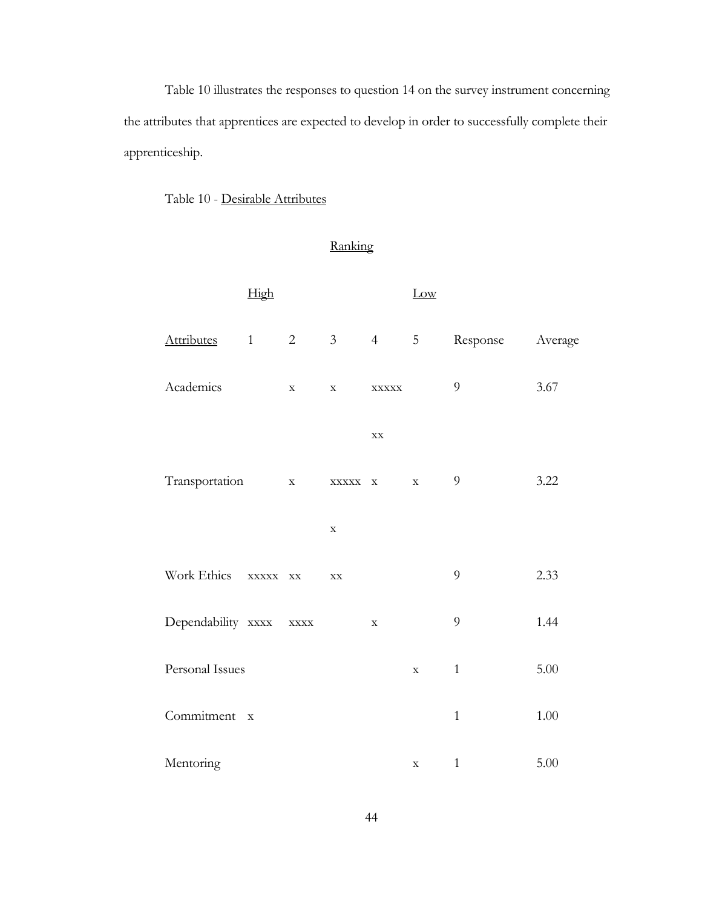Table 10 illustrates the responses to question 14 on the survey instrument concerning the attributes that apprentices are expected to develop in order to successfully complete their apprenticeship.

Ranking

## Table 10 - Desirable Attributes

|                    | High                   |                       |             |                        | Low            |                |          |
|--------------------|------------------------|-----------------------|-------------|------------------------|----------------|----------------|----------|
| <b>Attributes</b>  | $1 \quad \blacksquare$ | $\overline{2}$        | $3^{\circ}$ | $4\overline{ }$        | $\overline{5}$ | Response       | Average  |
| Academics          |                        | $\mathbf X$           | $\mathbf X$ | <b>XXXXX</b>           |                | $\mathfrak{g}$ | 3.67     |
|                    |                        |                       |             | $\mathbf{X}\mathbf{X}$ |                |                |          |
| Transportation     |                        | $\mathbf X$           |             | XXXXX X                | $\mathbf X$    | $\overline{9}$ | 3.22     |
|                    |                        |                       | $\mathbf X$ |                        |                |                |          |
| Work Ethics        | XXXXX XX               |                       | XX          |                        |                | 9              | 2.33     |
| Dependability xxxx |                        | $\bold{XXX} \bold{X}$ |             | $\mathbf X$            |                | 9              | 1.44     |
| Personal Issues    |                        |                       |             |                        | $\mathbf X$    | $\mathbf{1}$   | 5.00     |
| Commitment x       |                        |                       |             |                        |                | $\mathbf{1}$   | $1.00\,$ |
| Mentoring          |                        |                       |             |                        | $\mathbf X$    | $\mathbf 1$    | 5.00     |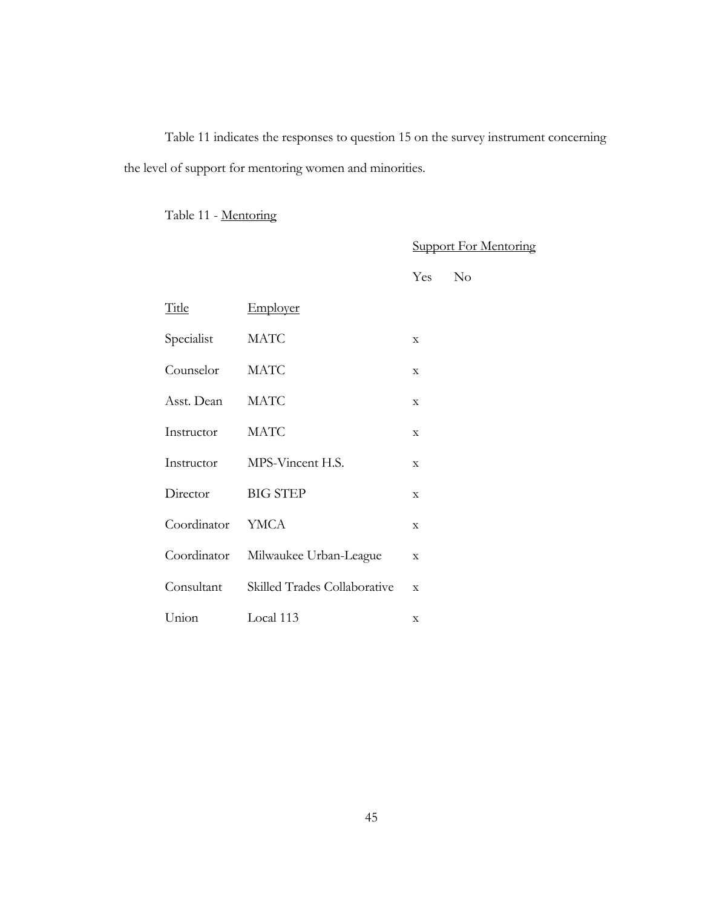Table 11 indicates the responses to question 15 on the survey instrument concerning the level of support for mentoring women and minorities.

Table 11 - Mentoring

Support For Mentoring

Yes No

| Title       | Employer                     |             |
|-------------|------------------------------|-------------|
| Specialist  | <b>MATC</b>                  | X           |
| Counselor   | <b>MATC</b>                  | X           |
| Asst. Dean  | MATC                         | X           |
| Instructor  | <b>MATC</b>                  | $\mathbf x$ |
| Instructor  | MPS-Vincent H.S.             | X           |
| Director    | <b>BIG STEP</b>              | $\mathbf x$ |
| Coordinator | <b>YMCA</b>                  | $\mathbf x$ |
| Coordinator | Milwaukee Urban-League       | X           |
| Consultant  | Skilled Trades Collaborative | $\mathbf x$ |
| Union       | Local 113                    | X           |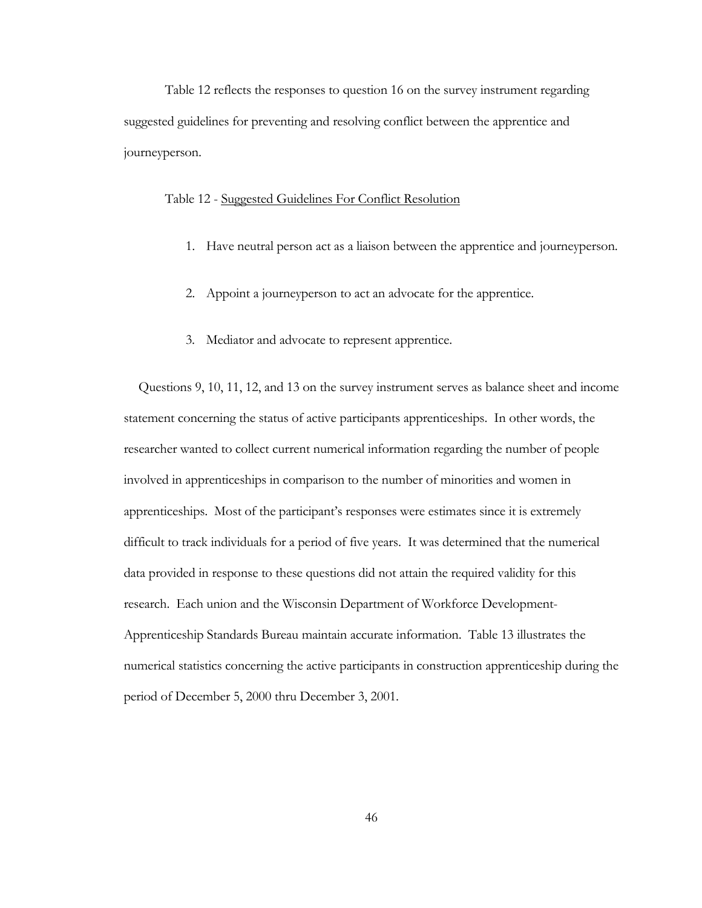Table 12 reflects the responses to question 16 on the survey instrument regarding suggested guidelines for preventing and resolving conflict between the apprentice and journeyperson.

#### Table 12 - Suggested Guidelines For Conflict Resolution

- 1. Have neutral person act as a liaison between the apprentice and journeyperson.
- 2. Appoint a journeyperson to act an advocate for the apprentice.
- 3. Mediator and advocate to represent apprentice.

Questions 9, 10, 11, 12, and 13 on the survey instrument serves as balance sheet and income statement concerning the status of active participants apprenticeships. In other words, the researcher wanted to collect current numerical information regarding the number of people involved in apprenticeships in comparison to the number of minorities and women in apprenticeships. Most of the participant's responses were estimates since it is extremely difficult to track individuals for a period of five years. It was determined that the numerical data provided in response to these questions did not attain the required validity for this research. Each union and the Wisconsin Department of Workforce Development-Apprenticeship Standards Bureau maintain accurate information. Table 13 illustrates the numerical statistics concerning the active participants in construction apprenticeship during the period of December 5, 2000 thru December 3, 2001.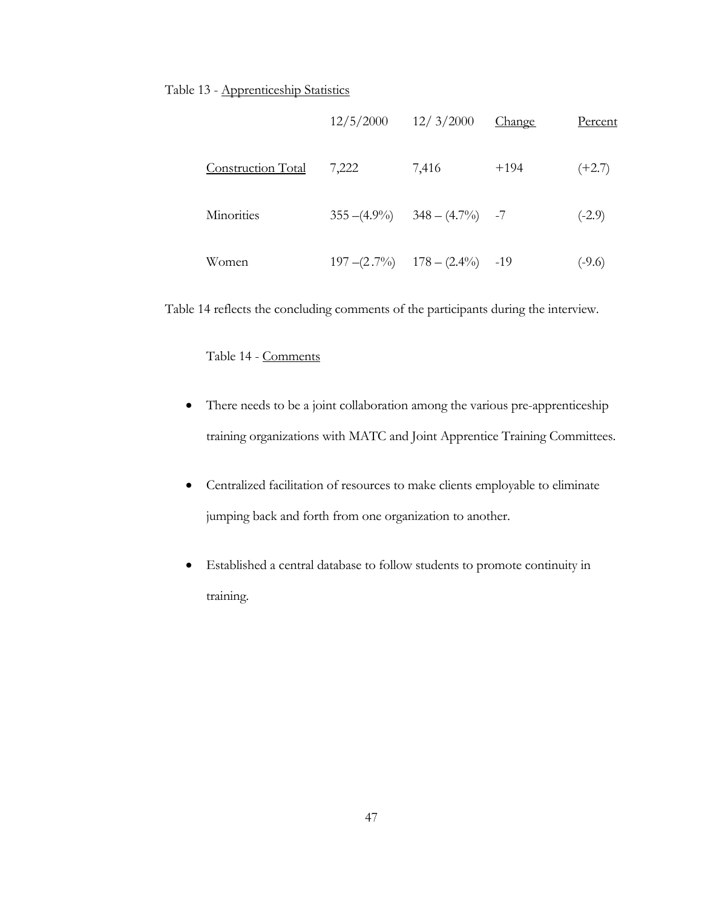#### Table 13 - Apprenticeship Statistics

|                    | $12/5/2000$ $12/3/2000$ |                                     | Change | Percent  |
|--------------------|-------------------------|-------------------------------------|--------|----------|
| Construction Total | 7,222                   | 7,416                               | $+194$ | $(+2.7)$ |
| Minorities         |                         | $355 - (4.9\%)$ $348 - (4.7\%)$ -7  |        | $(-2.9)$ |
| Women              |                         | $197 - (2.7\%)$ $178 - (2.4\%)$ -19 |        | $(-9.6)$ |

Table 14 reflects the concluding comments of the participants during the interview.

Table 14 - Comments

- There needs to be a joint collaboration among the various pre-apprenticeship training organizations with MATC and Joint Apprentice Training Committees.
- Centralized facilitation of resources to make clients employable to eliminate jumping back and forth from one organization to another.
- Established a central database to follow students to promote continuity in training.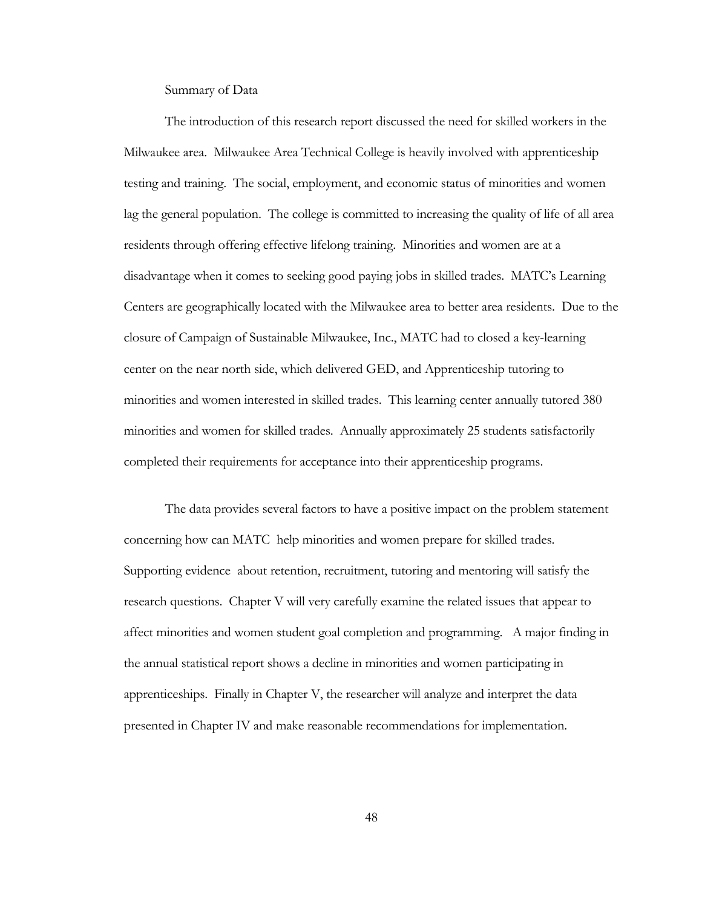Summary of Data

The introduction of this research report discussed the need for skilled workers in the Milwaukee area. Milwaukee Area Technical College is heavily involved with apprenticeship testing and training. The social, employment, and economic status of minorities and women lag the general population. The college is committed to increasing the quality of life of all area residents through offering effective lifelong training. Minorities and women are at a disadvantage when it comes to seeking good paying jobs in skilled trades. MATC's Learning Centers are geographically located with the Milwaukee area to better area residents. Due to the closure of Campaign of Sustainable Milwaukee, Inc., MATC had to closed a key-learning center on the near north side, which delivered GED, and Apprenticeship tutoring to minorities and women interested in skilled trades. This learning center annually tutored 380 minorities and women for skilled trades. Annually approximately 25 students satisfactorily completed their requirements for acceptance into their apprenticeship programs.

The data provides several factors to have a positive impact on the problem statement concerning how can MATC help minorities and women prepare for skilled trades. Supporting evidence about retention, recruitment, tutoring and mentoring will satisfy the research questions. Chapter V will very carefully examine the related issues that appear to affect minorities and women student goal completion and programming. A major finding in the annual statistical report shows a decline in minorities and women participating in apprenticeships. Finally in Chapter V, the researcher will analyze and interpret the data presented in Chapter IV and make reasonable recommendations for implementation.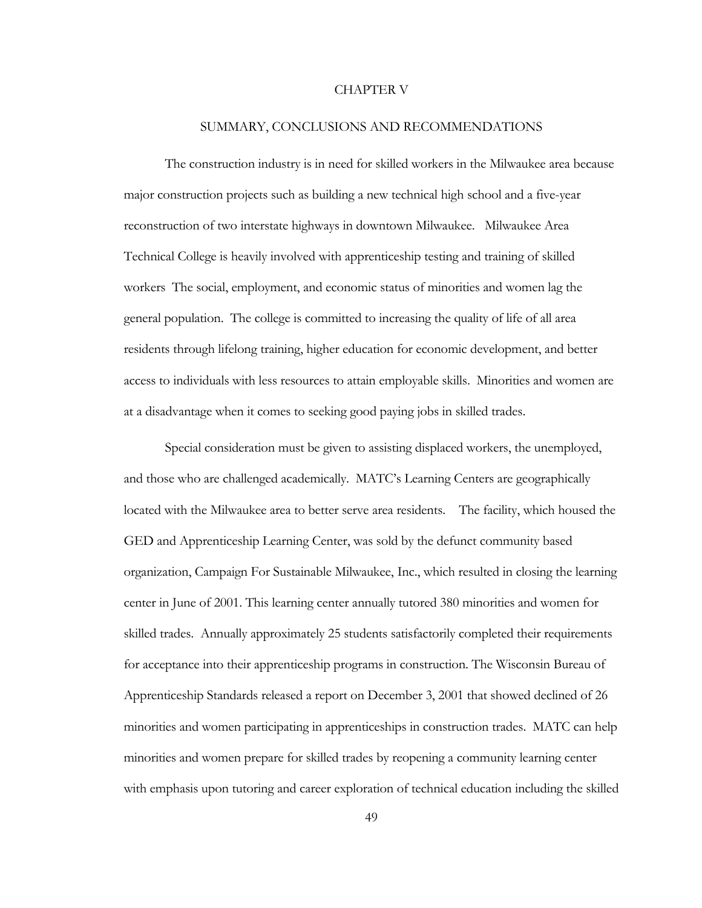#### CHAPTER V

#### SUMMARY, CONCLUSIONS AND RECOMMENDATIONS

The construction industry is in need for skilled workers in the Milwaukee area because major construction projects such as building a new technical high school and a five-year reconstruction of two interstate highways in downtown Milwaukee. Milwaukee Area Technical College is heavily involved with apprenticeship testing and training of skilled workers The social, employment, and economic status of minorities and women lag the general population. The college is committed to increasing the quality of life of all area residents through lifelong training, higher education for economic development, and better access to individuals with less resources to attain employable skills. Minorities and women are at a disadvantage when it comes to seeking good paying jobs in skilled trades.

Special consideration must be given to assisting displaced workers, the unemployed, and those who are challenged academically. MATC's Learning Centers are geographically located with the Milwaukee area to better serve area residents. The facility, which housed the GED and Apprenticeship Learning Center, was sold by the defunct community based organization, Campaign For Sustainable Milwaukee, Inc., which resulted in closing the learning center in June of 2001. This learning center annually tutored 380 minorities and women for skilled trades. Annually approximately 25 students satisfactorily completed their requirements for acceptance into their apprenticeship programs in construction. The Wisconsin Bureau of Apprenticeship Standards released a report on December 3, 2001 that showed declined of 26 minorities and women participating in apprenticeships in construction trades. MATC can help minorities and women prepare for skilled trades by reopening a community learning center with emphasis upon tutoring and career exploration of technical education including the skilled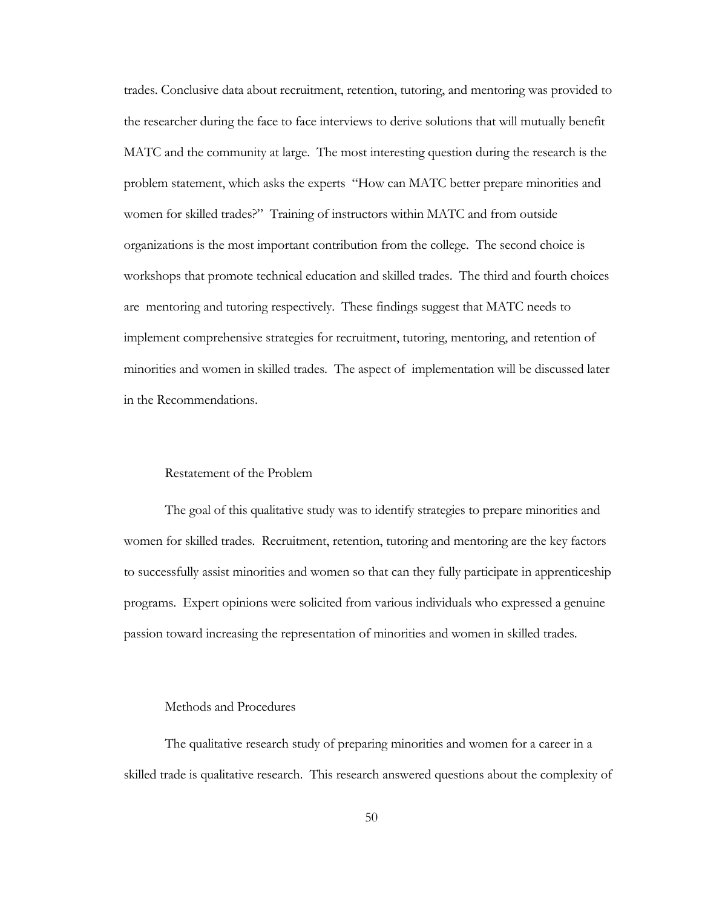trades. Conclusive data about recruitment, retention, tutoring, and mentoring was provided to the researcher during the face to face interviews to derive solutions that will mutually benefit MATC and the community at large. The most interesting question during the research is the problem statement, which asks the experts "How can MATC better prepare minorities and women for skilled trades?" Training of instructors within MATC and from outside organizations is the most important contribution from the college. The second choice is workshops that promote technical education and skilled trades. The third and fourth choices are mentoring and tutoring respectively. These findings suggest that MATC needs to implement comprehensive strategies for recruitment, tutoring, mentoring, and retention of minorities and women in skilled trades. The aspect of implementation will be discussed later in the Recommendations.

#### Restatement of the Problem

The goal of this qualitative study was to identify strategies to prepare minorities and women for skilled trades. Recruitment, retention, tutoring and mentoring are the key factors to successfully assist minorities and women so that can they fully participate in apprenticeship programs. Expert opinions were solicited from various individuals who expressed a genuine passion toward increasing the representation of minorities and women in skilled trades.

#### Methods and Procedures

The qualitative research study of preparing minorities and women for a career in a skilled trade is qualitative research. This research answered questions about the complexity of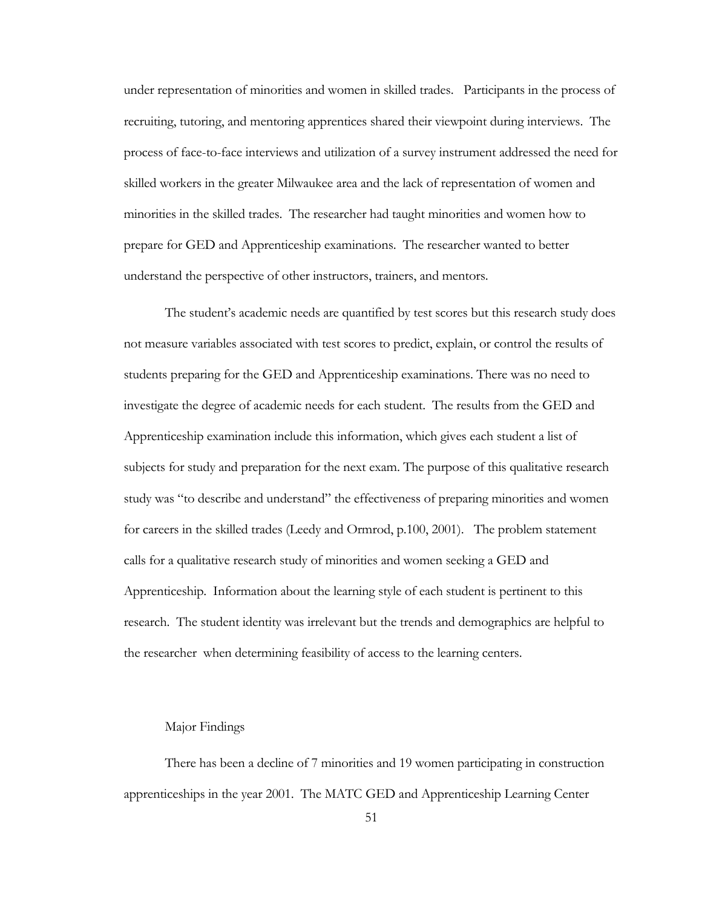under representation of minorities and women in skilled trades. Participants in the process of recruiting, tutoring, and mentoring apprentices shared their viewpoint during interviews. The process of face-to-face interviews and utilization of a survey instrument addressed the need for skilled workers in the greater Milwaukee area and the lack of representation of women and minorities in the skilled trades. The researcher had taught minorities and women how to prepare for GED and Apprenticeship examinations. The researcher wanted to better understand the perspective of other instructors, trainers, and mentors.

The student's academic needs are quantified by test scores but this research study does not measure variables associated with test scores to predict, explain, or control the results of students preparing for the GED and Apprenticeship examinations. There was no need to investigate the degree of academic needs for each student. The results from the GED and Apprenticeship examination include this information, which gives each student a list of subjects for study and preparation for the next exam. The purpose of this qualitative research study was "to describe and understand" the effectiveness of preparing minorities and women for careers in the skilled trades (Leedy and Ormrod, p.100, 2001). The problem statement calls for a qualitative research study of minorities and women seeking a GED and Apprenticeship. Information about the learning style of each student is pertinent to this research. The student identity was irrelevant but the trends and demographics are helpful to the researcher when determining feasibility of access to the learning centers.

#### Major Findings

There has been a decline of 7 minorities and 19 women participating in construction apprenticeships in the year 2001. The MATC GED and Apprenticeship Learning Center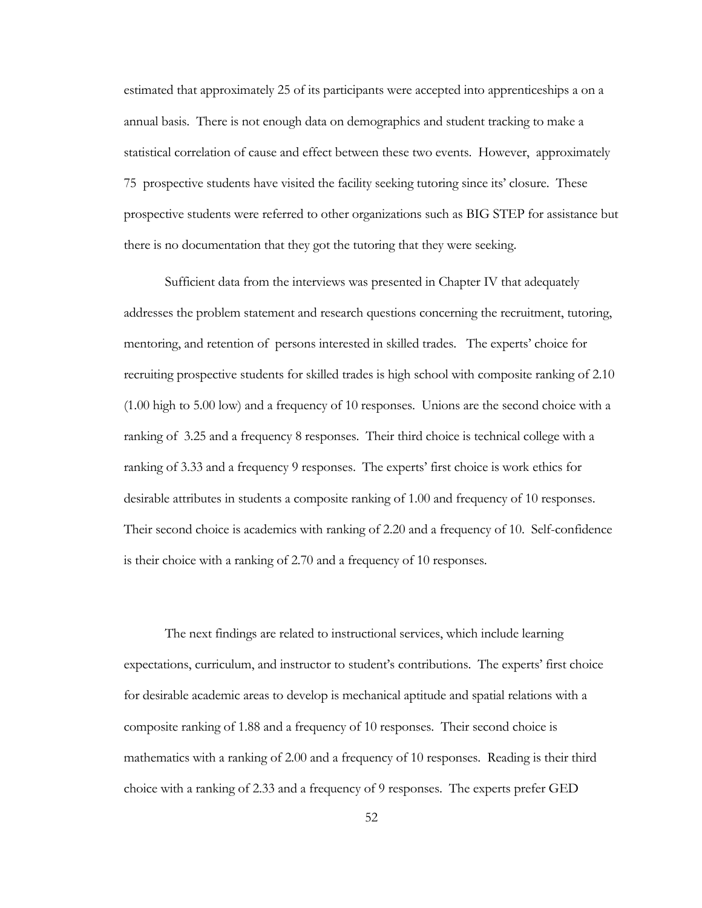estimated that approximately 25 of its participants were accepted into apprenticeships a on a annual basis. There is not enough data on demographics and student tracking to make a statistical correlation of cause and effect between these two events. However, approximately 75 prospective students have visited the facility seeking tutoring since its' closure. These prospective students were referred to other organizations such as BIG STEP for assistance but there is no documentation that they got the tutoring that they were seeking.

Sufficient data from the interviews was presented in Chapter IV that adequately addresses the problem statement and research questions concerning the recruitment, tutoring, mentoring, and retention of persons interested in skilled trades. The experts' choice for recruiting prospective students for skilled trades is high school with composite ranking of 2.10 (1.00 high to 5.00 low) and a frequency of 10 responses. Unions are the second choice with a ranking of 3.25 and a frequency 8 responses. Their third choice is technical college with a ranking of 3.33 and a frequency 9 responses. The experts' first choice is work ethics for desirable attributes in students a composite ranking of 1.00 and frequency of 10 responses. Their second choice is academics with ranking of 2.20 and a frequency of 10. Self-confidence is their choice with a ranking of 2.70 and a frequency of 10 responses.

The next findings are related to instructional services, which include learning expectations, curriculum, and instructor to student's contributions. The experts' first choice for desirable academic areas to develop is mechanical aptitude and spatial relations with a composite ranking of 1.88 and a frequency of 10 responses. Their second choice is mathematics with a ranking of 2.00 and a frequency of 10 responses. Reading is their third choice with a ranking of 2.33 and a frequency of 9 responses. The experts prefer GED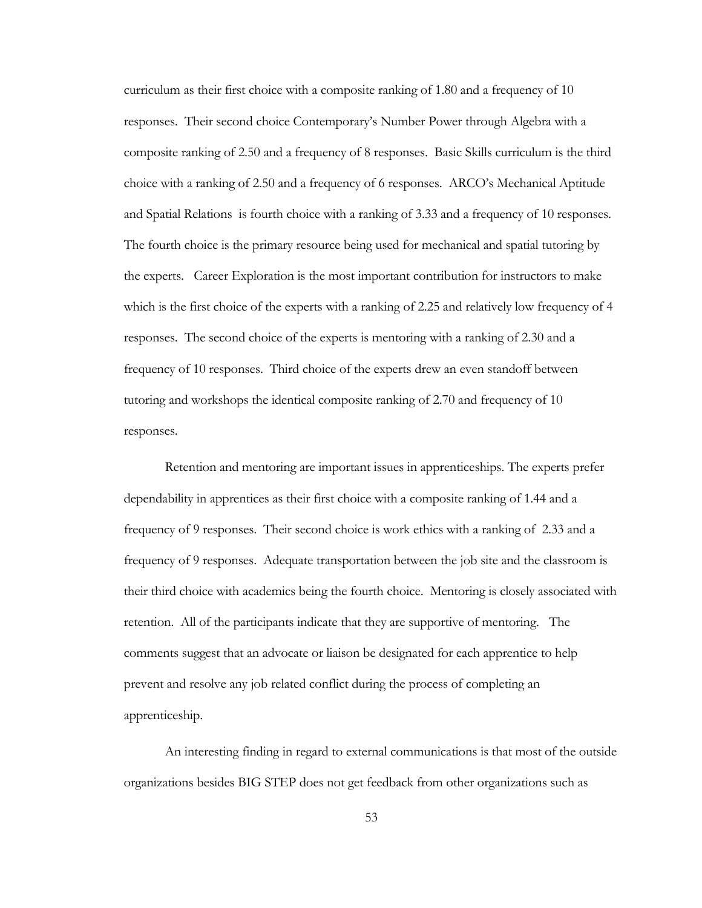curriculum as their first choice with a composite ranking of 1.80 and a frequency of 10 responses. Their second choice Contemporary's Number Power through Algebra with a composite ranking of 2.50 and a frequency of 8 responses. Basic Skills curriculum is the third choice with a ranking of 2.50 and a frequency of 6 responses. ARCO's Mechanical Aptitude and Spatial Relations is fourth choice with a ranking of 3.33 and a frequency of 10 responses. The fourth choice is the primary resource being used for mechanical and spatial tutoring by the experts. Career Exploration is the most important contribution for instructors to make which is the first choice of the experts with a ranking of 2.25 and relatively low frequency of 4 responses. The second choice of the experts is mentoring with a ranking of 2.30 and a frequency of 10 responses. Third choice of the experts drew an even standoff between tutoring and workshops the identical composite ranking of 2.70 and frequency of 10 responses.

Retention and mentoring are important issues in apprenticeships. The experts prefer dependability in apprentices as their first choice with a composite ranking of 1.44 and a frequency of 9 responses. Their second choice is work ethics with a ranking of 2.33 and a frequency of 9 responses. Adequate transportation between the job site and the classroom is their third choice with academics being the fourth choice. Mentoring is closely associated with retention. All of the participants indicate that they are supportive of mentoring. The comments suggest that an advocate or liaison be designated for each apprentice to help prevent and resolve any job related conflict during the process of completing an apprenticeship.

An interesting finding in regard to external communications is that most of the outside organizations besides BIG STEP does not get feedback from other organizations such as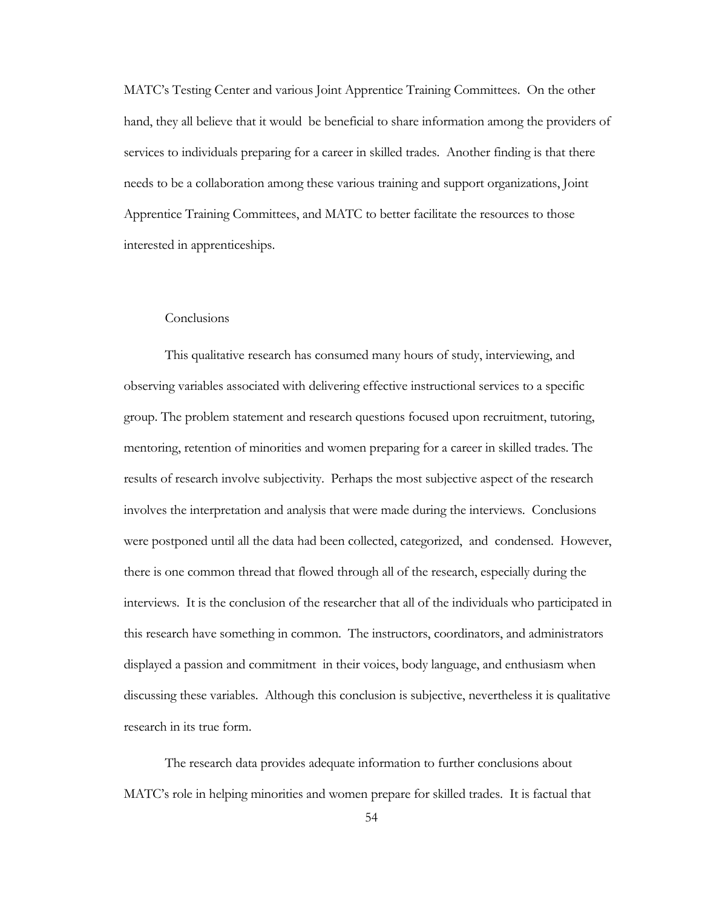MATC's Testing Center and various Joint Apprentice Training Committees. On the other hand, they all believe that it would be beneficial to share information among the providers of services to individuals preparing for a career in skilled trades. Another finding is that there needs to be a collaboration among these various training and support organizations, Joint Apprentice Training Committees, and MATC to better facilitate the resources to those interested in apprenticeships.

#### **Conclusions**

This qualitative research has consumed many hours of study, interviewing, and observing variables associated with delivering effective instructional services to a specific group. The problem statement and research questions focused upon recruitment, tutoring, mentoring, retention of minorities and women preparing for a career in skilled trades. The results of research involve subjectivity. Perhaps the most subjective aspect of the research involves the interpretation and analysis that were made during the interviews. Conclusions were postponed until all the data had been collected, categorized, and condensed. However, there is one common thread that flowed through all of the research, especially during the interviews. It is the conclusion of the researcher that all of the individuals who participated in this research have something in common. The instructors, coordinators, and administrators displayed a passion and commitment in their voices, body language, and enthusiasm when discussing these variables. Although this conclusion is subjective, nevertheless it is qualitative research in its true form.

The research data provides adequate information to further conclusions about MATC's role in helping minorities and women prepare for skilled trades. It is factual that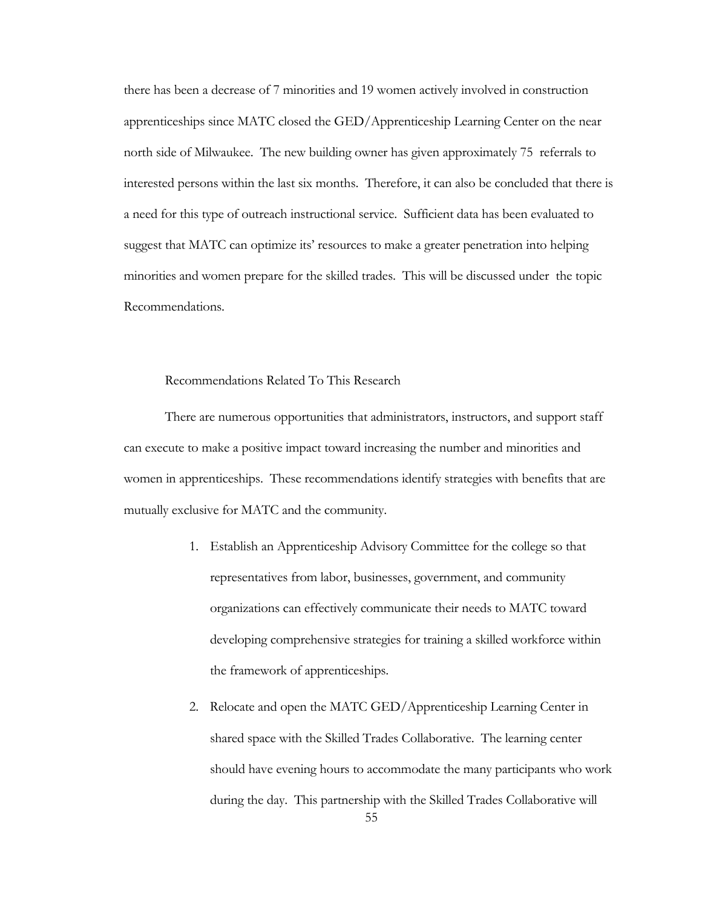there has been a decrease of 7 minorities and 19 women actively involved in construction apprenticeships since MATC closed the GED/Apprenticeship Learning Center on the near north side of Milwaukee. The new building owner has given approximately 75 referrals to interested persons within the last six months. Therefore, it can also be concluded that there is a need for this type of outreach instructional service. Sufficient data has been evaluated to suggest that MATC can optimize its' resources to make a greater penetration into helping minorities and women prepare for the skilled trades. This will be discussed under the topic Recommendations.

#### Recommendations Related To This Research

There are numerous opportunities that administrators, instructors, and support staff can execute to make a positive impact toward increasing the number and minorities and women in apprenticeships. These recommendations identify strategies with benefits that are mutually exclusive for MATC and the community.

- 1. Establish an Apprenticeship Advisory Committee for the college so that representatives from labor, businesses, government, and community organizations can effectively communicate their needs to MATC toward developing comprehensive strategies for training a skilled workforce within the framework of apprenticeships.
- 55 2. Relocate and open the MATC GED/Apprenticeship Learning Center in shared space with the Skilled Trades Collaborative. The learning center should have evening hours to accommodate the many participants who work during the day. This partnership with the Skilled Trades Collaborative will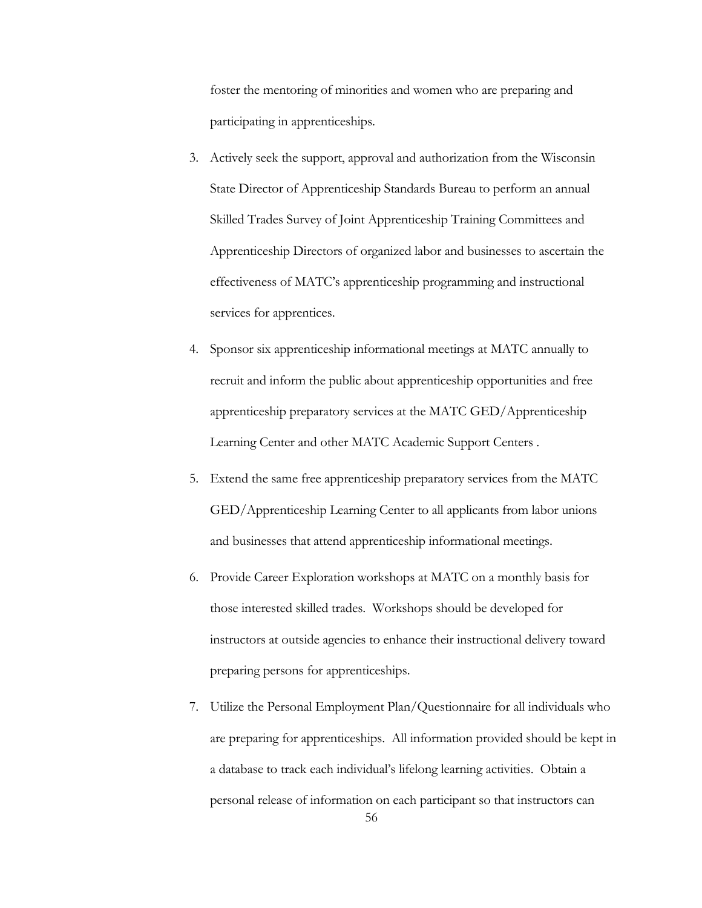foster the mentoring of minorities and women who are preparing and participating in apprenticeships.

- 3. Actively seek the support, approval and authorization from the Wisconsin State Director of Apprenticeship Standards Bureau to perform an annual Skilled Trades Survey of Joint Apprenticeship Training Committees and Apprenticeship Directors of organized labor and businesses to ascertain the effectiveness of MATC's apprenticeship programming and instructional services for apprentices.
- 4. Sponsor six apprenticeship informational meetings at MATC annually to recruit and inform the public about apprenticeship opportunities and free apprenticeship preparatory services at the MATC GED/Apprenticeship Learning Center and other MATC Academic Support Centers .
- 5. Extend the same free apprenticeship preparatory services from the MATC GED/Apprenticeship Learning Center to all applicants from labor unions and businesses that attend apprenticeship informational meetings.
- 6. Provide Career Exploration workshops at MATC on a monthly basis for those interested skilled trades. Workshops should be developed for instructors at outside agencies to enhance their instructional delivery toward preparing persons for apprenticeships.
- 7. Utilize the Personal Employment Plan/Questionnaire for all individuals who are preparing for apprenticeships. All information provided should be kept in a database to track each individual's lifelong learning activities. Obtain a personal release of information on each participant so that instructors can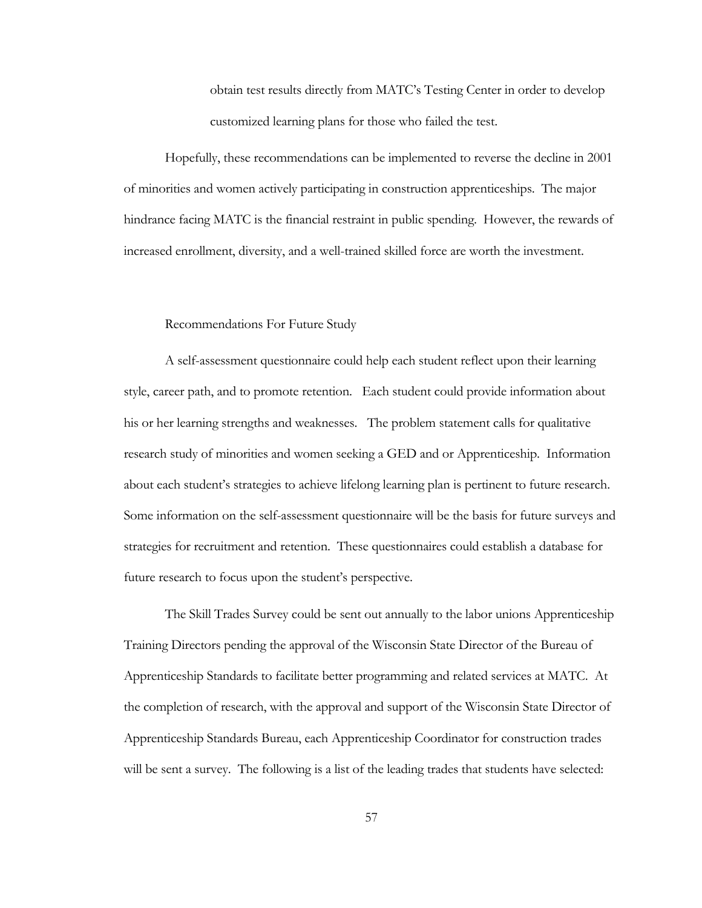obtain test results directly from MATC's Testing Center in order to develop customized learning plans for those who failed the test.

Hopefully, these recommendations can be implemented to reverse the decline in 2001 of minorities and women actively participating in construction apprenticeships. The major hindrance facing MATC is the financial restraint in public spending. However, the rewards of increased enrollment, diversity, and a well-trained skilled force are worth the investment.

#### Recommendations For Future Study

A self-assessment questionnaire could help each student reflect upon their learning style, career path, and to promote retention. Each student could provide information about his or her learning strengths and weaknesses. The problem statement calls for qualitative research study of minorities and women seeking a GED and or Apprenticeship. Information about each student's strategies to achieve lifelong learning plan is pertinent to future research. Some information on the self-assessment questionnaire will be the basis for future surveys and strategies for recruitment and retention. These questionnaires could establish a database for future research to focus upon the student's perspective.

The Skill Trades Survey could be sent out annually to the labor unions Apprenticeship Training Directors pending the approval of the Wisconsin State Director of the Bureau of Apprenticeship Standards to facilitate better programming and related services at MATC. At the completion of research, with the approval and support of the Wisconsin State Director of Apprenticeship Standards Bureau, each Apprenticeship Coordinator for construction trades will be sent a survey. The following is a list of the leading trades that students have selected: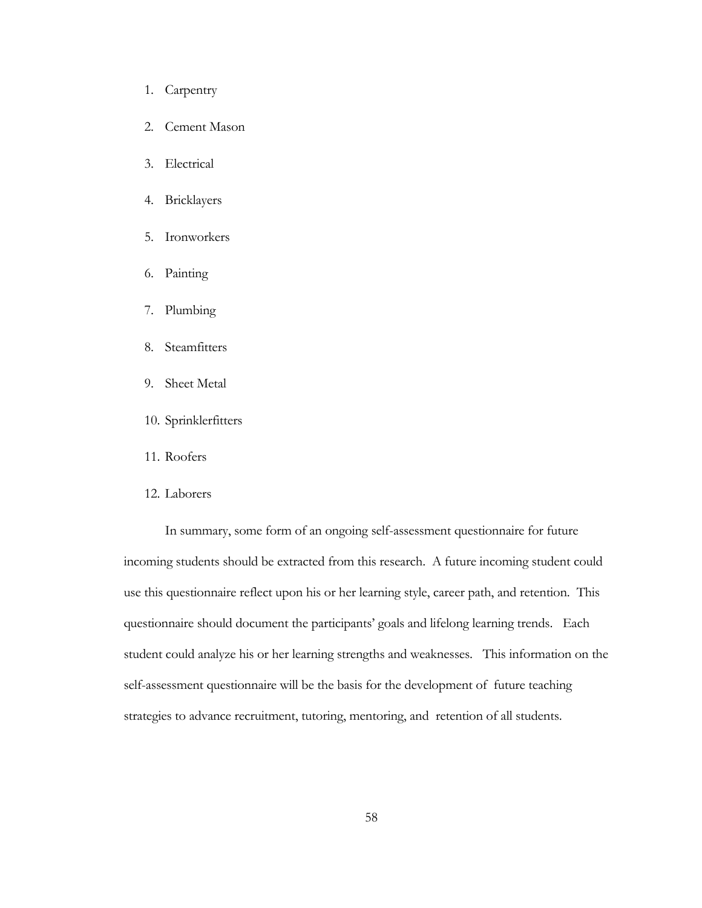- 1. Carpentry
- 2. Cement Mason
- 3. Electrical
- 4. Bricklayers
- 5. Ironworkers
- 6. Painting
- 7. Plumbing
- 8. Steamfitters
- 9. Sheet Metal
- 10. Sprinklerfitters
- 11. Roofers
- 12. Laborers

In summary, some form of an ongoing self-assessment questionnaire for future incoming students should be extracted from this research. A future incoming student could use this questionnaire reflect upon his or her learning style, career path, and retention. This questionnaire should document the participants' goals and lifelong learning trends. Each student could analyze his or her learning strengths and weaknesses. This information on the self-assessment questionnaire will be the basis for the development of future teaching strategies to advance recruitment, tutoring, mentoring, and retention of all students.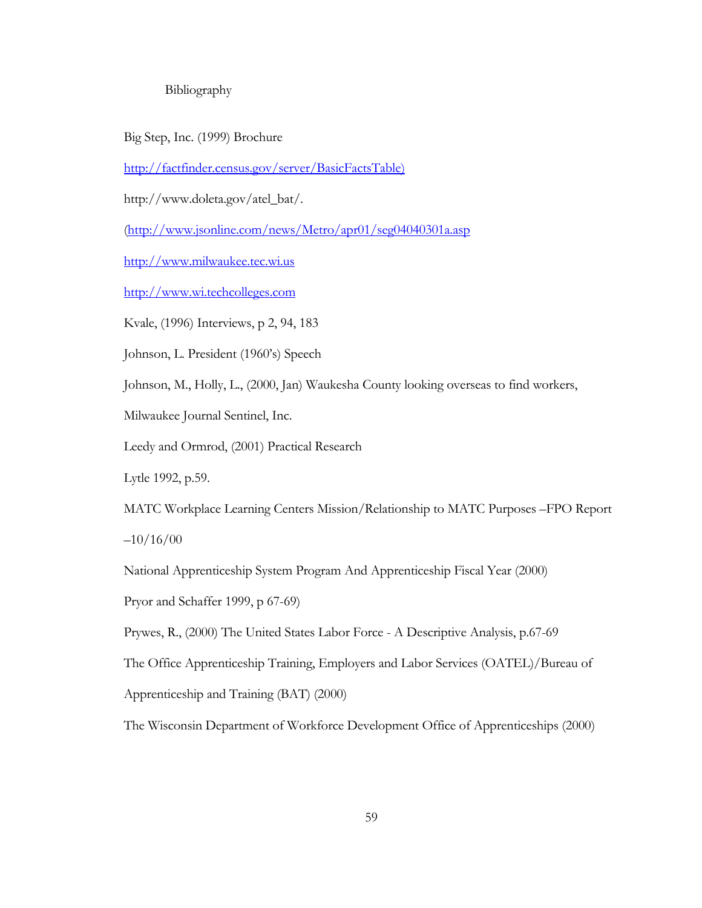#### Bibliography

Big Step, Inc. (1999) Brochure

[http://factfinder.census.gov/server/BasicFactsTable\)](http://factfinder.census.gov/server/BasicFactsTable))

http://www.doleta.gov/atel\_bat/.

[\(http://www.jsonline.com/news/Metro/apr01/seg04040301a.asp](http://www.jsonline.com/news/Metro/apr01/seg04040301a.asp)

[http://www.milwaukee.tec.wi.us](http://www.milwaukee.tec.wi.us/)

[http://www.wi.techcolleges.com](http://www.wi.techcolleges.com/)

Kvale, (1996) Interviews, p 2, 94, 183

Johnson, L. President (1960's) Speech

Johnson, M., Holly, L., (2000, Jan) Waukesha County looking overseas to find workers,

Milwaukee Journal Sentinel, Inc.

Leedy and Ormrod, (2001) Practical Research

Lytle 1992, p.59.

MATC Workplace Learning Centers Mission/Relationship to MATC Purposes –FPO Report  $-10/16/00$ 

National Apprenticeship System Program And Apprenticeship Fiscal Year (2000)

Pryor and Schaffer 1999, p 67-69)

Prywes, R., (2000) The United States Labor Force - A Descriptive Analysis, p.67-69

The Office Apprenticeship Training, Employers and Labor Services (OATEL)/Bureau of

Apprenticeship and Training (BAT) (2000)

The Wisconsin Department of Workforce Development Office of Apprenticeships (2000)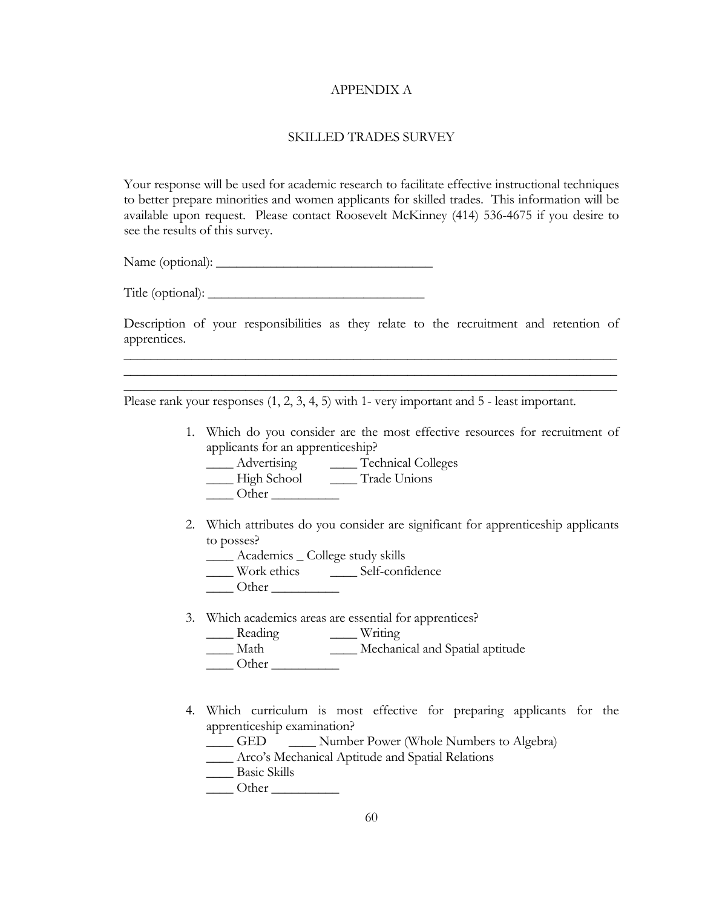#### APPENDIX A

#### SKILLED TRADES SURVEY

Your response will be used for academic research to facilitate effective instructional techniques to better prepare minorities and women applicants for skilled trades. This information will be available upon request. Please contact Roosevelt McKinney (414) 536-4675 if you desire to see the results of this survey.

Name (optional): \_\_\_\_\_\_\_\_\_\_\_\_\_\_\_\_\_\_\_\_\_\_\_\_\_\_\_\_\_\_\_\_

Title (optional):

Description of your responsibilities as they relate to the recruitment and retention of apprentices.

\_\_\_\_\_\_\_\_\_\_\_\_\_\_\_\_\_\_\_\_\_\_\_\_\_\_\_\_\_\_\_\_\_\_\_\_\_\_\_\_\_\_\_\_\_\_\_\_\_\_\_\_\_\_\_\_\_\_\_\_\_\_\_\_\_\_\_\_\_\_\_\_\_ \_\_\_\_\_\_\_\_\_\_\_\_\_\_\_\_\_\_\_\_\_\_\_\_\_\_\_\_\_\_\_\_\_\_\_\_\_\_\_\_\_\_\_\_\_\_\_\_\_\_\_\_\_\_\_\_\_\_\_\_\_\_\_\_\_\_\_\_\_\_\_\_\_  $\overline{\phantom{a}}$  , and the contribution of the contribution of the contribution of the contribution of the contribution of the contribution of the contribution of the contribution of the contribution of the contribution of the

Please rank your responses (1, 2, 3, 4, 5) with 1- very important and 5 - least important.

- 1. Which do you consider are the most effective resources for recruitment of applicants for an apprenticeship?
	- \_\_\_\_ Advertising \_\_\_\_ Technical Colleges
	- \_\_\_\_ High School \_\_\_\_ Trade Unions
	- Other  $\Box$
- 2. Which attributes do you consider are significant for apprenticeship applicants to posses?
	- \_\_\_\_ Academics \_ College study skills
	- \_\_\_\_ Work ethics \_\_\_\_ Self-confidence
	- $\qquad$  Other  $\qquad$
- 3. Which academics areas are essential for apprentices?
	- \_\_\_\_ Reading \_\_\_\_ Writing
	- Math Mechanical and Spatial aptitude
	- Other  $\Box$
- 4. Which curriculum is most effective for preparing applicants for the apprenticeship examination?

\_\_\_\_ GED \_\_\_\_ Number Power (Whole Numbers to Algebra)

\_\_\_\_ Arco's Mechanical Aptitude and Spatial Relations

- \_\_\_\_ Basic Skills
- $\Box$  Other  $\Box$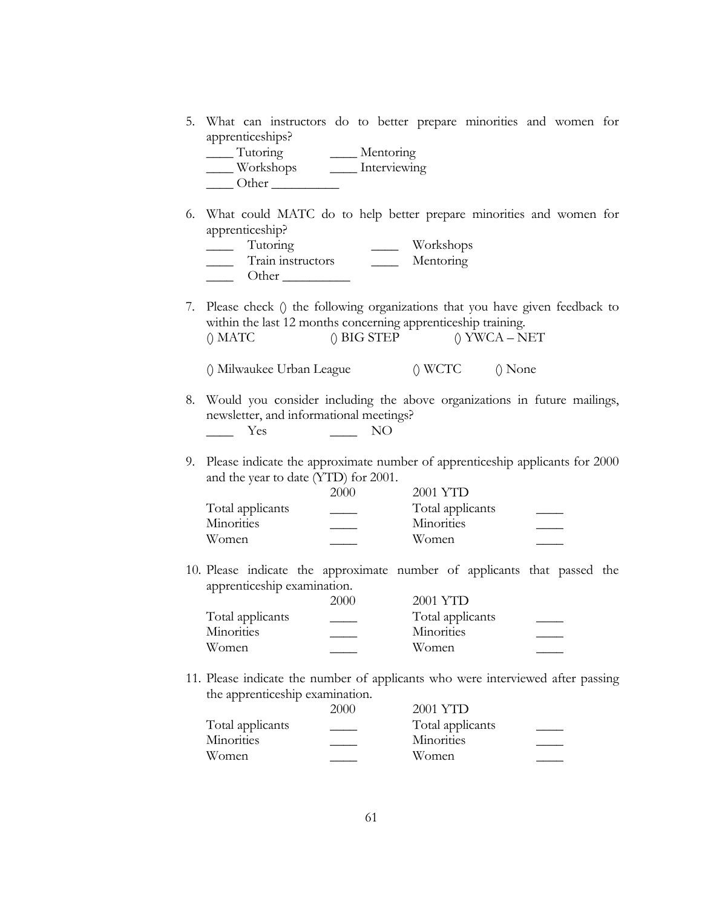5. What can instructors do to better prepare minorities and women for apprenticeships?

| Tutoring  | Mentoring    |
|-----------|--------------|
| Workshops | Interviewing |
| Other     |              |

6. What could MATC do to help better prepare minorities and women for apprenticeship?

| <b>Tutoring</b>   | Workshops |
|-------------------|-----------|
| Train instructors | Mentoring |
| Other             |           |

7. Please check () the following organizations that you have given feedback to within the last 12 months concerning apprenticeship training.  $()$  MATC  $()$  BIG STEP  $()$  YWCA – NET

() Milwaukee Urban League () WCTC () None

- 8. Would you consider including the above organizations in future mailings, newsletter, and informational meetings? \_\_\_\_ Yes \_\_\_\_ NO
- 9. Please indicate the approximate number of apprenticeship applicants for 2000 and the year to date (YTD) for 2001.

|                  | 2000 | 2001 YTD         |  |
|------------------|------|------------------|--|
| Total applicants |      | Total applicants |  |
| Minorities       |      | Minorities       |  |
| Women            |      | Women.           |  |

10. Please indicate the approximate number of applicants that passed the apprenticeship examination.

|                   | 2000 | 2001 YTD          |  |
|-------------------|------|-------------------|--|
| Total applicants  |      | Total applicants  |  |
| <b>Minorities</b> |      | <b>Minorities</b> |  |
| Women.            |      | Women.            |  |

11. Please indicate the number of applicants who were interviewed after passing the apprenticeship examination.

|                  | 2000 | 2001 YTD          |  |
|------------------|------|-------------------|--|
| Total applicants |      | Total applicants  |  |
| Minorities       |      | <b>Minorities</b> |  |
| Women            |      | Women             |  |
|                  |      |                   |  |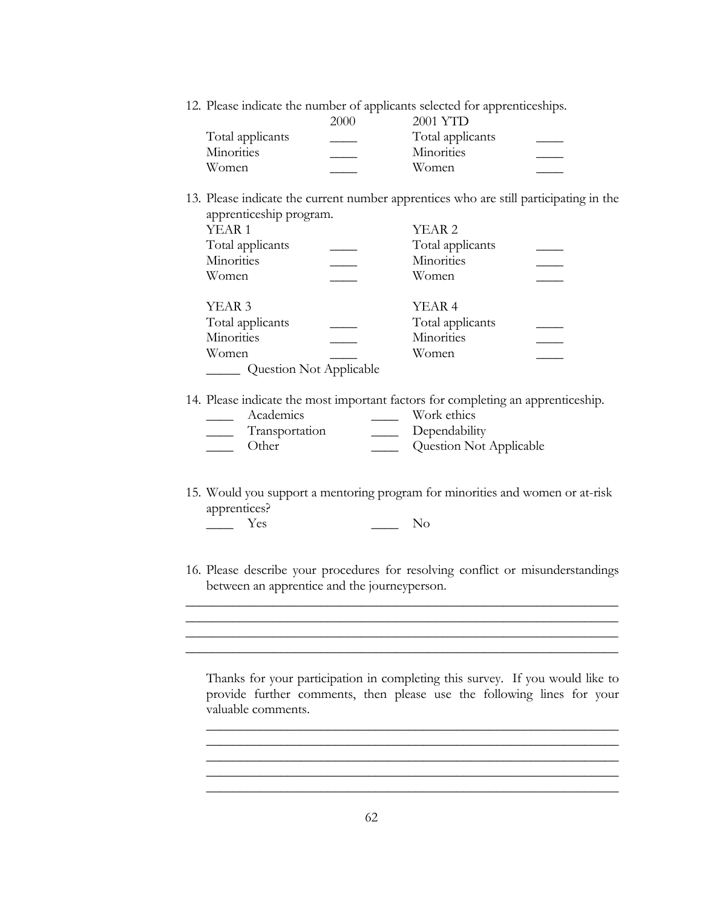12. Please indicate the number of applicants selected for apprenticeships.

|                   | 2000 | 2001 YTD         |  |
|-------------------|------|------------------|--|
| Total applicants  |      | Total applicants |  |
| <b>Minorities</b> |      | Minorities       |  |
| Women             |      | Women            |  |

13. Please indicate the current number apprentices who are still participating in the apprenticeship program.

| YEAR <sub>1</sub>       | YEAR <sub>2</sub> |  |
|-------------------------|-------------------|--|
| Total applicants        | Total applicants  |  |
| Minorities              | Minorities        |  |
| Women                   | Women             |  |
| YEAR <sub>3</sub>       | YEAR 4            |  |
| Total applicants        | Total applicants  |  |
| Minorities              | Minorities        |  |
| Women                   | Women             |  |
| Question Not Applicable |                   |  |

14. Please indicate the most important factors for completing an apprenticeship.

| Academics      | Work ethics             |  |
|----------------|-------------------------|--|
| Transportation | Dependability           |  |
| Other          | Question Not Applicable |  |

- 15. Would you support a mentoring program for minorities and women or at-risk apprentices? \_\_\_\_ Yes \_\_\_\_ No
- 16. Please describe your procedures for resolving conflict or misunderstandings between an apprentice and the journeyperson.

\_\_\_\_\_\_\_\_\_\_\_\_\_\_\_\_\_\_\_\_\_\_\_\_\_\_\_\_\_\_\_\_\_\_\_\_\_\_\_\_\_\_\_\_\_\_\_\_\_\_\_\_\_\_\_\_\_\_\_\_\_\_\_\_

Thanks for your participation in completing this survey. If you would like to provide further comments, then please use the following lines for your valuable comments.

\_\_\_\_\_\_\_\_\_\_\_\_\_\_\_\_\_\_\_\_\_\_\_\_\_\_\_\_\_\_\_\_\_\_\_\_\_\_\_\_\_\_\_\_\_\_\_\_\_\_\_\_\_\_\_\_\_\_\_\_\_ \_\_\_\_\_\_\_\_\_\_\_\_\_\_\_\_\_\_\_\_\_\_\_\_\_\_\_\_\_\_\_\_\_\_\_\_\_\_\_\_\_\_\_\_\_\_\_\_\_\_\_\_\_\_\_\_\_\_\_\_\_

\_\_\_\_\_\_\_\_\_\_\_\_\_\_\_\_\_\_\_\_\_\_\_\_\_\_\_\_\_\_\_\_\_\_\_\_\_\_\_\_\_\_\_\_\_\_\_\_\_\_\_\_\_\_\_\_\_\_\_\_\_

\_\_\_\_\_\_\_\_\_\_\_\_\_\_\_\_\_\_\_\_\_\_\_\_\_\_\_\_\_\_\_\_\_\_\_\_\_\_\_\_\_\_\_\_\_\_\_\_\_\_\_\_\_\_\_\_\_\_\_\_\_\_\_\_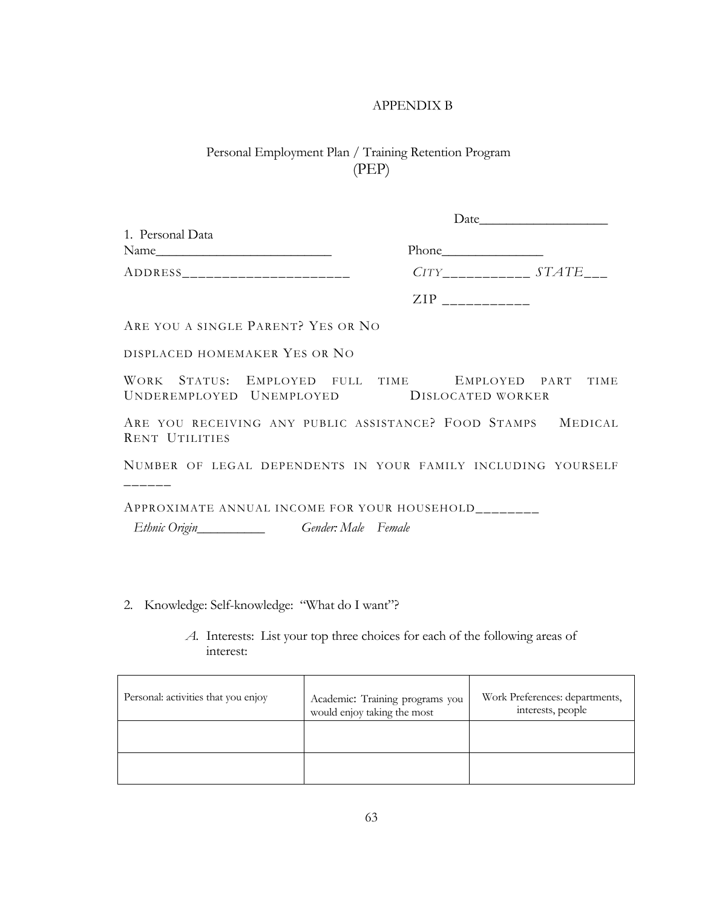### APPENDIX B

# Personal Employment Plan / Training Retention Program (PEP)

| 1. Personal Data<br>Name                                                                                   |                                                       |  |
|------------------------------------------------------------------------------------------------------------|-------------------------------------------------------|--|
| ADDRESS_________________________                                                                           | $CITY$ <sub>____________</sub> $STATE$ <sub>___</sub> |  |
|                                                                                                            | $ZIP$ <sub>------------</sub>                         |  |
| ARE YOU A SINGLE PARENT? YES OR NO                                                                         |                                                       |  |
| DISPLACED HOMEMAKER YES OR NO                                                                              |                                                       |  |
| WORK STATUS: EMPLOYED FULL TIME EMPLOYED PART TIME<br>UNDEREMPLOYED UNEMPLOYED DISLOCATED WORKER           |                                                       |  |
| ARE YOU RECEIVING ANY PUBLIC ASSISTANCE? FOOD STAMPS MEDICAL<br><b>RENT UTILITIES</b>                      |                                                       |  |
| NUMBER OF LEGAL DEPENDENTS IN YOUR FAMILY INCLUDING YOURSELF                                               |                                                       |  |
| APPROXIMATE ANNUAL INCOME FOR YOUR HOUSEHOLD_______<br>Ethnic Origin___________________Gender: Male Female |                                                       |  |

2. Knowledge: Self-knowledge: "What do I want"?

### *A.* Interests: List your top three choices for each of the following areas of interest:

| Personal: activities that you enjoy | Academic: Training programs you<br>would enjoy taking the most | Work Preferences: departments,<br>interests, people |
|-------------------------------------|----------------------------------------------------------------|-----------------------------------------------------|
|                                     |                                                                |                                                     |
|                                     |                                                                |                                                     |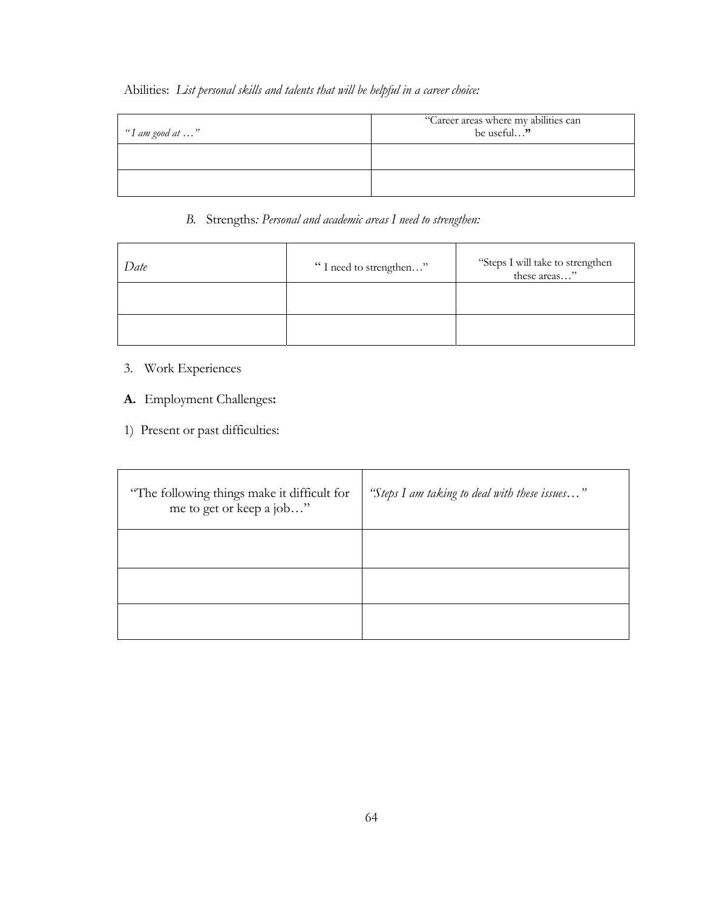## Abilities: *List personal skills and talents that will be helpful in a career choice:*

| "I am good at …" | "Career areas where my abilities can<br>be useful" |
|------------------|----------------------------------------------------|
|                  |                                                    |
|                  |                                                    |

### *B.* Strengths*: Personal and academic areas I need to strengthen:*

| Date | "I need to strengthen" | "Steps I will take to strengthen these areas" |
|------|------------------------|-----------------------------------------------|
|      |                        |                                               |
|      |                        |                                               |

- 3. Work Experiences
- **A.** Employment Challenges**:**
- 1) Present or past difficulties:

| "The following things make it difficult for<br>me to get or keep a job" | "Steps I am taking to deal with these issues" |
|-------------------------------------------------------------------------|-----------------------------------------------|
|                                                                         |                                               |
|                                                                         |                                               |
|                                                                         |                                               |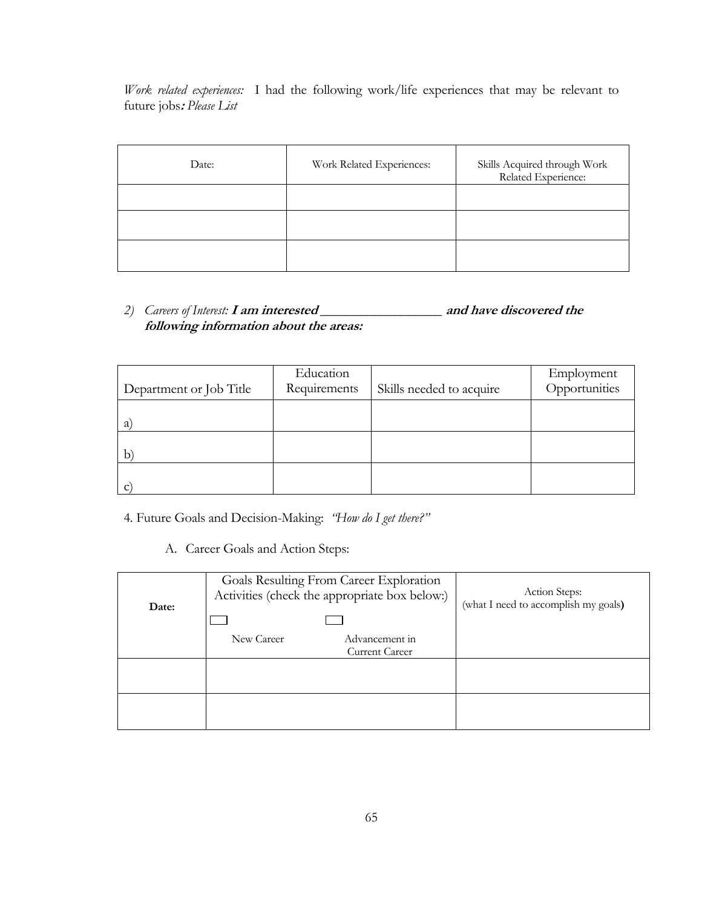*Work related experiences:*I had the following work/life experiences that may be relevant to future jobs**:** *Please List* 

| Date: | Work Related Experiences: | Skills Acquired through Work<br>Related Experience: |
|-------|---------------------------|-----------------------------------------------------|
|       |                           |                                                     |
|       |                           |                                                     |
|       |                           |                                                     |

*2) Careers of Interest:* **I am interested \_\_\_\_\_\_\_\_\_\_\_\_\_\_\_\_\_\_ and have discovered the following information about the areas:** 

| Department or Job Title | Education<br>Requirements | Skills needed to acquire | Employment<br>Opportunities |
|-------------------------|---------------------------|--------------------------|-----------------------------|
| a                       |                           |                          |                             |
| b                       |                           |                          |                             |
| c                       |                           |                          |                             |

4. Future Goals and Decision-Making: *"How do I get there?"* 

A. Career Goals and Action Steps:

| Date: | Goals Resulting From Career Exploration<br>Activities (check the appropriate box below:) | Action Steps:<br>(what I need to accomplish my goals) |
|-------|------------------------------------------------------------------------------------------|-------------------------------------------------------|
|       | New Career<br>Advancement in<br><b>Current Career</b>                                    |                                                       |
|       |                                                                                          |                                                       |
|       |                                                                                          |                                                       |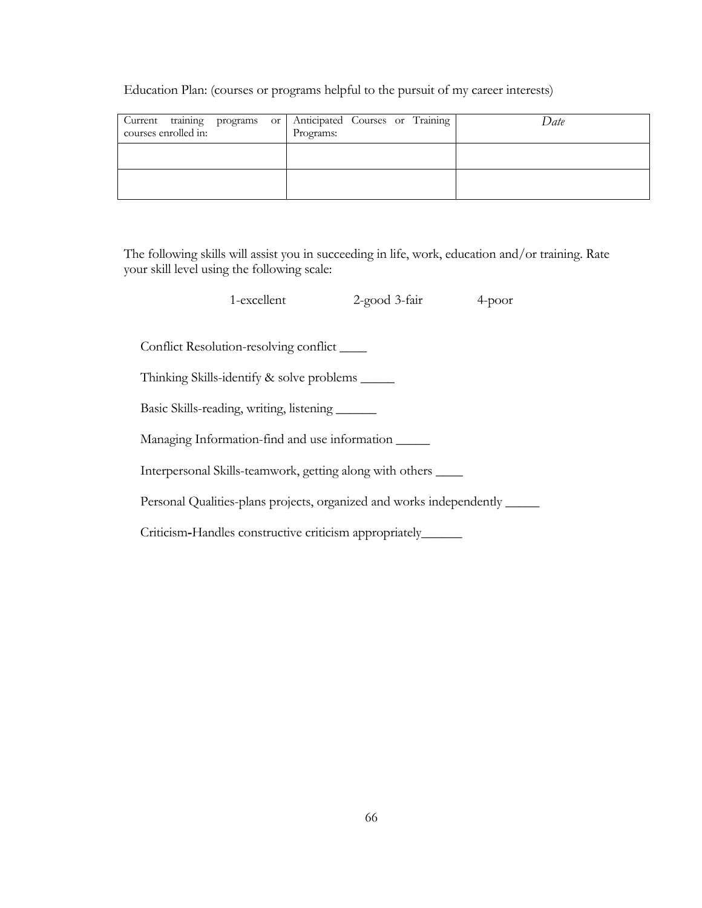Education Plan: (courses or programs helpful to the pursuit of my career interests)

| Current training programs or<br>courses enrolled in: | Anticipated Courses or Training<br>Programs: | Date |
|------------------------------------------------------|----------------------------------------------|------|
|                                                      |                                              |      |
|                                                      |                                              |      |

The following skills will assist you in succeeding in life, work, education and/or training. Rate your skill level using the following scale:

|                                                                      | 1-excellent                                                    | 2-good 3-fair | $4-poor$ |
|----------------------------------------------------------------------|----------------------------------------------------------------|---------------|----------|
|                                                                      |                                                                |               |          |
| Conflict Resolution-resolving conflict ______                        |                                                                |               |          |
|                                                                      | Thinking Skills-identify & solve problems ______               |               |          |
| Basic Skills-reading, writing, listening                             |                                                                |               |          |
|                                                                      | Managing Information-find and use information                  |               |          |
|                                                                      | Interpersonal Skills-teamwork, getting along with others _____ |               |          |
| Personal Qualities-plans projects, organized and works independently |                                                                |               |          |
|                                                                      | Criticism-Handles constructive criticism appropriately_        |               |          |